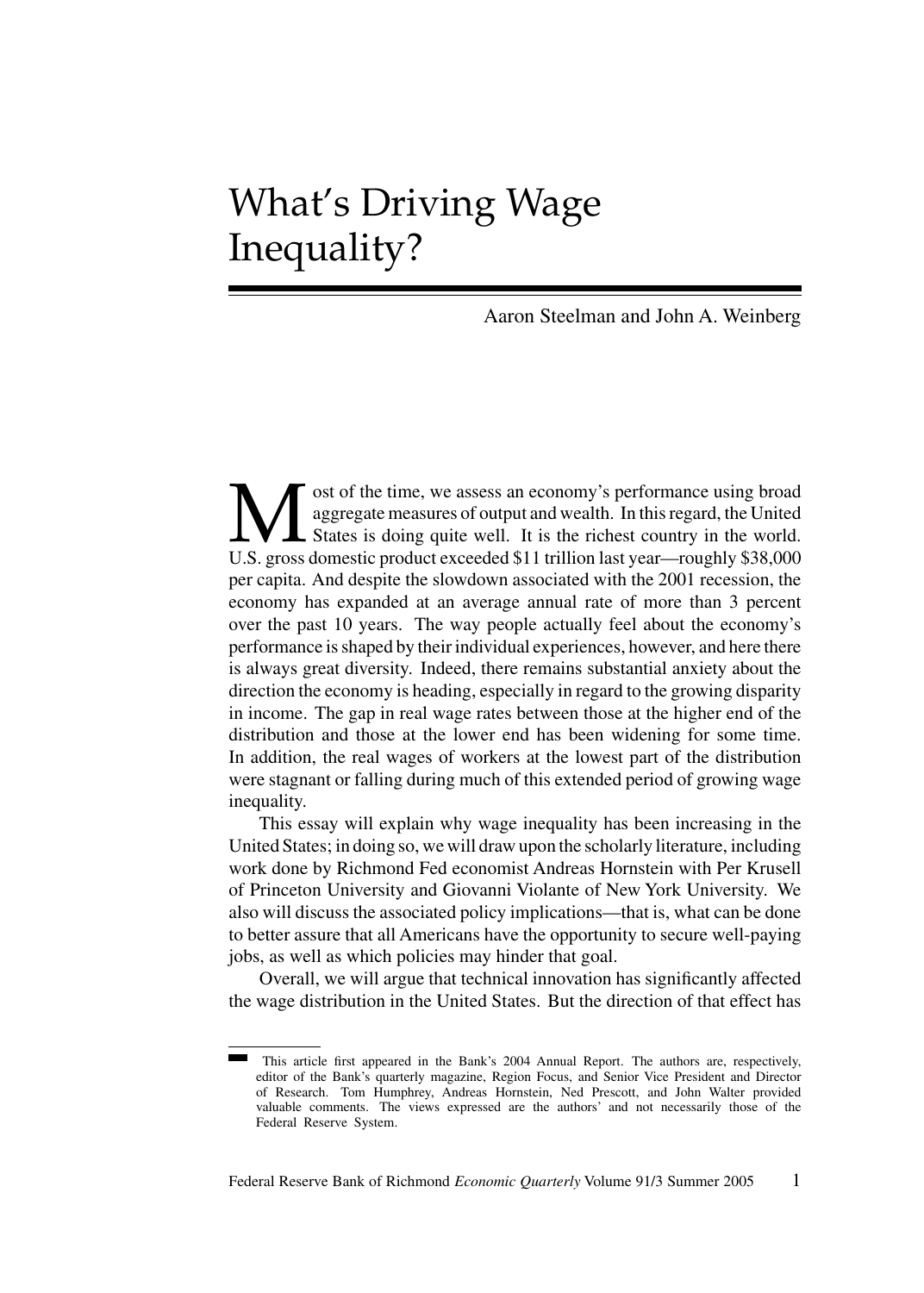# What's Driving Wage Inequality?

Aaron Steelman and John A. Weinberg

Most of the time, we assess an economy's performance using broad aggregate measures of output and wealth. In this regard, the United U.S. gross domestic product exceeded \$11 trillion last year—roughly \$38,000 aggregate measures of output and wealth. In this regard, the United States is doing quite well. It is the richest country in the world. U.S. gross domestic product exceeded \$11 trillion last year—roughly \$38,000 per capita. And despite the slowdown associated with the 2001 recession, the economy has expanded at an average annual rate of more than 3 percent over the past 10 years. The way people actually feel about the economy's performance is shaped by their individual experiences, however, and here there is always great diversity. Indeed, there remains substantial anxiety about the direction the economy is heading, especially in regard to the growing disparity in income. The gap in real wage rates between those at the higher end of the distribution and those at the lower end has been widening for some time. In addition, the real wages of workers at the lowest part of the distribution were stagnant or falling during much of this extended period of growing wage inequality.

This essay will explain why wage inequality has been increasing in the United States; in doing so, we will draw upon the scholarly literature, including work done by Richmond Fed economist Andreas Hornstein with Per Krusell of Princeton University and Giovanni Violante of New York University. We also will discuss the associated policy implications—that is, what can be done to better assure that all Americans have the opportunity to secure well-paying jobs, as well as which policies may hinder that goal.

Overall, we will argue that technical innovation has significantly affected the wage distribution in the United States. But the direction of that effect has

This article first appeared in the Bank's 2004 Annual Report. The authors are, respectively, editor of the Bank's quarterly magazine, Region Focus, and Senior Vice President and Director of Research. Tom Humphrey, Andreas Hornstein, Ned Prescott, and John Walter provided valuable comments. The views expressed are the authors' and not necessarily those of the Federal Reserve System.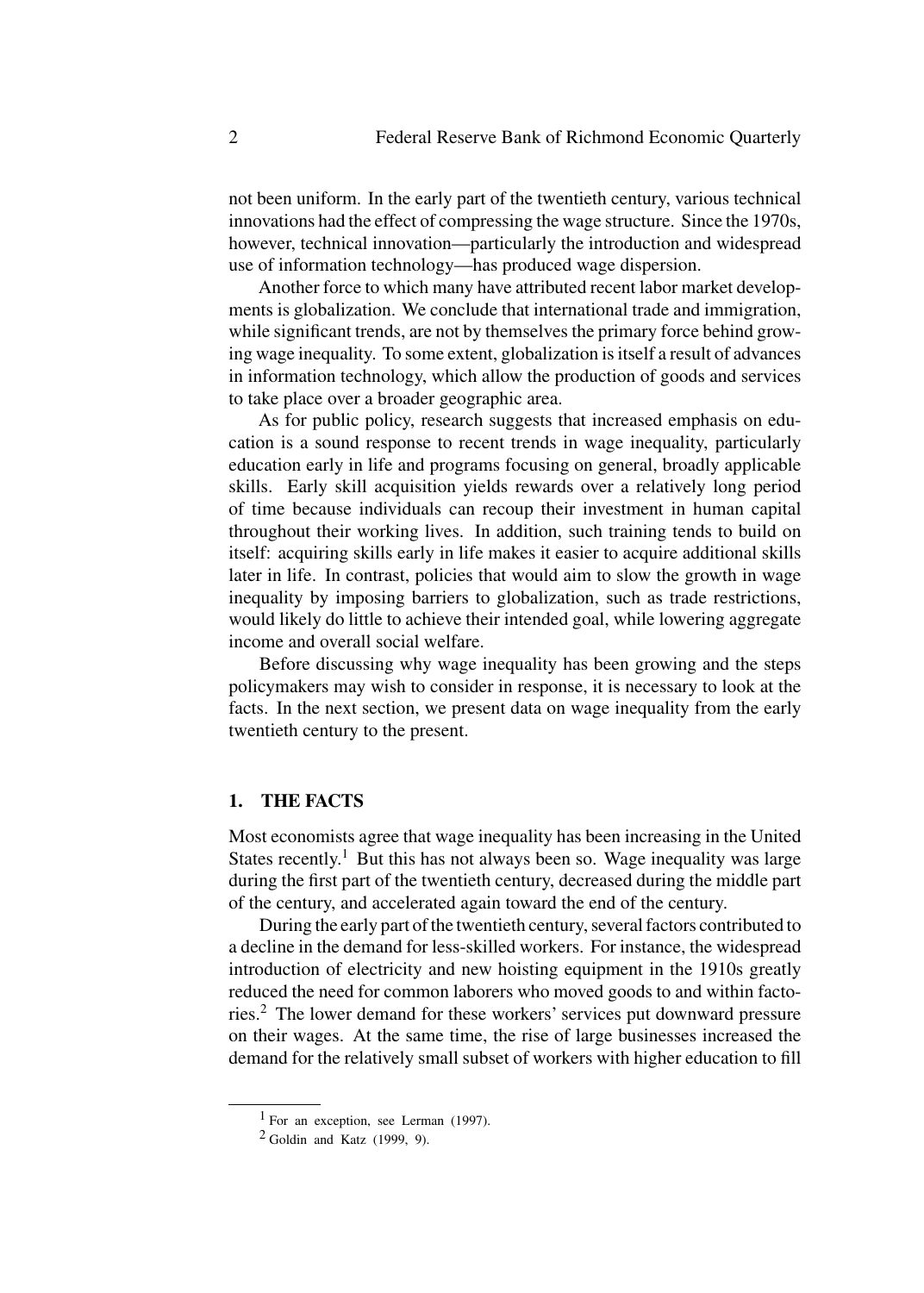not been uniform. In the early part of the twentieth century, various technical innovations had the effect of compressing the wage structure. Since the 1970s, however, technical innovation—particularly the introduction and widespread use of information technology—has produced wage dispersion.

Another force to which many have attributed recent labor market developments is globalization. We conclude that international trade and immigration, while significant trends, are not by themselves the primary force behind growing wage inequality. To some extent, globalization is itself a result of advances in information technology, which allow the production of goods and services to take place over a broader geographic area.

As for public policy, research suggests that increased emphasis on education is a sound response to recent trends in wage inequality, particularly education early in life and programs focusing on general, broadly applicable skills. Early skill acquisition yields rewards over a relatively long period of time because individuals can recoup their investment in human capital throughout their working lives. In addition, such training tends to build on itself: acquiring skills early in life makes it easier to acquire additional skills later in life. In contrast, policies that would aim to slow the growth in wage inequality by imposing barriers to globalization, such as trade restrictions, would likely do little to achieve their intended goal, while lowering aggregate income and overall social welfare.

Before discussing why wage inequality has been growing and the steps policymakers may wish to consider in response, it is necessary to look at the facts. In the next section, we present data on wage inequality from the early twentieth century to the present.

## **1. THE FACTS**

Most economists agree that wage inequality has been increasing in the United States recently.<sup>1</sup> But this has not always been so. Wage inequality was large during the first part of the twentieth century, decreased during the middle part of the century, and accelerated again toward the end of the century.

During the early part of the twentieth century, several factors contributed to a decline in the demand for less-skilled workers. For instance, the widespread introduction of electricity and new hoisting equipment in the 1910s greatly reduced the need for common laborers who moved goods to and within factories.<sup>2</sup> The lower demand for these workers' services put downward pressure on their wages. At the same time, the rise of large businesses increased the demand for the relatively small subset of workers with higher education to fill

 $1$  For an exception, see Lerman (1997).

 $2$  Goldin and Katz (1999, 9).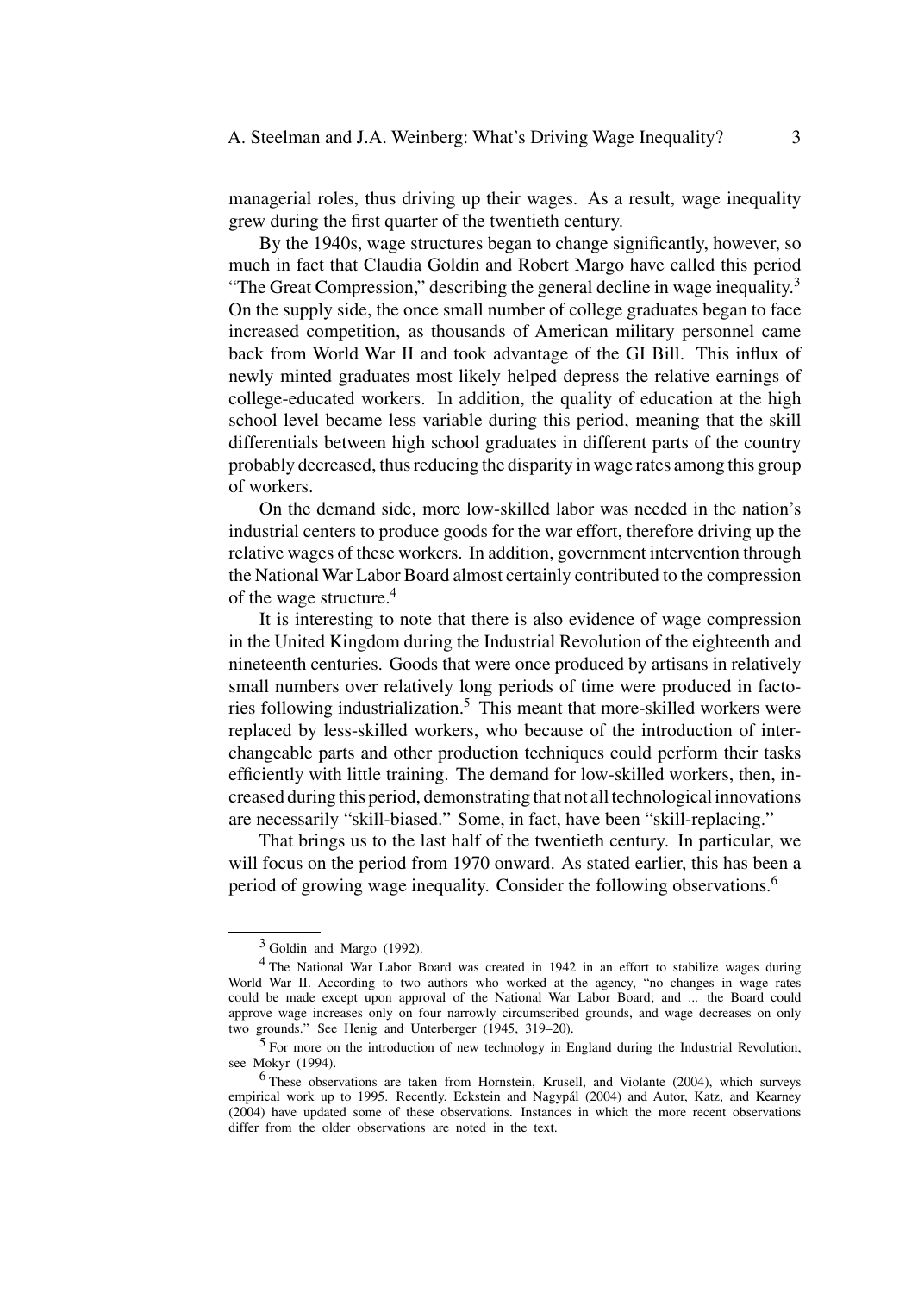managerial roles, thus driving up their wages. As a result, wage inequality grew during the first quarter of the twentieth century.

By the 1940s, wage structures began to change significantly, however, so much in fact that Claudia Goldin and Robert Margo have called this period "The Great Compression," describing the general decline in wage inequality. $3$ On the supply side, the once small number of college graduates began to face increased competition, as thousands of American military personnel came back from World War II and took advantage of the GI Bill. This influx of newly minted graduates most likely helped depress the relative earnings of college-educated workers. In addition, the quality of education at the high school level became less variable during this period, meaning that the skill differentials between high school graduates in different parts of the country probably decreased, thus reducing the disparity in wage rates among this group of workers.

On the demand side, more low-skilled labor was needed in the nation's industrial centers to produce goods for the war effort, therefore driving up the relative wages of these workers. In addition, government intervention through the National War Labor Board almost certainly contributed to the compression of the wage structure.<sup>4</sup>

It is interesting to note that there is also evidence of wage compression in the United Kingdom during the Industrial Revolution of the eighteenth and nineteenth centuries. Goods that were once produced by artisans in relatively small numbers over relatively long periods of time were produced in factories following industrialization.<sup>5</sup> This meant that more-skilled workers were replaced by less-skilled workers, who because of the introduction of interchangeable parts and other production techniques could perform their tasks efficiently with little training. The demand for low-skilled workers, then, increased during this period, demonstrating that not all technological innovations are necessarily "skill-biased." Some, in fact, have been "skill-replacing."

That brings us to the last half of the twentieth century. In particular, we will focus on the period from 1970 onward. As stated earlier, this has been a period of growing wage inequality. Consider the following observations.<sup>6</sup>

 $3$  Goldin and Margo (1992).

<sup>4</sup> The National War Labor Board was created in 1942 in an effort to stabilize wages during World War II. According to two authors who worked at the agency, "no changes in wage rates could be made except upon approval of the National War Labor Board; and ... the Board could approve wage increases only on four narrowly circumscribed grounds, and wage decreases on only two grounds." See Henig and Unterberger (1945, 319–20).

<sup>5</sup> For more on the introduction of new technology in England during the Industrial Revolution, see Mokyr (1994).

<sup>6</sup> These observations are taken from Hornstein, Krusell, and Violante (2004), which surveys empirical work up to 1995. Recently, Eckstein and Nagypál (2004) and Autor, Katz, and Kearney (2004) have updated some of these observations. Instances in which the more recent observations differ from the older observations are noted in the text.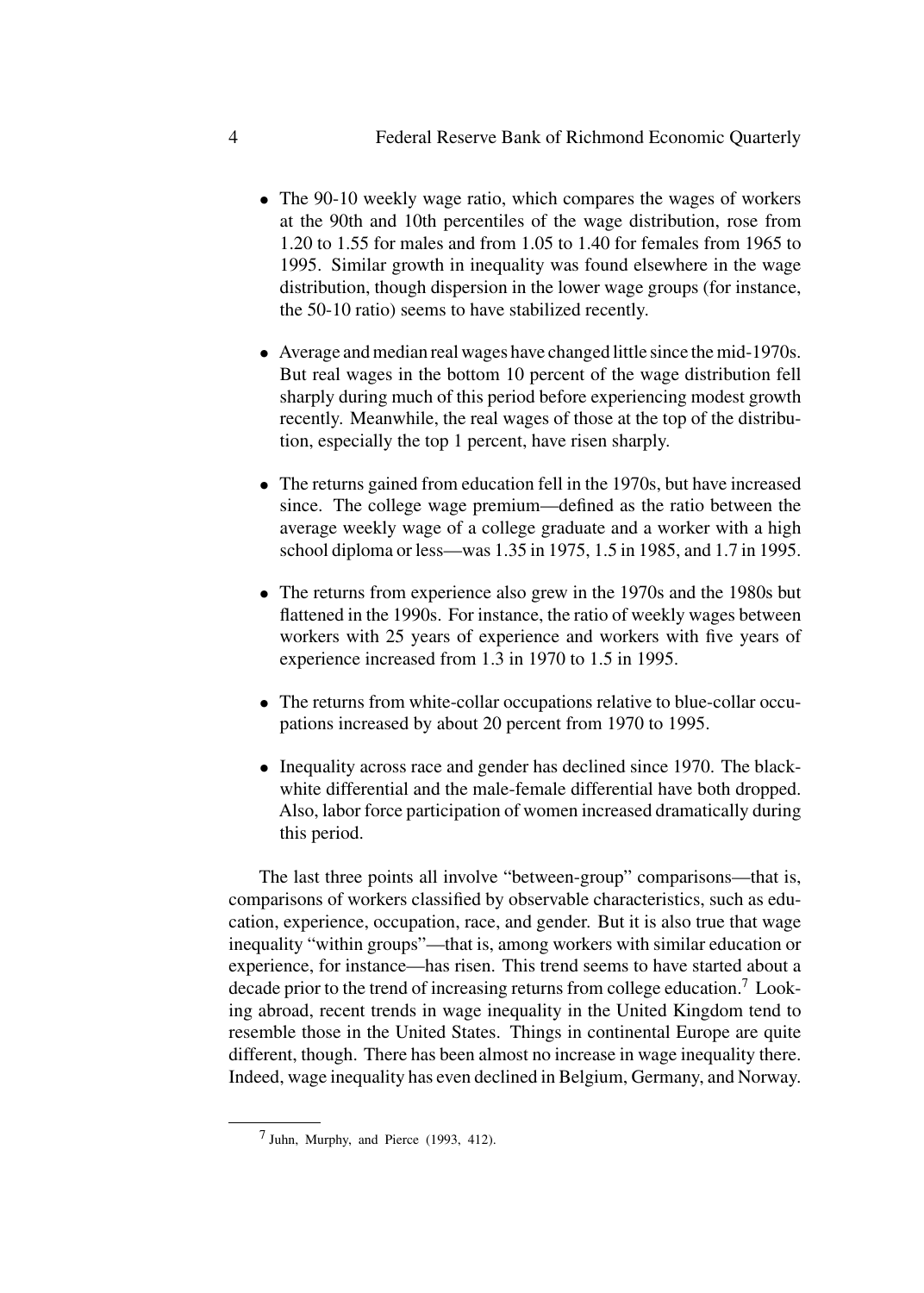- The 90-10 weekly wage ratio, which compares the wages of workers at the 90th and 10th percentiles of the wage distribution, rose from 1.20 to 1.55 for males and from 1.05 to 1.40 for females from 1965 to 1995. Similar growth in inequality was found elsewhere in the wage distribution, though dispersion in the lower wage groups (for instance, the 50-10 ratio) seems to have stabilized recently.
- Average and median real wages have changed little since the mid-1970s. But real wages in the bottom 10 percent of the wage distribution fell sharply during much of this period before experiencing modest growth recently. Meanwhile, the real wages of those at the top of the distribution, especially the top 1 percent, have risen sharply.
- The returns gained from education fell in the 1970s, but have increased since. The college wage premium—defined as the ratio between the average weekly wage of a college graduate and a worker with a high school diploma or less—was 1.35 in 1975, 1.5 in 1985, and 1.7 in 1995.
- The returns from experience also grew in the 1970s and the 1980s but flattened in the 1990s. For instance, the ratio of weekly wages between workers with 25 years of experience and workers with five years of experience increased from 1.3 in 1970 to 1.5 in 1995.
- The returns from white-collar occupations relative to blue-collar occupations increased by about 20 percent from 1970 to 1995.
- Inequality across race and gender has declined since 1970. The blackwhite differential and the male-female differential have both dropped. Also, labor force participation of women increased dramatically during this period.

The last three points all involve "between-group" comparisons—that is, comparisons of workers classified by observable characteristics, such as education, experience, occupation, race, and gender. But it is also true that wage inequality "within groups"—that is, among workers with similar education or experience, for instance—has risen. This trend seems to have started about a decade prior to the trend of increasing returns from college education.<sup>7</sup> Looking abroad, recent trends in wage inequality in the United Kingdom tend to resemble those in the United States. Things in continental Europe are quite different, though. There has been almost no increase in wage inequality there. Indeed, wage inequality has even declined in Belgium, Germany, and Norway.

<sup>7</sup> Juhn, Murphy, and Pierce (1993, 412).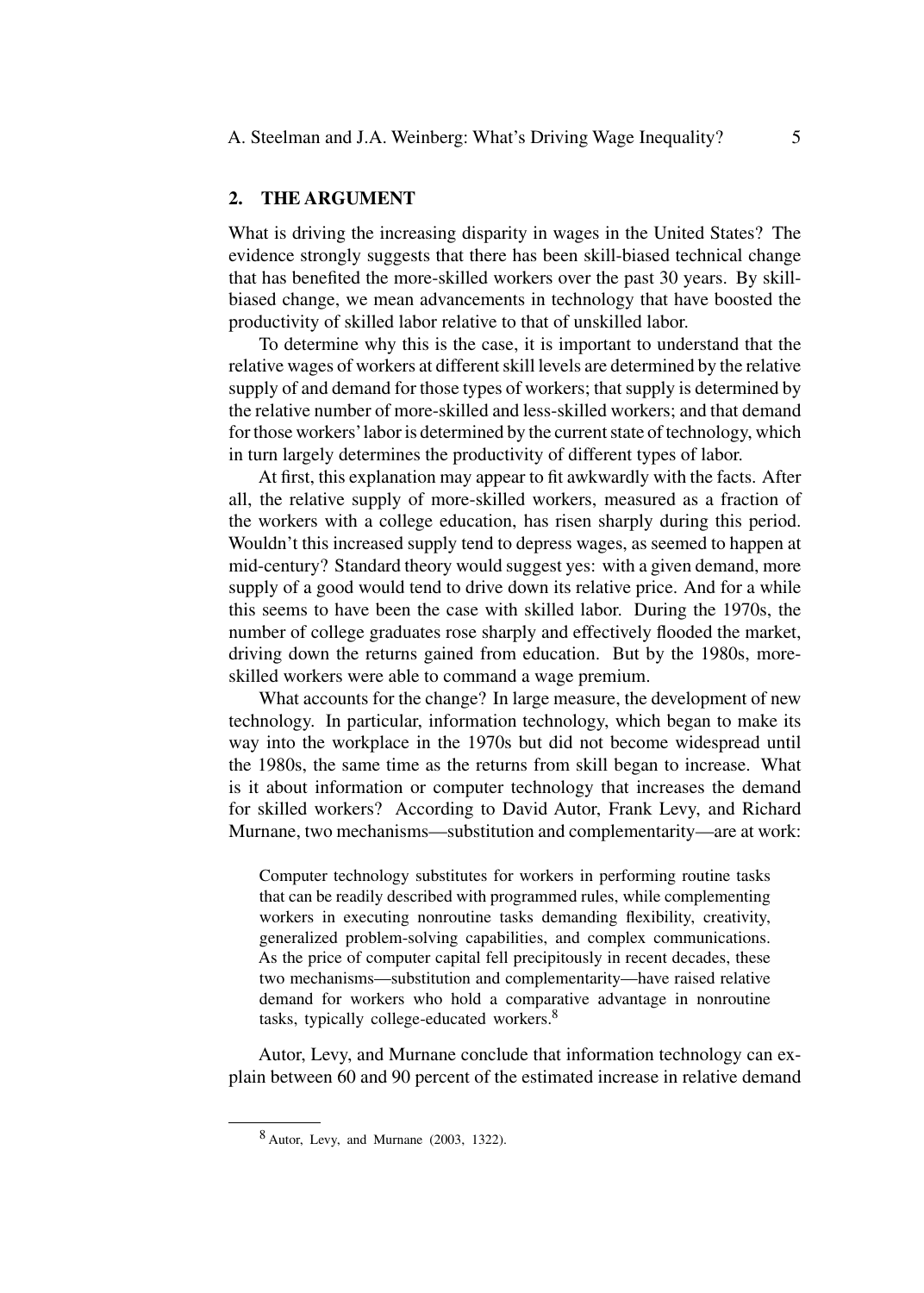### **2. THE ARGUMENT**

What is driving the increasing disparity in wages in the United States? The evidence strongly suggests that there has been skill-biased technical change that has benefited the more-skilled workers over the past 30 years. By skillbiased change, we mean advancements in technology that have boosted the productivity of skilled labor relative to that of unskilled labor.

To determine why this is the case, it is important to understand that the relative wages of workers at different skill levels are determined by the relative supply of and demand for those types of workers; that supply is determined by the relative number of more-skilled and less-skilled workers; and that demand for those workers'labor is determined by the current state of technology, which in turn largely determines the productivity of different types of labor.

At first, this explanation may appear to fit awkwardly with the facts. After all, the relative supply of more-skilled workers, measured as a fraction of the workers with a college education, has risen sharply during this period. Wouldn't this increased supply tend to depress wages, as seemed to happen at mid-century? Standard theory would suggest yes: with a given demand, more supply of a good would tend to drive down its relative price. And for a while this seems to have been the case with skilled labor. During the 1970s, the number of college graduates rose sharply and effectively flooded the market, driving down the returns gained from education. But by the 1980s, moreskilled workers were able to command a wage premium.

What accounts for the change? In large measure, the development of new technology. In particular, information technology, which began to make its way into the workplace in the 1970s but did not become widespread until the 1980s, the same time as the returns from skill began to increase. What is it about information or computer technology that increases the demand for skilled workers? According to David Autor, Frank Levy, and Richard Murnane, two mechanisms—substitution and complementarity—are at work:

Computer technology substitutes for workers in performing routine tasks that can be readily described with programmed rules, while complementing workers in executing nonroutine tasks demanding flexibility, creativity, generalized problem-solving capabilities, and complex communications. As the price of computer capital fell precipitously in recent decades, these two mechanisms—substitution and complementarity—have raised relative demand for workers who hold a comparative advantage in nonroutine tasks, typically college-educated workers.<sup>8</sup>

Autor, Levy, and Murnane conclude that information technology can explain between 60 and 90 percent of the estimated increase in relative demand

<sup>8</sup> Autor, Levy, and Murnane (2003, 1322).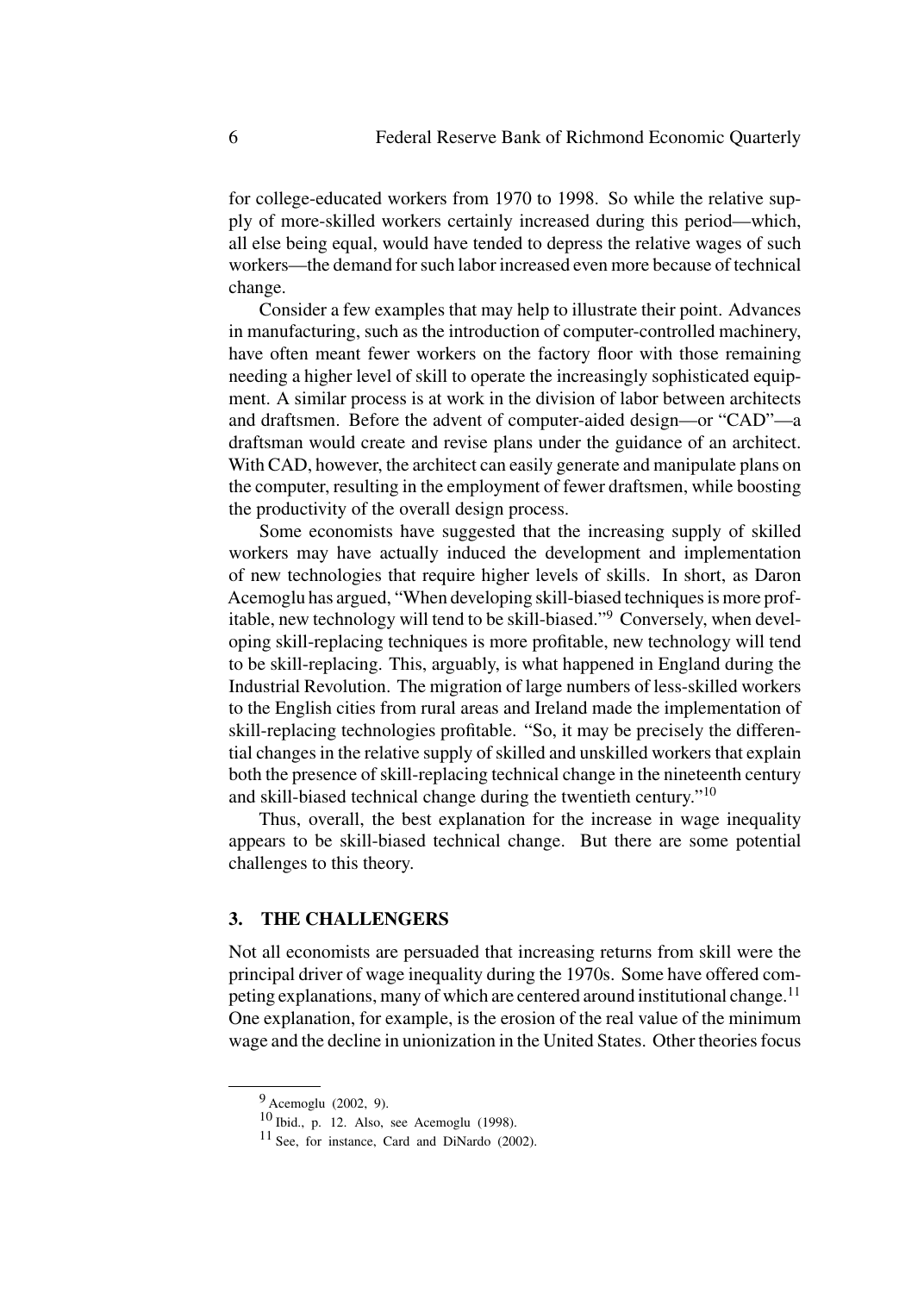for college-educated workers from 1970 to 1998. So while the relative supply of more-skilled workers certainly increased during this period—which, all else being equal, would have tended to depress the relative wages of such workers—the demand for such labor increased even more because of technical change.

Consider a few examples that may help to illustrate their point. Advances in manufacturing, such as the introduction of computer-controlled machinery, have often meant fewer workers on the factory floor with those remaining needing a higher level of skill to operate the increasingly sophisticated equipment. A similar process is at work in the division of labor between architects and draftsmen. Before the advent of computer-aided design—or "CAD"—a draftsman would create and revise plans under the guidance of an architect. With CAD, however, the architect can easily generate and manipulate plans on the computer, resulting in the employment of fewer draftsmen, while boosting the productivity of the overall design process.

Some economists have suggested that the increasing supply of skilled workers may have actually induced the development and implementation of new technologies that require higher levels of skills. In short, as Daron Acemoglu has argued, "When developing skill-biased techniques is more profitable, new technology will tend to be skill-biased."<sup>9</sup> Conversely, when developing skill-replacing techniques is more profitable, new technology will tend to be skill-replacing. This, arguably, is what happened in England during the Industrial Revolution. The migration of large numbers of less-skilled workers to the English cities from rural areas and Ireland made the implementation of skill-replacing technologies profitable. "So, it may be precisely the differential changes in the relative supply of skilled and unskilled workers that explain both the presence of skill-replacing technical change in the nineteenth century and skill-biased technical change during the twentieth century."<sup>10</sup>

Thus, overall, the best explanation for the increase in wage inequality appears to be skill-biased technical change. But there are some potential challenges to this theory.

#### **3. THE CHALLENGERS**

Not all economists are persuaded that increasing returns from skill were the principal driver of wage inequality during the 1970s. Some have offered competing explanations, many of which are centered around institutional change.<sup>11</sup> One explanation, for example, is the erosion of the real value of the minimum wage and the decline in unionization in the United States. Other theories focus

<sup>9</sup> Acemoglu (2002, 9).

 $10$  Ibid., p. 12. Also, see Acemoglu (1998).

<sup>11</sup> See, for instance, Card and DiNardo (2002).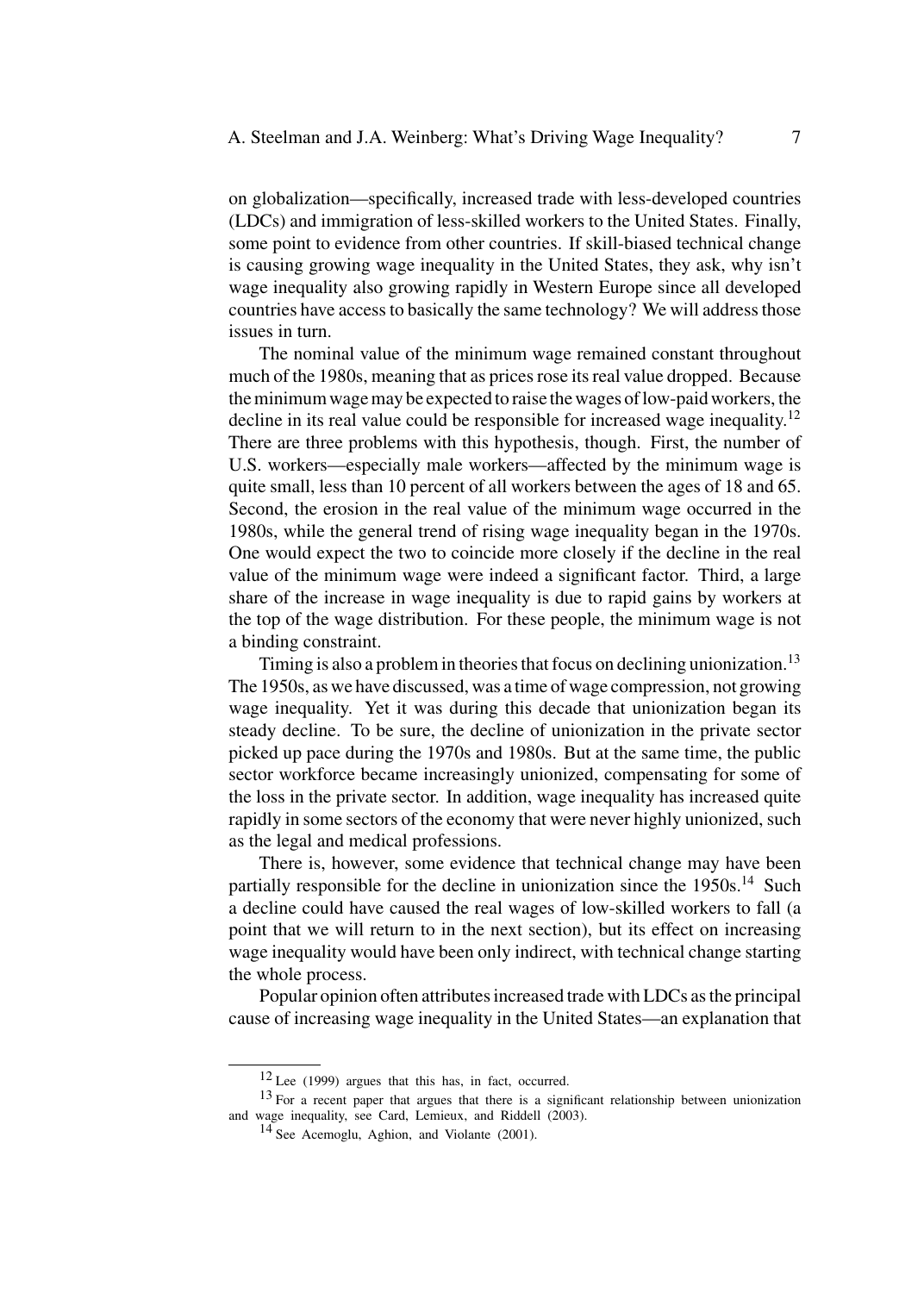on globalization—specifically, increased trade with less-developed countries (LDCs) and immigration of less-skilled workers to the United States. Finally, some point to evidence from other countries. If skill-biased technical change is causing growing wage inequality in the United States, they ask, why isn't wage inequality also growing rapidly in Western Europe since all developed countries have access to basically the same technology? We will address those issues in turn.

The nominal value of the minimum wage remained constant throughout much of the 1980s, meaning that as prices rose its real value dropped. Because the minimum wage may be expected to raise the wages of low-paid workers, the decline in its real value could be responsible for increased wage inequality.<sup>12</sup> There are three problems with this hypothesis, though. First, the number of U.S. workers—especially male workers—affected by the minimum wage is quite small, less than 10 percent of all workers between the ages of 18 and 65. Second, the erosion in the real value of the minimum wage occurred in the 1980s, while the general trend of rising wage inequality began in the 1970s. One would expect the two to coincide more closely if the decline in the real value of the minimum wage were indeed a significant factor. Third, a large share of the increase in wage inequality is due to rapid gains by workers at the top of the wage distribution. For these people, the minimum wage is not a binding constraint.

Timing is also a problem in theories that focus on declining unionization.<sup>13</sup> The 1950s, as we have discussed, was a time of wage compression, not growing wage inequality. Yet it was during this decade that unionization began its steady decline. To be sure, the decline of unionization in the private sector picked up pace during the 1970s and 1980s. But at the same time, the public sector workforce became increasingly unionized, compensating for some of the loss in the private sector. In addition, wage inequality has increased quite rapidly in some sectors of the economy that were never highly unionized, such as the legal and medical professions.

There is, however, some evidence that technical change may have been partially responsible for the decline in unionization since the  $1950s$ .<sup>14</sup> Such a decline could have caused the real wages of low-skilled workers to fall (a point that we will return to in the next section), but its effect on increasing wage inequality would have been only indirect, with technical change starting the whole process.

Popular opinion often attributes increased trade with LDCs as the principal cause of increasing wage inequality in the United States—an explanation that

<sup>12</sup> Lee (1999) argues that this has, in fact, occurred.

<sup>13</sup> For a recent paper that argues that there is a significant relationship between unionization and wage inequality, see Card, Lemieux, and Riddell (2003).

<sup>14</sup> See Acemoglu, Aghion, and Violante (2001).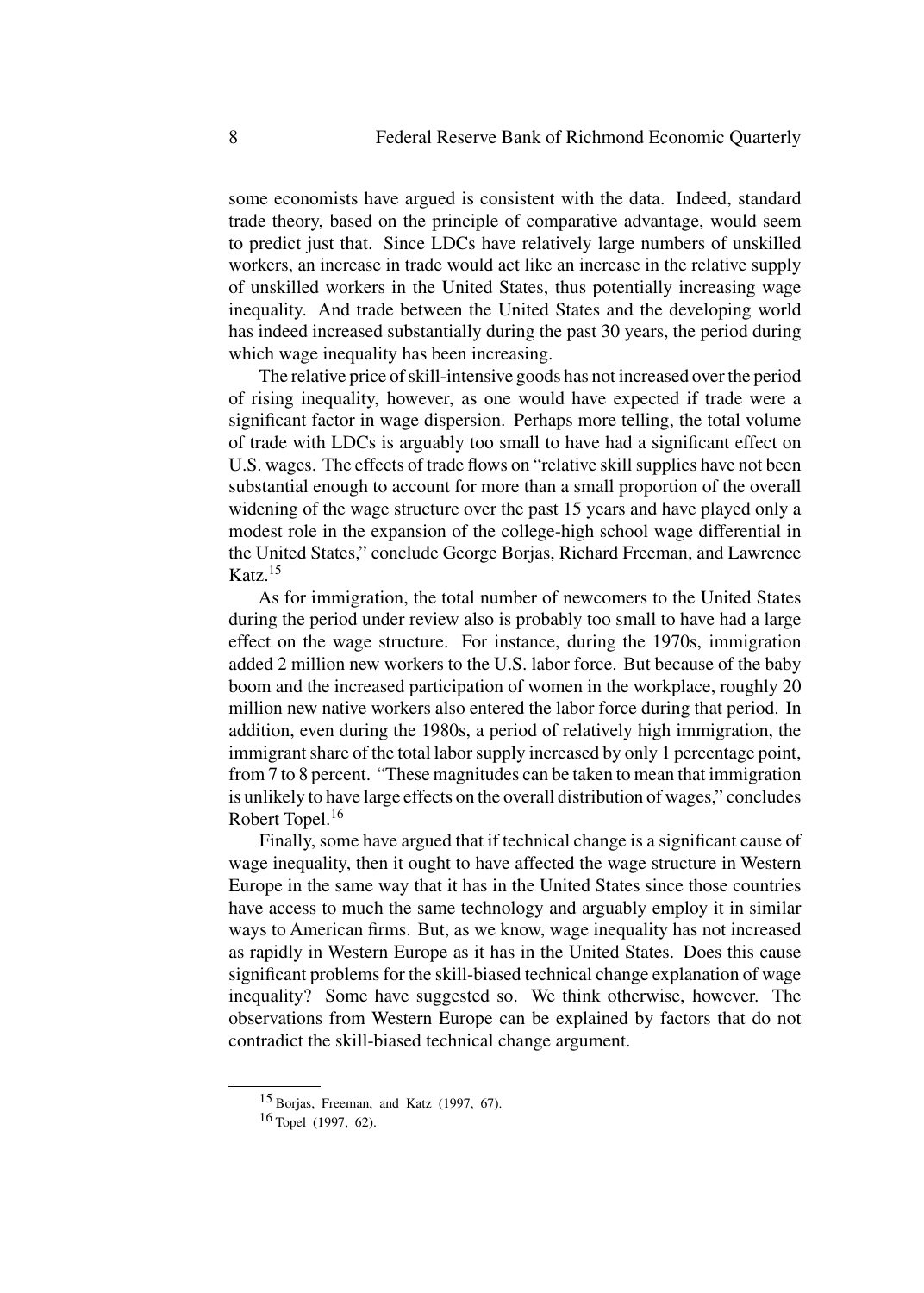some economists have argued is consistent with the data. Indeed, standard trade theory, based on the principle of comparative advantage, would seem to predict just that. Since LDCs have relatively large numbers of unskilled workers, an increase in trade would act like an increase in the relative supply of unskilled workers in the United States, thus potentially increasing wage inequality. And trade between the United States and the developing world has indeed increased substantially during the past 30 years, the period during which wage inequality has been increasing.

The relative price of skill-intensive goods has not increased over the period of rising inequality, however, as one would have expected if trade were a significant factor in wage dispersion. Perhaps more telling, the total volume of trade with LDCs is arguably too small to have had a significant effect on U.S. wages. The effects of trade flows on "relative skill supplies have not been substantial enough to account for more than a small proportion of the overall widening of the wage structure over the past 15 years and have played only a modest role in the expansion of the college-high school wage differential in the United States," conclude George Borjas, Richard Freeman, and Lawrence Katz $15$ 

As for immigration, the total number of newcomers to the United States during the period under review also is probably too small to have had a large effect on the wage structure. For instance, during the 1970s, immigration added 2 million new workers to the U.S. labor force. But because of the baby boom and the increased participation of women in the workplace, roughly 20 million new native workers also entered the labor force during that period. In addition, even during the 1980s, a period of relatively high immigration, the immigrant share of the total labor supply increased by only 1 percentage point, from 7 to 8 percent. "These magnitudes can be taken to mean that immigration is unlikely to have large effects on the overall distribution of wages," concludes Robert Topel.<sup>16</sup>

Finally, some have argued that if technical change is a significant cause of wage inequality, then it ought to have affected the wage structure in Western Europe in the same way that it has in the United States since those countries have access to much the same technology and arguably employ it in similar ways to American firms. But, as we know, wage inequality has not increased as rapidly in Western Europe as it has in the United States. Does this cause significant problems for the skill-biased technical change explanation of wage inequality? Some have suggested so. We think otherwise, however. The observations from Western Europe can be explained by factors that do not contradict the skill-biased technical change argument.

<sup>15</sup> Borjas, Freeman, and Katz (1997, 67).

<sup>16</sup> Topel (1997, 62).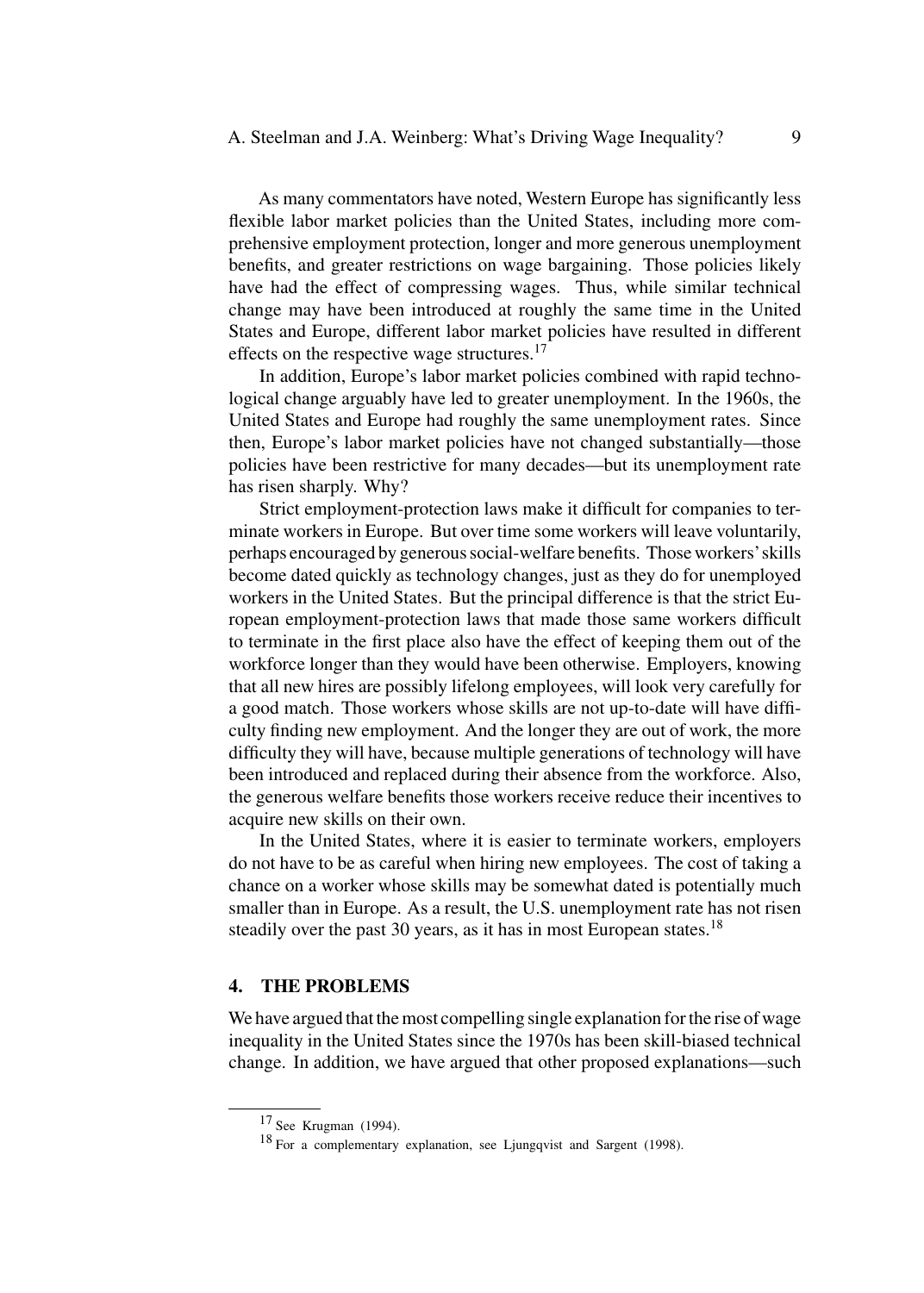As many commentators have noted, Western Europe has significantly less flexible labor market policies than the United States, including more comprehensive employment protection, longer and more generous unemployment benefits, and greater restrictions on wage bargaining. Those policies likely have had the effect of compressing wages. Thus, while similar technical change may have been introduced at roughly the same time in the United States and Europe, different labor market policies have resulted in different effects on the respective wage structures.<sup>17</sup>

In addition, Europe's labor market policies combined with rapid technological change arguably have led to greater unemployment. In the 1960s, the United States and Europe had roughly the same unemployment rates. Since then, Europe's labor market policies have not changed substantially—those policies have been restrictive for many decades—but its unemployment rate has risen sharply. Why?

Strict employment-protection laws make it difficult for companies to terminate workers in Europe. But over time some workers will leave voluntarily, perhaps encouraged by generous social-welfare benefits. Those workers'skills become dated quickly as technology changes, just as they do for unemployed workers in the United States. But the principal difference is that the strict European employment-protection laws that made those same workers difficult to terminate in the first place also have the effect of keeping them out of the workforce longer than they would have been otherwise. Employers, knowing that all new hires are possibly lifelong employees, will look very carefully for a good match. Those workers whose skills are not up-to-date will have difficulty finding new employment. And the longer they are out of work, the more difficulty they will have, because multiple generations of technology will have been introduced and replaced during their absence from the workforce. Also, the generous welfare benefits those workers receive reduce their incentives to acquire new skills on their own.

In the United States, where it is easier to terminate workers, employers do not have to be as careful when hiring new employees. The cost of taking a chance on a worker whose skills may be somewhat dated is potentially much smaller than in Europe. As a result, the U.S. unemployment rate has not risen steadily over the past 30 years, as it has in most European states.<sup>18</sup>

#### **4. THE PROBLEMS**

We have argued that the most compelling single explanation for the rise of wage inequality in the United States since the 1970s has been skill-biased technical change. In addition, we have argued that other proposed explanations—such

<sup>17</sup> See Krugman (1994).

<sup>18</sup> For a complementary explanation, see Ljungqvist and Sargent (1998).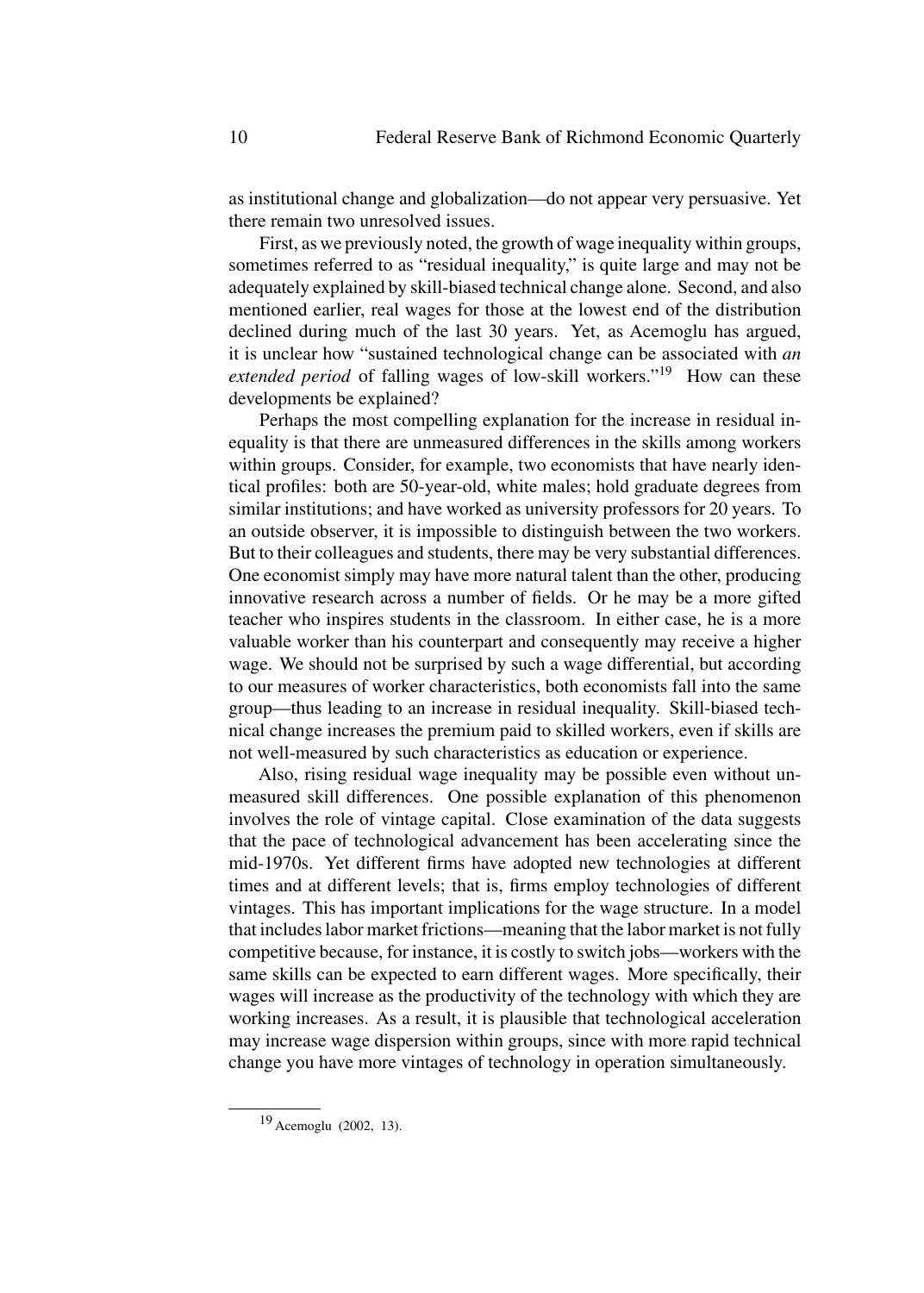as institutional change and globalization—do not appear very persuasive. Yet there remain two unresolved issues.

First, as we previously noted, the growth of wage inequality within groups, sometimes referred to as "residual inequality," is quite large and may not be adequately explained by skill-biased technical change alone. Second, and also mentioned earlier, real wages for those at the lowest end of the distribution declined during much of the last 30 years. Yet, as Acemoglu has argued, it is unclear how "sustained technological change can be associated with *an extended period* of falling wages of low-skill workers."<sup>19</sup> How can these developments be explained?

Perhaps the most compelling explanation for the increase in residual inequality is that there are unmeasured differences in the skills among workers within groups. Consider, for example, two economists that have nearly identical profiles: both are 50-year-old, white males; hold graduate degrees from similar institutions; and have worked as university professors for 20 years. To an outside observer, it is impossible to distinguish between the two workers. But to their colleagues and students, there may be very substantial differences. One economist simply may have more natural talent than the other, producing innovative research across a number of fields. Or he may be a more gifted teacher who inspires students in the classroom. In either case, he is a more valuable worker than his counterpart and consequently may receive a higher wage. We should not be surprised by such a wage differential, but according to our measures of worker characteristics, both economists fall into the same group—thus leading to an increase in residual inequality. Skill-biased technical change increases the premium paid to skilled workers, even if skills are not well-measured by such characteristics as education or experience.

Also, rising residual wage inequality may be possible even without unmeasured skill differences. One possible explanation of this phenomenon involves the role of vintage capital. Close examination of the data suggests that the pace of technological advancement has been accelerating since the mid-1970s. Yet different firms have adopted new technologies at different times and at different levels; that is, firms employ technologies of different vintages. This has important implications for the wage structure. In a model that includes labor market frictions—meaning that the labor market is not fully competitive because, for instance, it is costly to switch jobs—workers with the same skills can be expected to earn different wages. More specifically, their wages will increase as the productivity of the technology with which they are working increases. As a result, it is plausible that technological acceleration may increase wage dispersion within groups, since with more rapid technical change you have more vintages of technology in operation simultaneously.

<sup>19</sup> Acemoglu (2002, 13).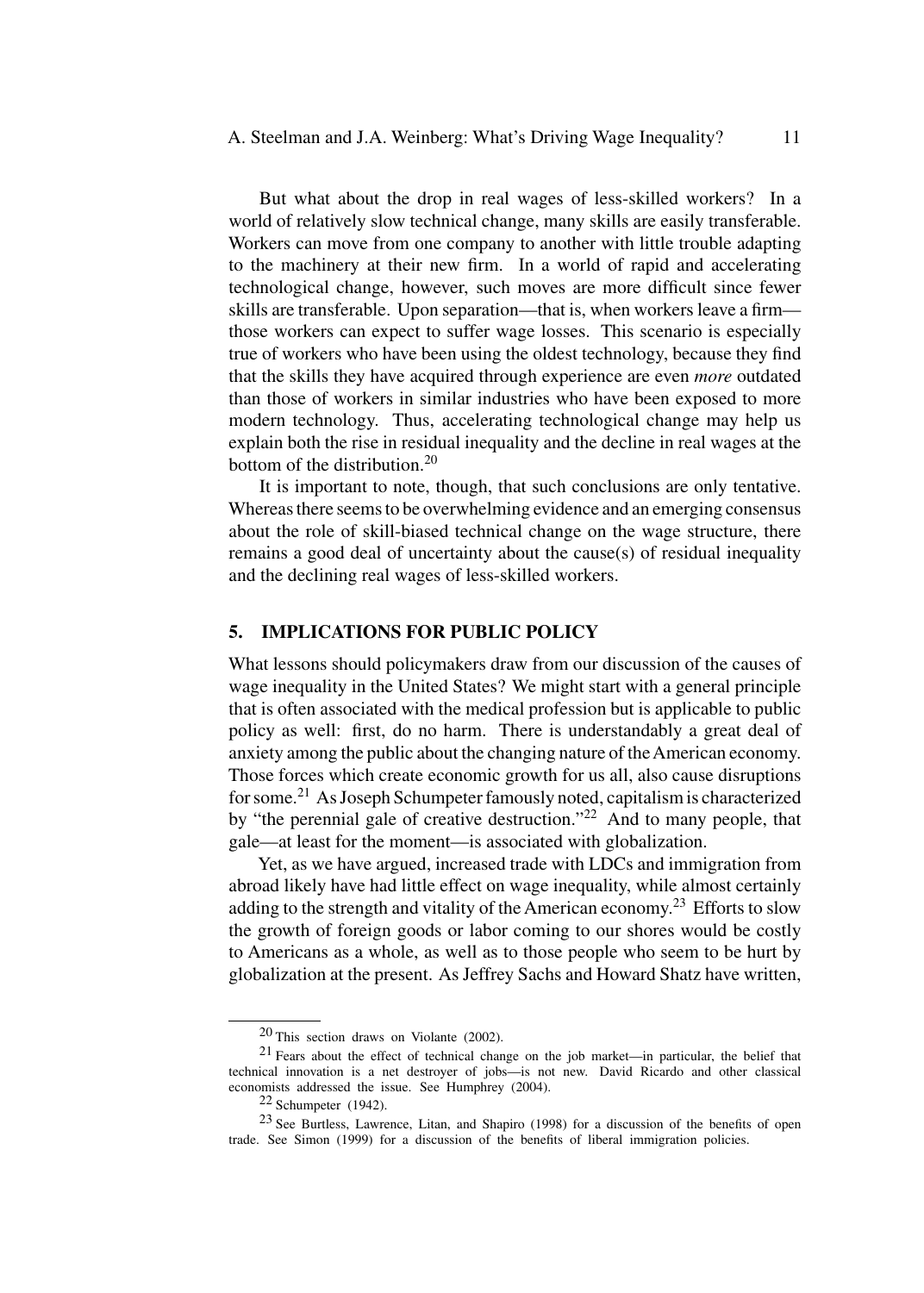But what about the drop in real wages of less-skilled workers? In a world of relatively slow technical change, many skills are easily transferable. Workers can move from one company to another with little trouble adapting to the machinery at their new firm. In a world of rapid and accelerating technological change, however, such moves are more difficult since fewer skills are transferable. Upon separation—that is, when workers leave a firm those workers can expect to suffer wage losses. This scenario is especially true of workers who have been using the oldest technology, because they find that the skills they have acquired through experience are even *more* outdated than those of workers in similar industries who have been exposed to more modern technology. Thus, accelerating technological change may help us explain both the rise in residual inequality and the decline in real wages at the bottom of the distribution.<sup>20</sup>

It is important to note, though, that such conclusions are only tentative. Whereas there seems to be overwhelming evidence and an emerging consensus about the role of skill-biased technical change on the wage structure, there remains a good deal of uncertainty about the cause(s) of residual inequality and the declining real wages of less-skilled workers.

# **5. IMPLICATIONS FOR PUBLIC POLICY**

What lessons should policymakers draw from our discussion of the causes of wage inequality in the United States? We might start with a general principle that is often associated with the medical profession but is applicable to public policy as well: first, do no harm. There is understandably a great deal of anxiety among the public about the changing nature of theAmerican economy. Those forces which create economic growth for us all, also cause disruptions for some.<sup>21</sup> As Joseph Schumpeter famously noted, capitalism is characterized by "the perennial gale of creative destruction."<sup>22</sup> And to many people, that gale—at least for the moment—is associated with globalization.

Yet, as we have argued, increased trade with LDCs and immigration from abroad likely have had little effect on wage inequality, while almost certainly adding to the strength and vitality of the American economy.<sup>23</sup> Efforts to slow the growth of foreign goods or labor coming to our shores would be costly to Americans as a whole, as well as to those people who seem to be hurt by globalization at the present. As Jeffrey Sachs and Howard Shatz have written,

<sup>20</sup> This section draws on Violante (2002).

 $21$  Fears about the effect of technical change on the job market—in particular, the belief that technical innovation is a net destroyer of jobs—is not new. David Ricardo and other classical economists addressed the issue. See Humphrey (2004).

<sup>22</sup> Schumpeter (1942).

<sup>23</sup> See Burtless, Lawrence, Litan, and Shapiro (1998) for a discussion of the benefits of open trade. See Simon (1999) for a discussion of the benefits of liberal immigration policies.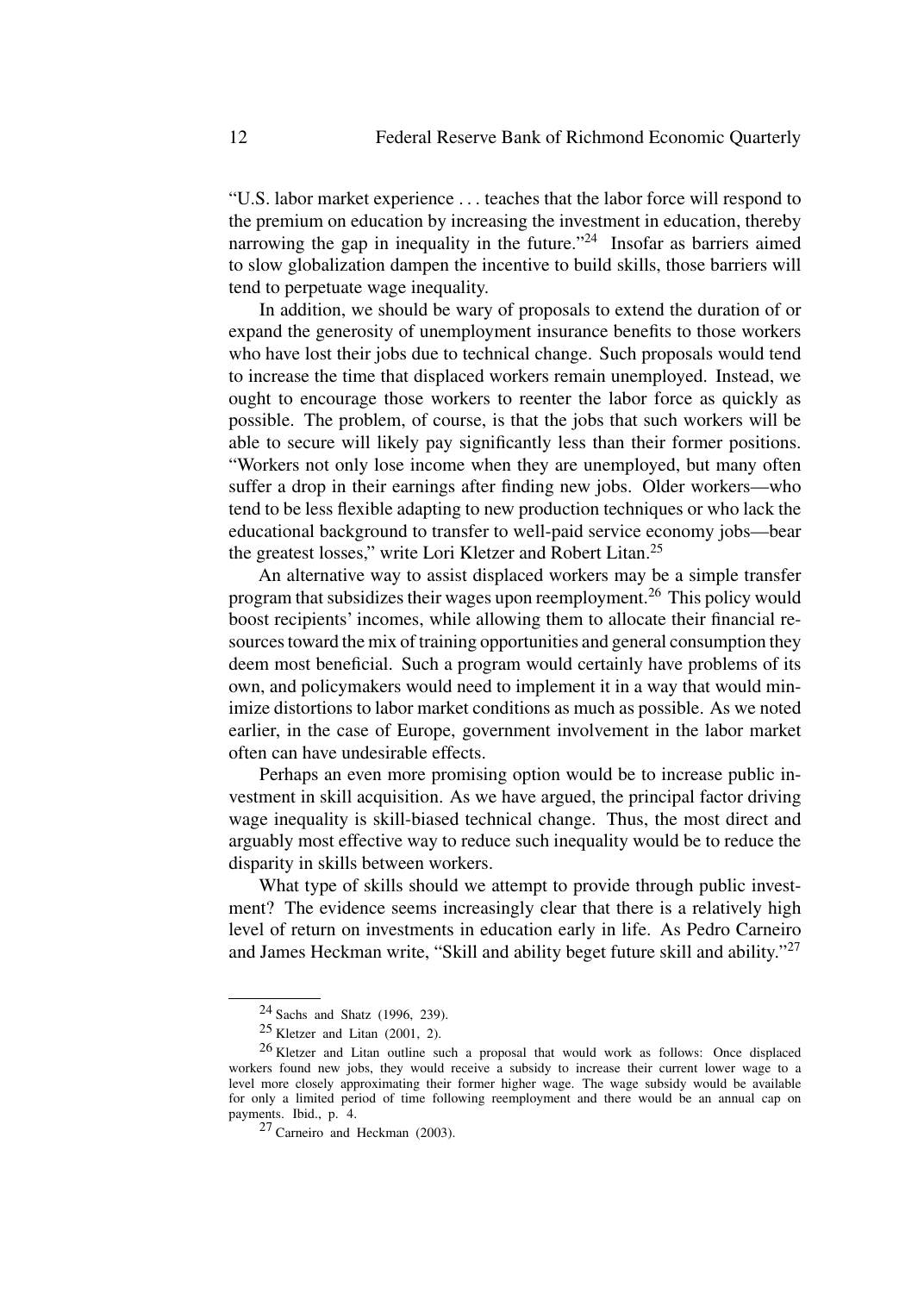"U.S. labor market experience *...* teaches that the labor force will respond to the premium on education by increasing the investment in education, thereby narrowing the gap in inequality in the future. $124$  Insofar as barriers aimed to slow globalization dampen the incentive to build skills, those barriers will tend to perpetuate wage inequality.

In addition, we should be wary of proposals to extend the duration of or expand the generosity of unemployment insurance benefits to those workers who have lost their jobs due to technical change. Such proposals would tend to increase the time that displaced workers remain unemployed. Instead, we ought to encourage those workers to reenter the labor force as quickly as possible. The problem, of course, is that the jobs that such workers will be able to secure will likely pay significantly less than their former positions. "Workers not only lose income when they are unemployed, but many often suffer a drop in their earnings after finding new jobs. Older workers—who tend to be less flexible adapting to new production techniques or who lack the educational background to transfer to well-paid service economy jobs—bear the greatest losses," write Lori Kletzer and Robert Litan.<sup>25</sup>

An alternative way to assist displaced workers may be a simple transfer program that subsidizes their wages upon reemployment.<sup>26</sup> This policy would boost recipients' incomes, while allowing them to allocate their financial resources toward the mix of training opportunities and general consumption they deem most beneficial. Such a program would certainly have problems of its own, and policymakers would need to implement it in a way that would minimize distortions to labor market conditions as much as possible. As we noted earlier, in the case of Europe, government involvement in the labor market often can have undesirable effects.

Perhaps an even more promising option would be to increase public investment in skill acquisition. As we have argued, the principal factor driving wage inequality is skill-biased technical change. Thus, the most direct and arguably most effective way to reduce such inequality would be to reduce the disparity in skills between workers.

What type of skills should we attempt to provide through public investment? The evidence seems increasingly clear that there is a relatively high level of return on investments in education early in life. As Pedro Carneiro and James Heckman write, "Skill and ability beget future skill and ability."<sup>27</sup>

<sup>24</sup> Sachs and Shatz (1996, 239).

<sup>25</sup> Kletzer and Litan (2001, 2).

<sup>26</sup> Kletzer and Litan outline such a proposal that would work as follows: Once displaced workers found new jobs, they would receive a subsidy to increase their current lower wage to a level more closely approximating their former higher wage. The wage subsidy would be available for only a limited period of time following reemployment and there would be an annual cap on payments. Ibid., p. 4.

<sup>27</sup> Carneiro and Heckman (2003).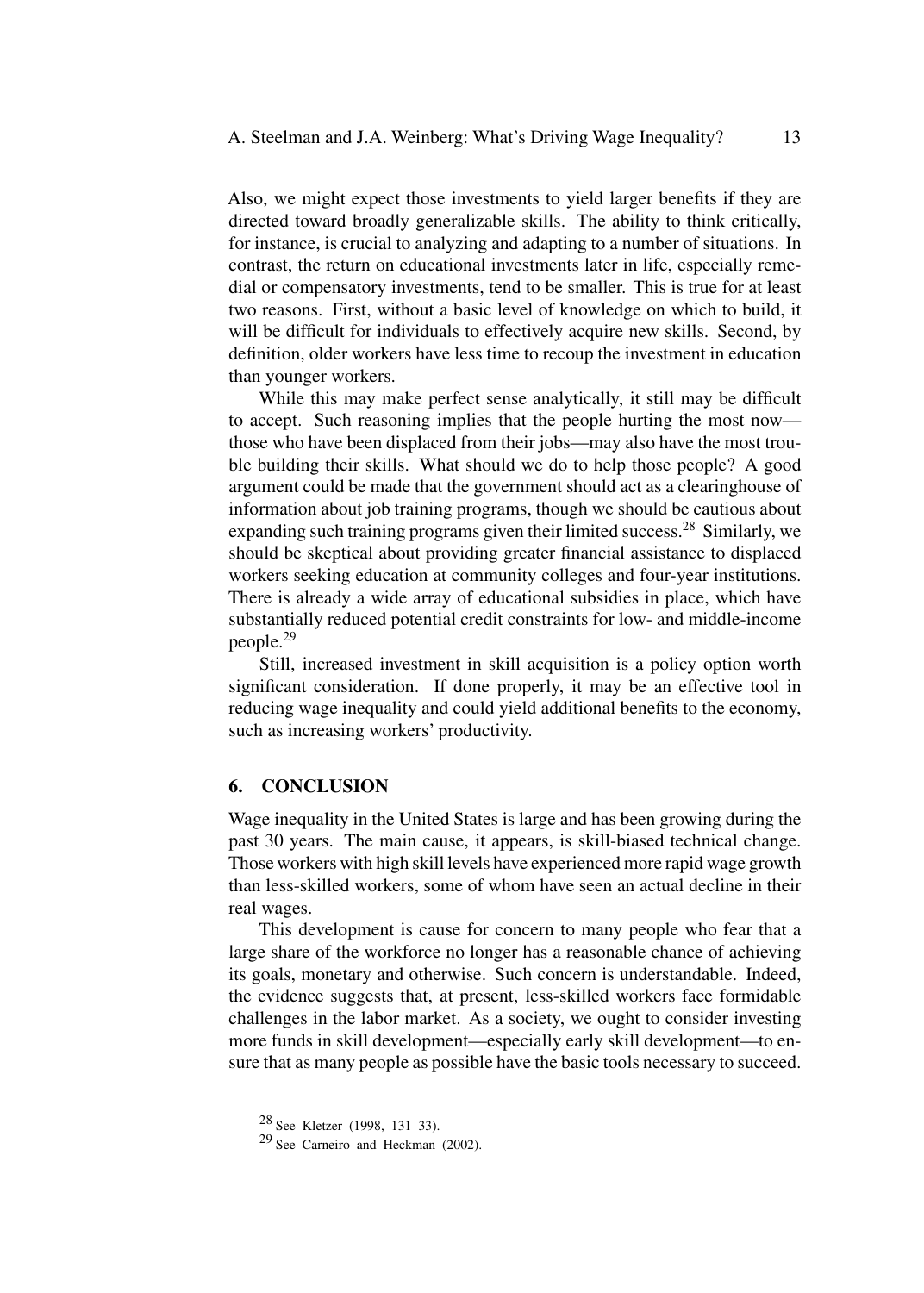Also, we might expect those investments to yield larger benefits if they are directed toward broadly generalizable skills. The ability to think critically, for instance, is crucial to analyzing and adapting to a number of situations. In contrast, the return on educational investments later in life, especially remedial or compensatory investments, tend to be smaller. This is true for at least two reasons. First, without a basic level of knowledge on which to build, it will be difficult for individuals to effectively acquire new skills. Second, by definition, older workers have less time to recoup the investment in education than younger workers.

While this may make perfect sense analytically, it still may be difficult to accept. Such reasoning implies that the people hurting the most now those who have been displaced from their jobs—may also have the most trouble building their skills. What should we do to help those people? A good argument could be made that the government should act as a clearinghouse of information about job training programs, though we should be cautious about expanding such training programs given their limited success.<sup>28</sup> Similarly, we should be skeptical about providing greater financial assistance to displaced workers seeking education at community colleges and four-year institutions. There is already a wide array of educational subsidies in place, which have substantially reduced potential credit constraints for low- and middle-income people.<sup>29</sup>

Still, increased investment in skill acquisition is a policy option worth significant consideration. If done properly, it may be an effective tool in reducing wage inequality and could yield additional benefits to the economy, such as increasing workers' productivity.

#### **6. CONCLUSION**

Wage inequality in the United States is large and has been growing during the past 30 years. The main cause, it appears, is skill-biased technical change. Those workers with high skill levels have experienced more rapid wage growth than less-skilled workers, some of whom have seen an actual decline in their real wages.

This development is cause for concern to many people who fear that a large share of the workforce no longer has a reasonable chance of achieving its goals, monetary and otherwise. Such concern is understandable. Indeed, the evidence suggests that, at present, less-skilled workers face formidable challenges in the labor market. As a society, we ought to consider investing more funds in skill development—especially early skill development—to ensure that as many people as possible have the basic tools necessary to succeed.

<sup>28</sup> See Kletzer (1998, 131–33).

<sup>29</sup> See Carneiro and Heckman (2002).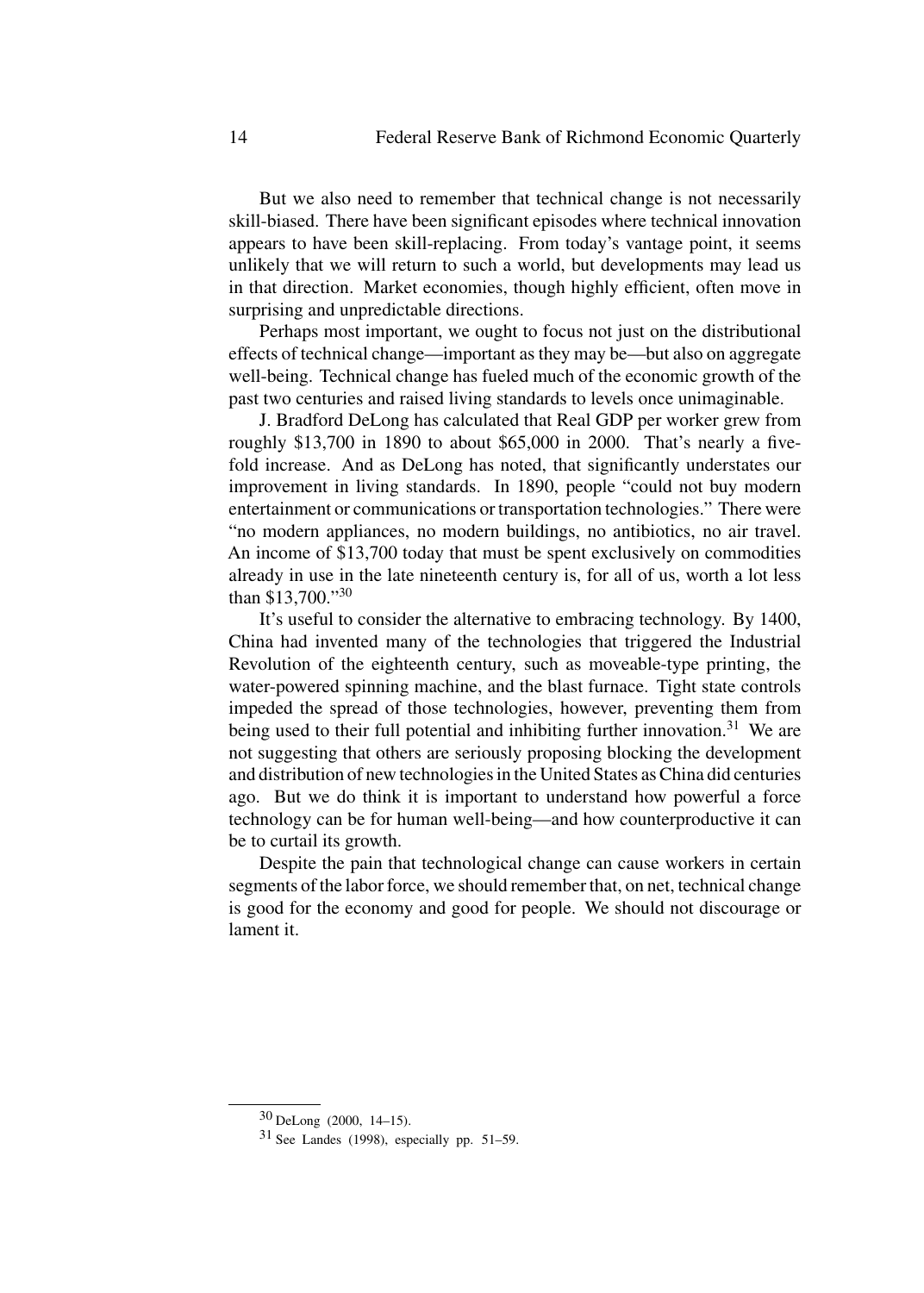But we also need to remember that technical change is not necessarily skill-biased. There have been significant episodes where technical innovation appears to have been skill-replacing. From today's vantage point, it seems unlikely that we will return to such a world, but developments may lead us in that direction. Market economies, though highly efficient, often move in surprising and unpredictable directions.

Perhaps most important, we ought to focus not just on the distributional effects of technical change—important as they may be—but also on aggregate well-being. Technical change has fueled much of the economic growth of the past two centuries and raised living standards to levels once unimaginable.

J. Bradford DeLong has calculated that Real GDP per worker grew from roughly \$13,700 in 1890 to about \$65,000 in 2000. That's nearly a fivefold increase. And as DeLong has noted, that significantly understates our improvement in living standards. In 1890, people "could not buy modern entertainment or communications or transportation technologies." There were "no modern appliances, no modern buildings, no antibiotics, no air travel. An income of \$13,700 today that must be spent exclusively on commodities already in use in the late nineteenth century is, for all of us, worth a lot less than \$13,700."<sup>30</sup>

It's useful to consider the alternative to embracing technology. By 1400, China had invented many of the technologies that triggered the Industrial Revolution of the eighteenth century, such as moveable-type printing, the water-powered spinning machine, and the blast furnace. Tight state controls impeded the spread of those technologies, however, preventing them from being used to their full potential and inhibiting further innovation.<sup>31</sup> We are not suggesting that others are seriously proposing blocking the development and distribution of new technologies in the United States as China did centuries ago. But we do think it is important to understand how powerful a force technology can be for human well-being—and how counterproductive it can be to curtail its growth.

Despite the pain that technological change can cause workers in certain segments of the labor force, we should remember that, on net, technical change is good for the economy and good for people. We should not discourage or lament it.

<sup>30</sup> DeLong (2000, 14–15).

 $31$  See Landes (1998), especially pp. 51–59.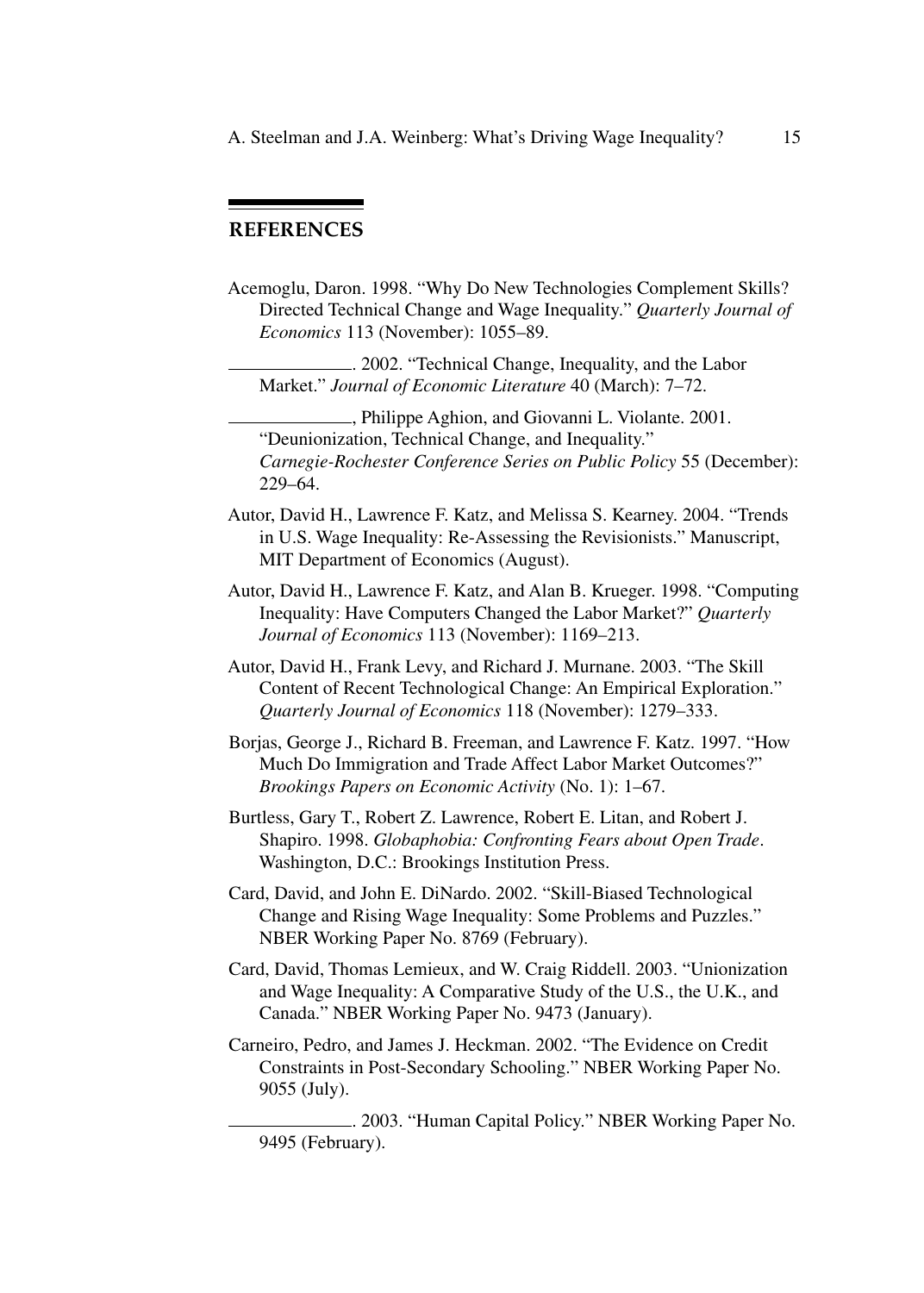# **REFERENCES**

Acemoglu, Daron. 1998. "Why Do New Technologies Complement Skills? Directed Technical Change and Wage Inequality." *Quarterly Journal of Economics* 113 (November): 1055–89.

. 2002. "Technical Change, Inequality, and the Labor Market." *Journal of Economic Literature* 40 (March): 7–72.

, Philippe Aghion, and Giovanni L. Violante. 2001. "Deunionization, Technical Change, and Inequality." *Carnegie-Rochester Conference Series on Public Policy* 55 (December): 229–64.

- Autor, David H., Lawrence F. Katz, and Melissa S. Kearney. 2004. "Trends in U.S. Wage Inequality: Re-Assessing the Revisionists." Manuscript, MIT Department of Economics (August).
- Autor, David H., Lawrence F. Katz, and Alan B. Krueger. 1998. "Computing Inequality: Have Computers Changed the Labor Market?" *Quarterly Journal of Economics* 113 (November): 1169–213.
- Autor, David H., Frank Levy, and Richard J. Murnane. 2003. "The Skill Content of Recent Technological Change: An Empirical Exploration." *Quarterly Journal of Economics* 118 (November): 1279–333.

Borjas, George J., Richard B. Freeman, and Lawrence F. Katz. 1997. "How Much Do Immigration and Trade Affect Labor Market Outcomes?" *Brookings Papers on Economic Activity* (No. 1): 1–67.

Burtless, Gary T., Robert Z. Lawrence, Robert E. Litan, and Robert J. Shapiro. 1998. *Globaphobia: Confronting Fears about Open Trade*. Washington, D.C.: Brookings Institution Press.

Card, David, and John E. DiNardo. 2002. "Skill-Biased Technological Change and Rising Wage Inequality: Some Problems and Puzzles." NBER Working Paper No. 8769 (February).

Card, David, Thomas Lemieux, and W. Craig Riddell. 2003. "Unionization and Wage Inequality: A Comparative Study of the U.S., the U.K., and Canada." NBER Working Paper No. 9473 (January).

Carneiro, Pedro, and James J. Heckman. 2002. "The Evidence on Credit Constraints in Post-Secondary Schooling." NBER Working Paper No. 9055 (July).

. 2003. "Human Capital Policy." NBER Working Paper No. 9495 (February).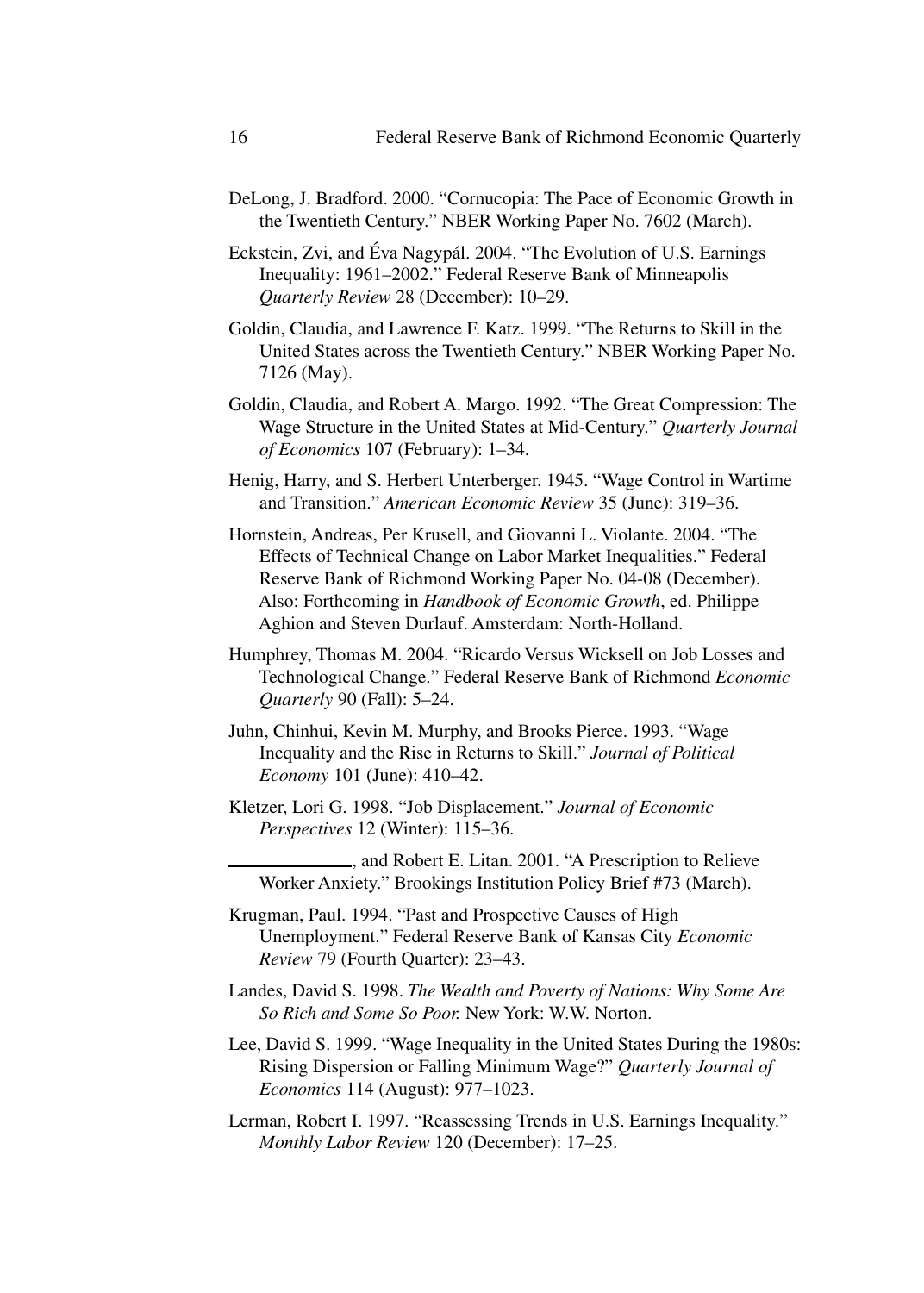- DeLong, J. Bradford. 2000. "Cornucopia: The Pace of Economic Growth in the Twentieth Century." NBER Working Paper No. 7602 (March).
- Eckstein, Zvi, and Éva Nagypál. 2004. "The Evolution of U.S. Earnings Inequality: 1961–2002." Federal Reserve Bank of Minneapolis *Quarterly Review* 28 (December): 10–29.
- Goldin, Claudia, and Lawrence F. Katz. 1999. "The Returns to Skill in the United States across the Twentieth Century." NBER Working Paper No. 7126 (May).
- Goldin, Claudia, and Robert A. Margo. 1992. "The Great Compression: The Wage Structure in the United States at Mid-Century." *Quarterly Journal of Economics* 107 (February): 1–34.
- Henig, Harry, and S. Herbert Unterberger. 1945. "Wage Control in Wartime and Transition." *American Economic Review* 35 (June): 319–36.
- Hornstein, Andreas, Per Krusell, and Giovanni L. Violante. 2004. "The Effects of Technical Change on Labor Market Inequalities." Federal Reserve Bank of Richmond Working Paper No. 04-08 (December). Also: Forthcoming in *Handbook of Economic Growth*, ed. Philippe Aghion and Steven Durlauf. Amsterdam: North-Holland.
- Humphrey, Thomas M. 2004. "Ricardo Versus Wicksell on Job Losses and Technological Change." Federal Reserve Bank of Richmond *Economic Quarterly* 90 (Fall): 5–24.
- Juhn, Chinhui, Kevin M. Murphy, and Brooks Pierce. 1993. "Wage Inequality and the Rise in Returns to Skill." *Journal of Political Economy* 101 (June): 410–42.
- Kletzer, Lori G. 1998. "Job Displacement." *Journal of Economic Perspectives* 12 (Winter): 115–36.
	- , and Robert E. Litan. 2001. "A Prescription to Relieve Worker Anxiety." Brookings Institution Policy Brief #73 (March).
- Krugman, Paul. 1994. "Past and Prospective Causes of High Unemployment." Federal Reserve Bank of Kansas City *Economic Review* 79 (Fourth Quarter): 23–43.
- Landes, David S. 1998. *The Wealth and Poverty of Nations: Why Some Are So Rich and Some So Poor.* New York: W.W. Norton.
- Lee, David S. 1999. "Wage Inequality in the United States During the 1980s: Rising Dispersion or Falling Minimum Wage?" *Quarterly Journal of Economics* 114 (August): 977–1023.
- Lerman, Robert I. 1997. "Reassessing Trends in U.S. Earnings Inequality." *Monthly Labor Review* 120 (December): 17–25.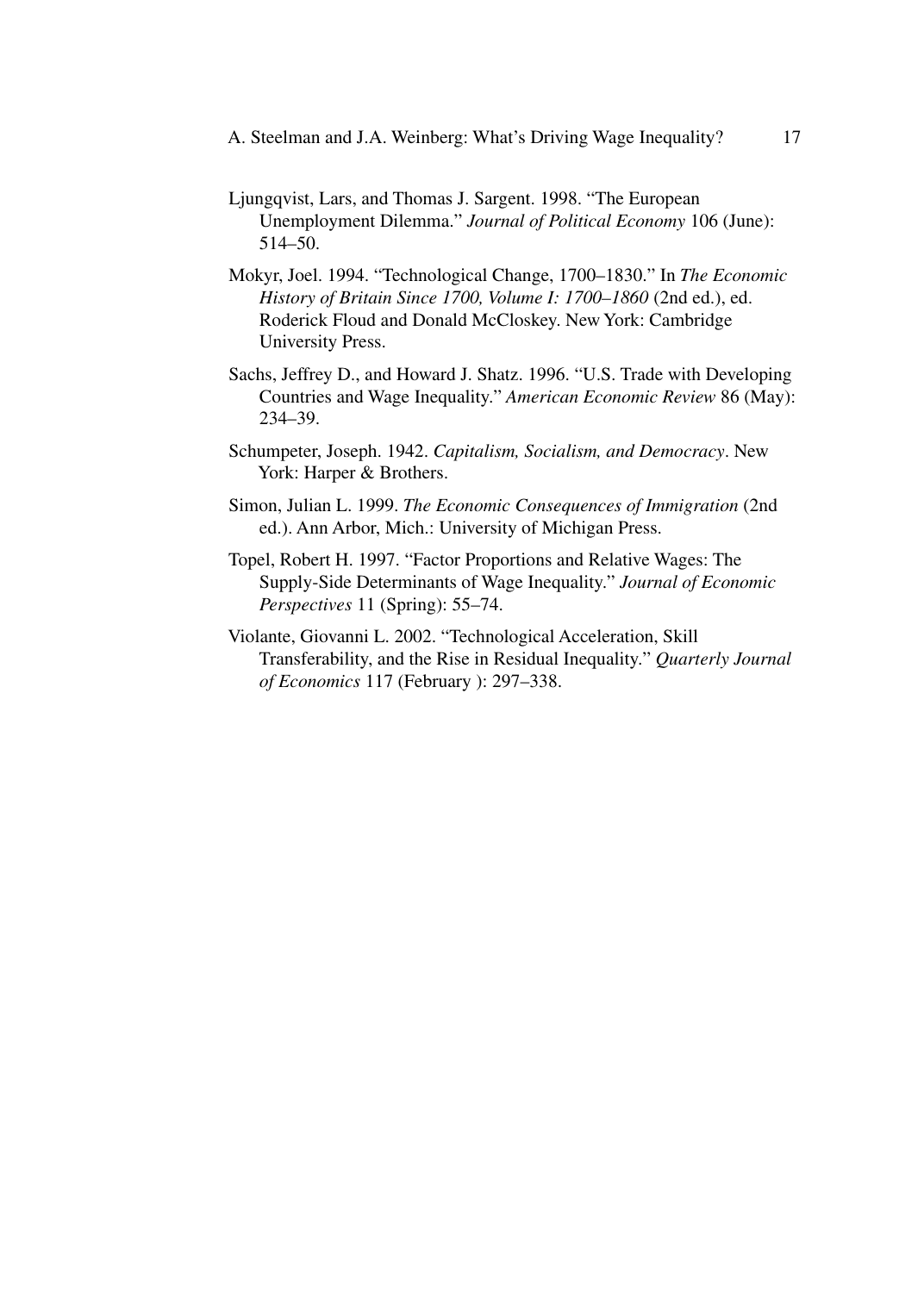A. Steelman and J.A. Weinberg: What's Driving Wage Inequality? 17

- Ljungqvist, Lars, and Thomas J. Sargent. 1998. "The European Unemployment Dilemma." *Journal of Political Economy* 106 (June): 514–50.
- Mokyr, Joel. 1994. "Technological Change, 1700–1830." In *The Economic History of Britain Since 1700, Volume I: 1700–1860* (2nd ed.), ed. Roderick Floud and Donald McCloskey. New York: Cambridge University Press.
- Sachs, Jeffrey D., and Howard J. Shatz. 1996. "U.S. Trade with Developing Countries and Wage Inequality." *American Economic Review* 86 (May): 234–39.
- Schumpeter, Joseph. 1942. *Capitalism, Socialism, and Democracy*. New York: Harper & Brothers.
- Simon, Julian L. 1999. *The Economic Consequences of Immigration* (2nd ed.). Ann Arbor, Mich.: University of Michigan Press.
- Topel, Robert H. 1997. "Factor Proportions and Relative Wages: The Supply-Side Determinants of Wage Inequality." *Journal of Economic Perspectives* 11 (Spring): 55–74.
- Violante, Giovanni L. 2002. "Technological Acceleration, Skill Transferability, and the Rise in Residual Inequality." *Quarterly Journal of Economics* 117 (February ): 297–338.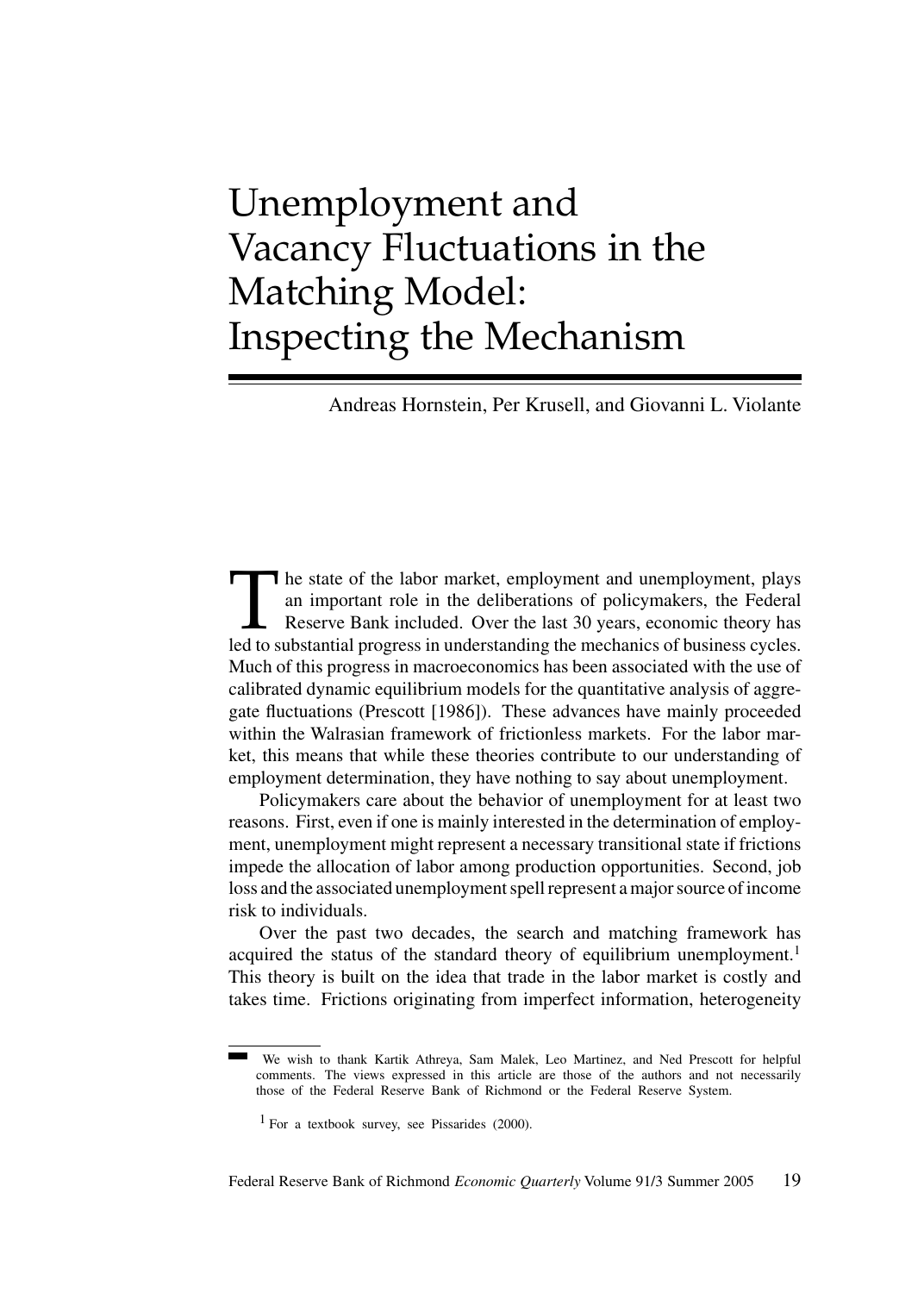# Unemployment and Vacancy Fluctuations in the Matching Model: Inspecting the Mechanism

Andreas Hornstein, Per Krusell, and Giovanni L. Violante

The state of the labor market, employment and unemployment, plays<br>an important role in the deliberations of policymakers, the Federal<br>Reserve Bank included. Over the last 30 years, economic theory has<br>led to substantial pr an important role in the deliberations of policymakers, the Federal Reserve Bank included. Over the last 30 years, economic theory has led to substantial progress in understanding the mechanics of business cycles. Much of this progress in macroeconomics has been associated with the use of calibrated dynamic equilibrium models for the quantitative analysis of aggregate fluctuations (Prescott [1986]). These advances have mainly proceeded within the Walrasian framework of frictionless markets. For the labor market, this means that while these theories contribute to our understanding of employment determination, they have nothing to say about unemployment.

Policymakers care about the behavior of unemployment for at least two reasons. First, even if one is mainly interested in the determination of employment, unemployment might represent a necessary transitional state if frictions impede the allocation of labor among production opportunities. Second, job loss and the associated unemployment spell represent a major source of income risk to individuals.

Over the past two decades, the search and matching framework has acquired the status of the standard theory of equilibrium unemployment.<sup>1</sup> This theory is built on the idea that trade in the labor market is costly and takes time. Frictions originating from imperfect information, heterogeneity

We wish to thank Kartik Athreya, Sam Malek, Leo Martinez, and Ned Prescott for helpful comments. The views expressed in this article are those of the authors and not necessarily those of the Federal Reserve Bank of Richmond or the Federal Reserve System.

 $1$  For a textbook survey, see Pissarides (2000).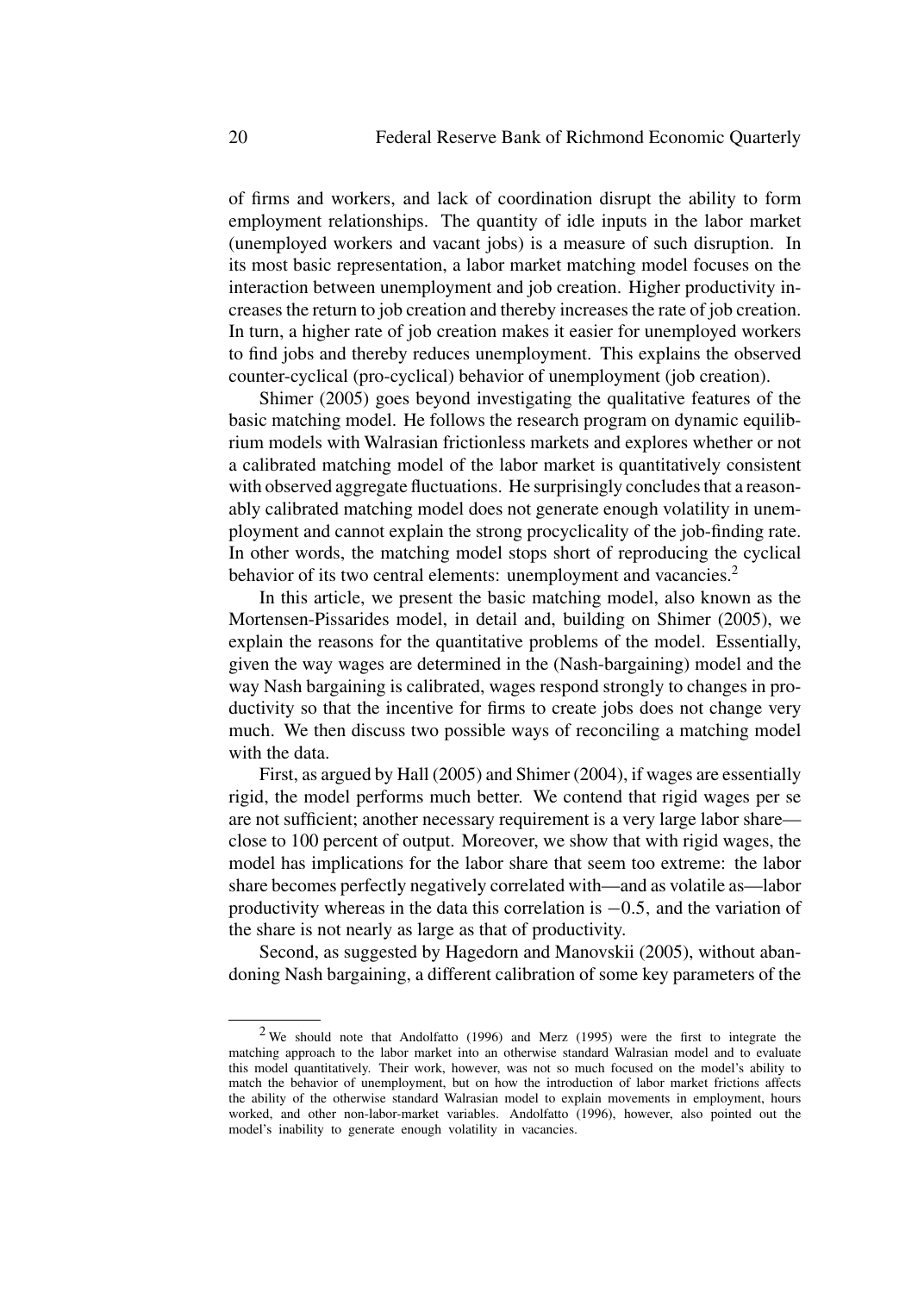of firms and workers, and lack of coordination disrupt the ability to form employment relationships. The quantity of idle inputs in the labor market (unemployed workers and vacant jobs) is a measure of such disruption. In its most basic representation, a labor market matching model focuses on the interaction between unemployment and job creation. Higher productivity increases the return to job creation and thereby increases the rate of job creation. In turn, a higher rate of job creation makes it easier for unemployed workers to find jobs and thereby reduces unemployment. This explains the observed counter-cyclical (pro-cyclical) behavior of unemployment (job creation).

Shimer (2005) goes beyond investigating the qualitative features of the basic matching model. He follows the research program on dynamic equilibrium models with Walrasian frictionless markets and explores whether or not a calibrated matching model of the labor market is quantitatively consistent with observed aggregate fluctuations. He surprisingly concludes that a reasonably calibrated matching model does not generate enough volatility in unemployment and cannot explain the strong procyclicality of the job-finding rate. In other words, the matching model stops short of reproducing the cyclical behavior of its two central elements: unemployment and vacancies.<sup>2</sup>

In this article, we present the basic matching model, also known as the Mortensen-Pissarides model, in detail and, building on Shimer (2005), we explain the reasons for the quantitative problems of the model. Essentially, given the way wages are determined in the (Nash-bargaining) model and the way Nash bargaining is calibrated, wages respond strongly to changes in productivity so that the incentive for firms to create jobs does not change very much. We then discuss two possible ways of reconciling a matching model with the data.

First, as argued by Hall (2005) and Shimer (2004), if wages are essentially rigid, the model performs much better. We contend that rigid wages per se are not sufficient; another necessary requirement is a very large labor share close to 100 percent of output. Moreover, we show that with rigid wages, the model has implications for the labor share that seem too extreme: the labor share becomes perfectly negatively correlated with—and as volatile as—labor productivity whereas in the data this correlation is <sup>−</sup>0*.*5*,* and the variation of the share is not nearly as large as that of productivity.

Second, as suggested by Hagedorn and Manovskii (2005), without abandoning Nash bargaining, a different calibration of some key parameters of the

 $2$  We should note that Andolfatto (1996) and Merz (1995) were the first to integrate the matching approach to the labor market into an otherwise standard Walrasian model and to evaluate this model quantitatively. Their work, however, was not so much focused on the model's ability to match the behavior of unemployment, but on how the introduction of labor market frictions affects the ability of the otherwise standard Walrasian model to explain movements in employment, hours worked, and other non-labor-market variables. Andolfatto (1996), however, also pointed out the model's inability to generate enough volatility in vacancies.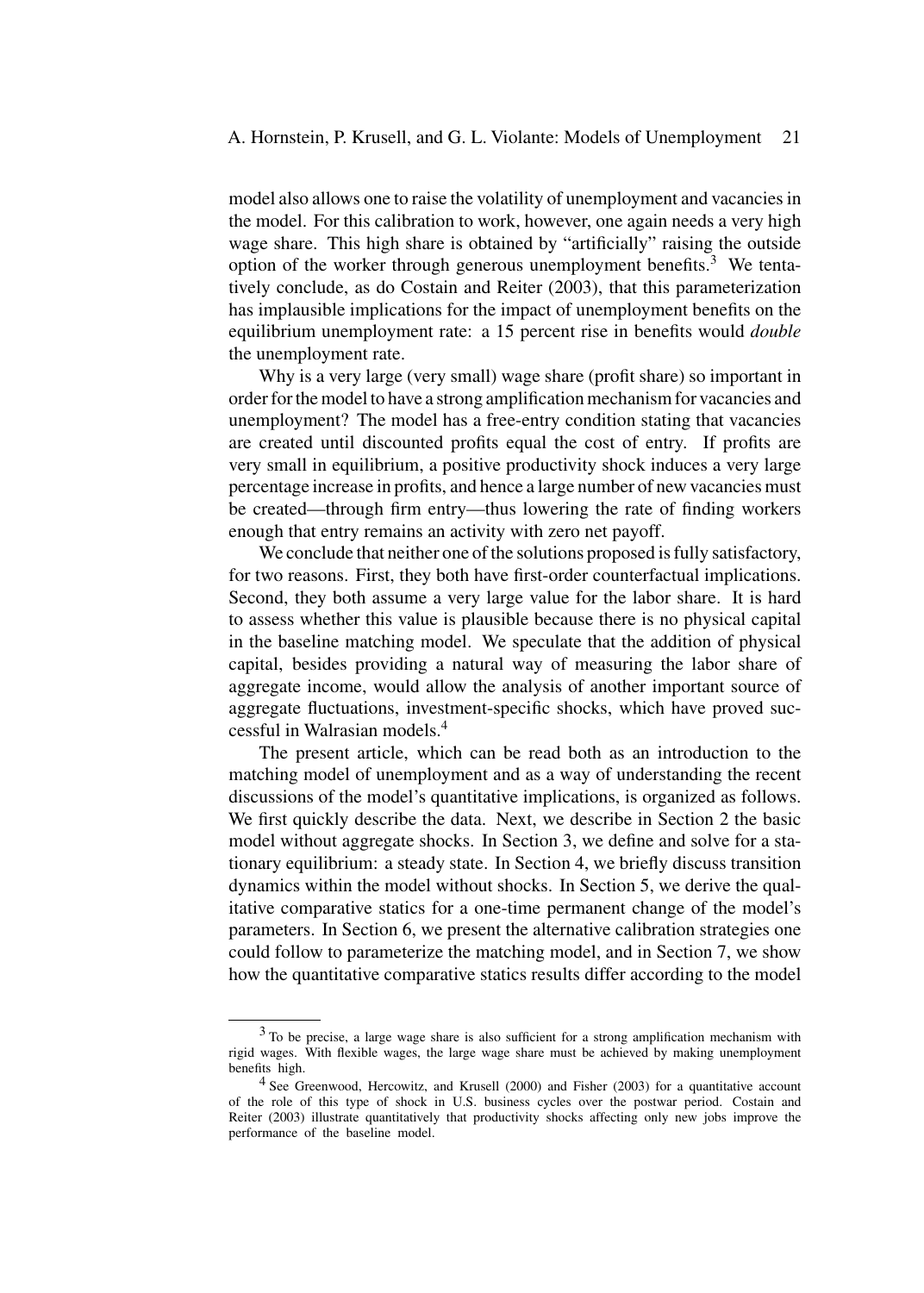model also allows one to raise the volatility of unemployment and vacancies in the model. For this calibration to work, however, one again needs a very high wage share. This high share is obtained by "artificially" raising the outside option of the worker through generous unemployment benefits.<sup>3</sup> We tentatively conclude, as do Costain and Reiter (2003), that this parameterization has implausible implications for the impact of unemployment benefits on the equilibrium unemployment rate: a 15 percent rise in benefits would *double* the unemployment rate.

Why is a very large (very small) wage share (profit share) so important in order for the model to have a strong amplification mechanism for vacancies and unemployment? The model has a free-entry condition stating that vacancies are created until discounted profits equal the cost of entry. If profits are very small in equilibrium, a positive productivity shock induces a very large percentage increase in profits, and hence a large number of new vacancies must be created—through firm entry—thus lowering the rate of finding workers enough that entry remains an activity with zero net payoff.

We conclude that neither one of the solutions proposed is fully satisfactory, for two reasons. First, they both have first-order counterfactual implications. Second, they both assume a very large value for the labor share. It is hard to assess whether this value is plausible because there is no physical capital in the baseline matching model. We speculate that the addition of physical capital, besides providing a natural way of measuring the labor share of aggregate income, would allow the analysis of another important source of aggregate fluctuations, investment-specific shocks, which have proved successful in Walrasian models.<sup>4</sup>

The present article, which can be read both as an introduction to the matching model of unemployment and as a way of understanding the recent discussions of the model's quantitative implications, is organized as follows. We first quickly describe the data. Next, we describe in Section 2 the basic model without aggregate shocks. In Section 3, we define and solve for a stationary equilibrium: a steady state. In Section 4, we briefly discuss transition dynamics within the model without shocks. In Section 5, we derive the qualitative comparative statics for a one-time permanent change of the model's parameters. In Section 6, we present the alternative calibration strategies one could follow to parameterize the matching model, and in Section 7, we show how the quantitative comparative statics results differ according to the model

<sup>&</sup>lt;sup>3</sup> To be precise, a large wage share is also sufficient for a strong amplification mechanism with rigid wages. With flexible wages, the large wage share must be achieved by making unemployment benefits high.

<sup>4</sup> See Greenwood, Hercowitz, and Krusell (2000) and Fisher (2003) for a quantitative account of the role of this type of shock in U.S. business cycles over the postwar period. Costain and Reiter (2003) illustrate quantitatively that productivity shocks affecting only new jobs improve the performance of the baseline model.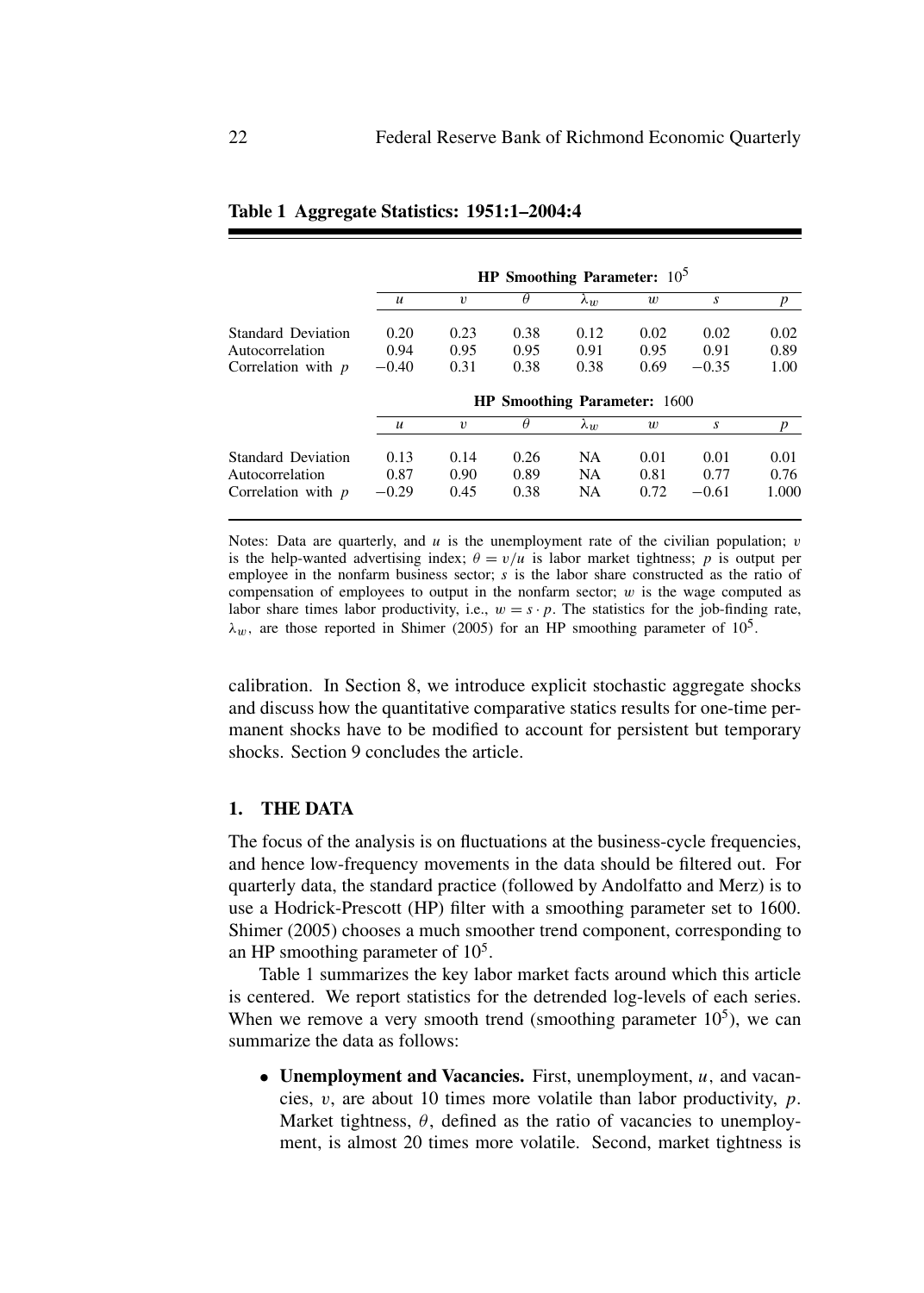|                           |                                     |                  | HP Smoothing Parameter: $10^5$ |             |                  |         |                  |
|---------------------------|-------------------------------------|------------------|--------------------------------|-------------|------------------|---------|------------------|
|                           | $\boldsymbol{u}$                    | $\boldsymbol{v}$ | $\theta$                       | $\lambda_w$ | $\boldsymbol{w}$ | S       | $\boldsymbol{p}$ |
| <b>Standard Deviation</b> | 0.20                                | 0.23             | 0.38                           | 0.12        | 0.02             | 0.02    | 0.02             |
| Autocorrelation           | 0.94                                | 0.95             | 0.95                           | 0.91        | 0.95             | 0.91    | 0.89             |
| Correlation with $p$      | $-0.40$                             | 0.31             | 0.38                           | 0.38        | 0.69             | $-0.35$ | 1.00             |
|                           | <b>HP Smoothing Parameter: 1600</b> |                  |                                |             |                  |         |                  |
|                           |                                     |                  |                                |             |                  |         |                  |
|                           | $\boldsymbol{u}$                    | $\upsilon$       | $\theta$                       | $\lambda_w$ | w                | S       | p                |
| Standard Deviation        | 0.13                                | 0.14             | 0.26                           | <b>NA</b>   | 0.01             | 0.01    | 0.01             |
| Autocorrelation           | 0.87                                | 0.90             | 0.89                           | <b>NA</b>   | 0.81             | 0.77    | 0.76             |

#### **Table 1 Aggregate Statistics: 1951:1–2004:4**

Notes: Data are quarterly, and *u* is the unemployment rate of the civilian population; *v* is the help-wanted advertising index;  $\theta = v/u$  is labor market tightness; *p* is output per employee in the nonfarm business sector; *s* is the labor share constructed as the ratio of compensation of employees to output in the nonfarm sector; *w* is the wage computed as labor share times labor productivity, i.e.,  $w = s \cdot p$ . The statistics for the job-finding rate,  $\lambda_w$ , are those reported in Shimer (2005) for an HP smoothing parameter of 10<sup>5</sup>.

calibration. In Section 8, we introduce explicit stochastic aggregate shocks and discuss how the quantitative comparative statics results for one-time permanent shocks have to be modified to account for persistent but temporary shocks. Section 9 concludes the article.

## **1. THE DATA**

The focus of the analysis is on fluctuations at the business-cycle frequencies, and hence low-frequency movements in the data should be filtered out. For quarterly data, the standard practice (followed by Andolfatto and Merz) is to use a Hodrick-Prescott (HP) filter with a smoothing parameter set to 1600*.* Shimer (2005) chooses a much smoother trend component, corresponding to an HP smoothing parameter of  $10<sup>5</sup>$ .

Table 1 summarizes the key labor market facts around which this article is centered. We report statistics for the detrended log-levels of each series. When we remove a very smooth trend (smoothing parameter  $10^5$ ), we can summarize the data as follows:

• **Unemployment and Vacancies.** First, unemployment, *u,* and vacancies, *v*, are about 10 times more volatile than labor productivity, *p*. Market tightness,  $\theta$ , defined as the ratio of vacancies to unemployment, is almost 20 times more volatile. Second, market tightness is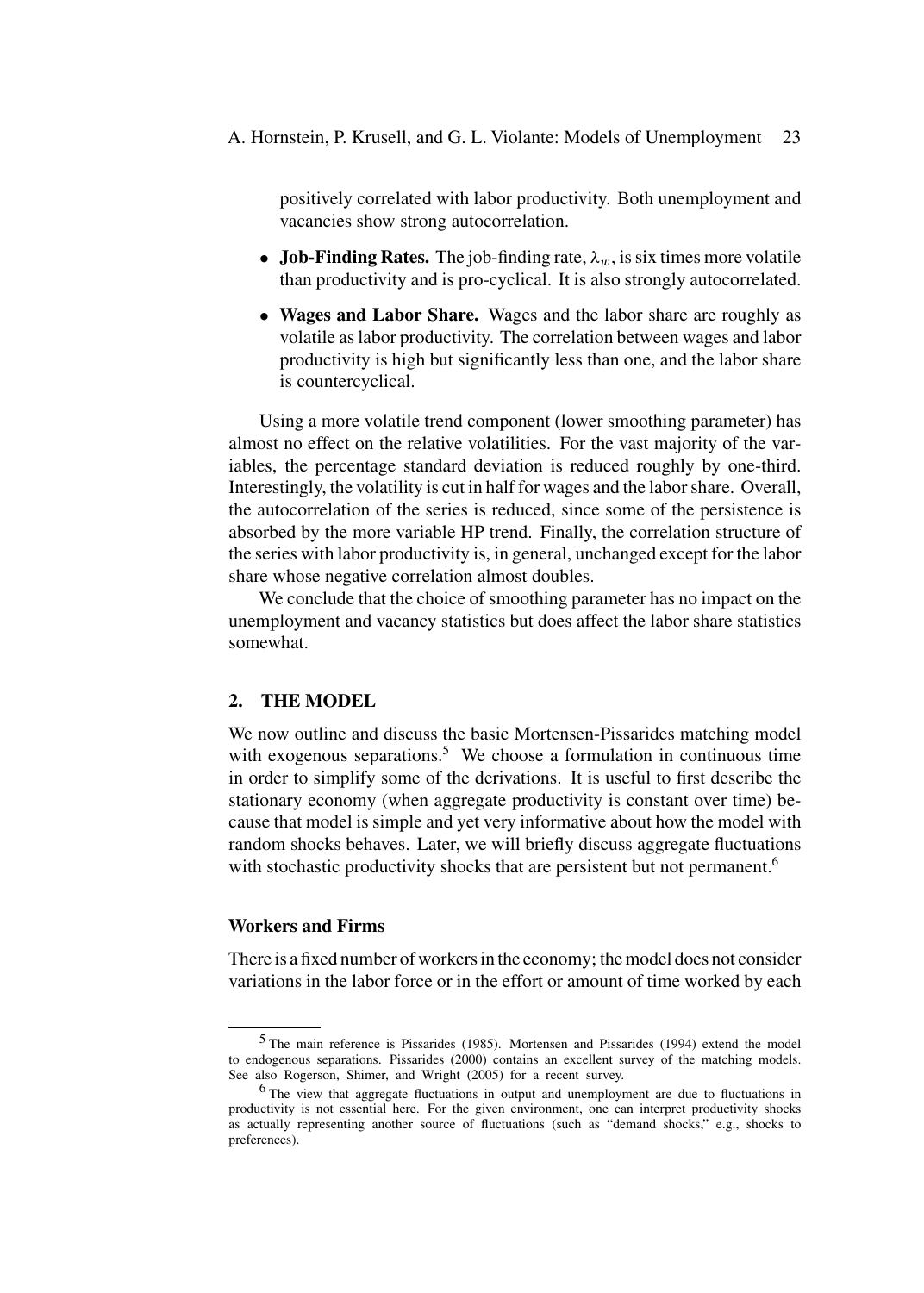positively correlated with labor productivity. Both unemployment and vacancies show strong autocorrelation.

- **Job-Finding Rates.** The job-finding rate,  $\lambda_w$ , is six times more volatile than productivity and is pro-cyclical. It is also strongly autocorrelated.
- **Wages and Labor Share.** Wages and the labor share are roughly as volatile as labor productivity. The correlation between wages and labor productivity is high but significantly less than one, and the labor share is countercyclical.

Using a more volatile trend component (lower smoothing parameter) has almost no effect on the relative volatilities. For the vast majority of the variables, the percentage standard deviation is reduced roughly by one-third. Interestingly, the volatility is cut in half for wages and the labor share. Overall, the autocorrelation of the series is reduced, since some of the persistence is absorbed by the more variable HP trend. Finally, the correlation structure of the series with labor productivity is, in general, unchanged except for the labor share whose negative correlation almost doubles.

We conclude that the choice of smoothing parameter has no impact on the unemployment and vacancy statistics but does affect the labor share statistics somewhat.

# **2. THE MODEL**

We now outline and discuss the basic Mortensen-Pissarides matching model with exogenous separations.<sup>5</sup> We choose a formulation in continuous time in order to simplify some of the derivations. It is useful to first describe the stationary economy (when aggregate productivity is constant over time) because that model is simple and yet very informative about how the model with random shocks behaves. Later, we will briefly discuss aggregate fluctuations with stochastic productivity shocks that are persistent but not permanent.<sup>6</sup>

#### **Workers and Firms**

There is a fixed number of workers in the economy; the model does not consider variations in the labor force or in the effort or amount of time worked by each

<sup>5</sup> The main reference is Pissarides (1985). Mortensen and Pissarides (1994) extend the model to endogenous separations. Pissarides (2000) contains an excellent survey of the matching models. See also Rogerson, Shimer, and Wright (2005) for a recent survey.

<sup>6</sup> The view that aggregate fluctuations in output and unemployment are due to fluctuations in productivity is not essential here. For the given environment, one can interpret productivity shocks as actually representing another source of fluctuations (such as "demand shocks," e.g., shocks to preferences).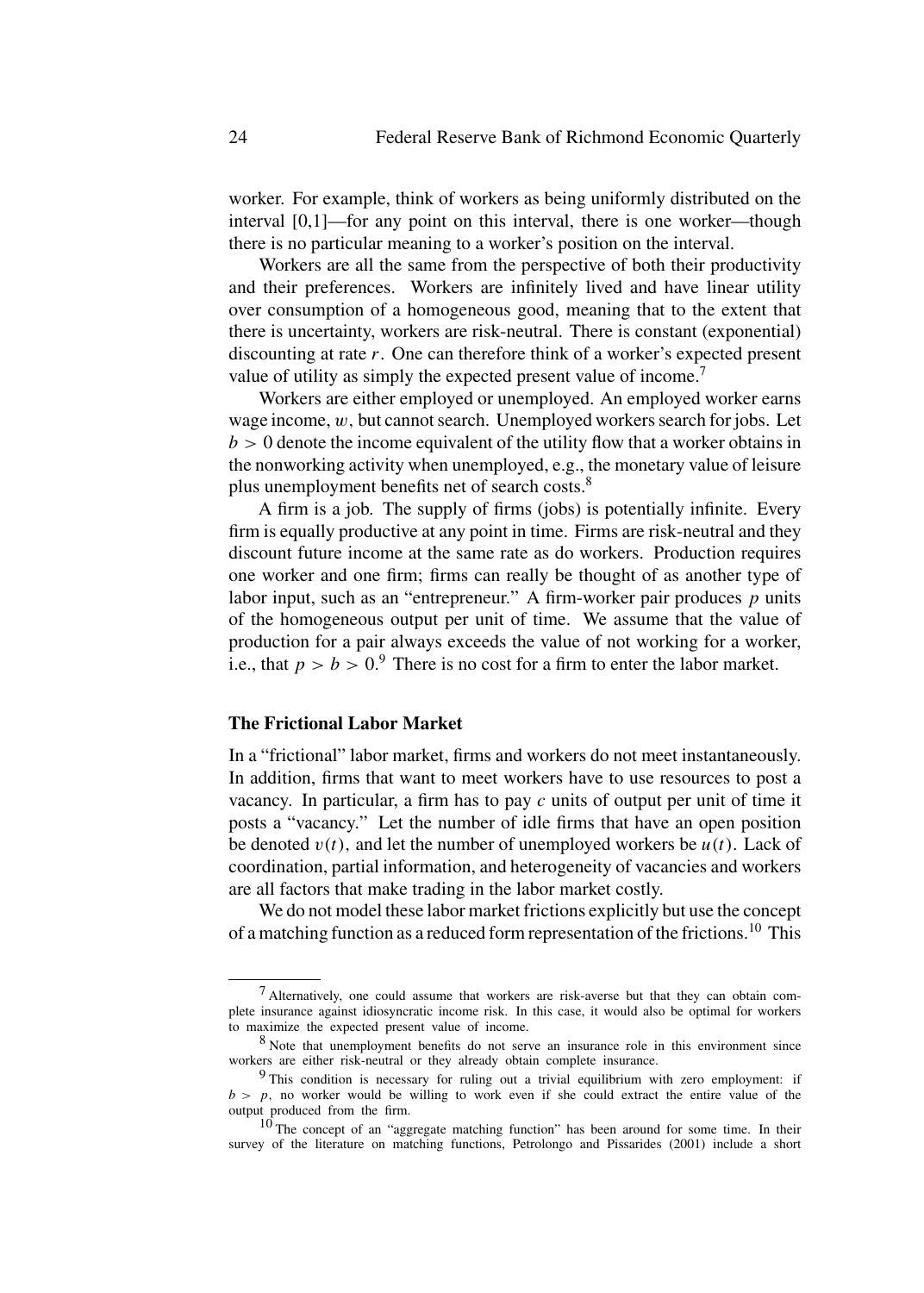worker. For example, think of workers as being uniformly distributed on the interval [0,1]—for any point on this interval, there is one worker—though there is no particular meaning to a worker's position on the interval.

Workers are all the same from the perspective of both their productivity and their preferences. Workers are infinitely lived and have linear utility over consumption of a homogeneous good, meaning that to the extent that there is uncertainty, workers are risk-neutral. There is constant (exponential) discounting at rate *r*. One can therefore think of a worker's expected present value of utility as simply the expected present value of income.<sup>7</sup>

Workers are either employed or unemployed. An employed worker earns wage income, *w,* but cannot search. Unemployed workers search for jobs. Let *b >* 0 denote the income equivalent of the utility flow that a worker obtains in the nonworking activity when unemployed, e.g., the monetary value of leisure plus unemployment benefits net of search costs.<sup>8</sup>

A firm is a job. The supply of firms (jobs) is potentially infinite. Every firm is equally productive at any point in time. Firms are risk-neutral and they discount future income at the same rate as do workers. Production requires one worker and one firm; firms can really be thought of as another type of labor input, such as an "entrepreneur." A firm-worker pair produces *p* units of the homogeneous output per unit of time. We assume that the value of production for a pair always exceeds the value of not working for a worker, i.e., that  $p > b > 0.9$  There is no cost for a firm to enter the labor market.

#### **The Frictional Labor Market**

In a "frictional" labor market, firms and workers do not meet instantaneously. In addition, firms that want to meet workers have to use resources to post a vacancy. In particular, a firm has to pay *c* units of output per unit of time it posts a "vacancy." Let the number of idle firms that have an open position be denoted  $v(t)$ , and let the number of unemployed workers be  $u(t)$ . Lack of coordination, partial information, and heterogeneity of vacancies and workers are all factors that make trading in the labor market costly.

We do not model these labor market frictions explicitly but use the concept of a matching function as a reduced form representation of the frictions.<sup>10</sup> This

 $<sup>7</sup>$  Alternatively, one could assume that workers are risk-averse but that they can obtain com-</sup> plete insurance against idiosyncratic income risk. In this case, it would also be optimal for workers to maximize the expected present value of income.

<sup>8</sup> Note that unemployment benefits do not serve an insurance role in this environment since workers are either risk-neutral or they already obtain complete insurance.

<sup>9</sup> This condition is necessary for ruling out a trivial equilibrium with zero employment: if  $b > p$ , no worker would be willing to work even if she could extract the entire value of the output produced from the firm.

<sup>10</sup> The concept of an "aggregate matching function" has been around for some time. In their survey of the literature on matching functions, Petrolongo and Pissarides (2001) include a short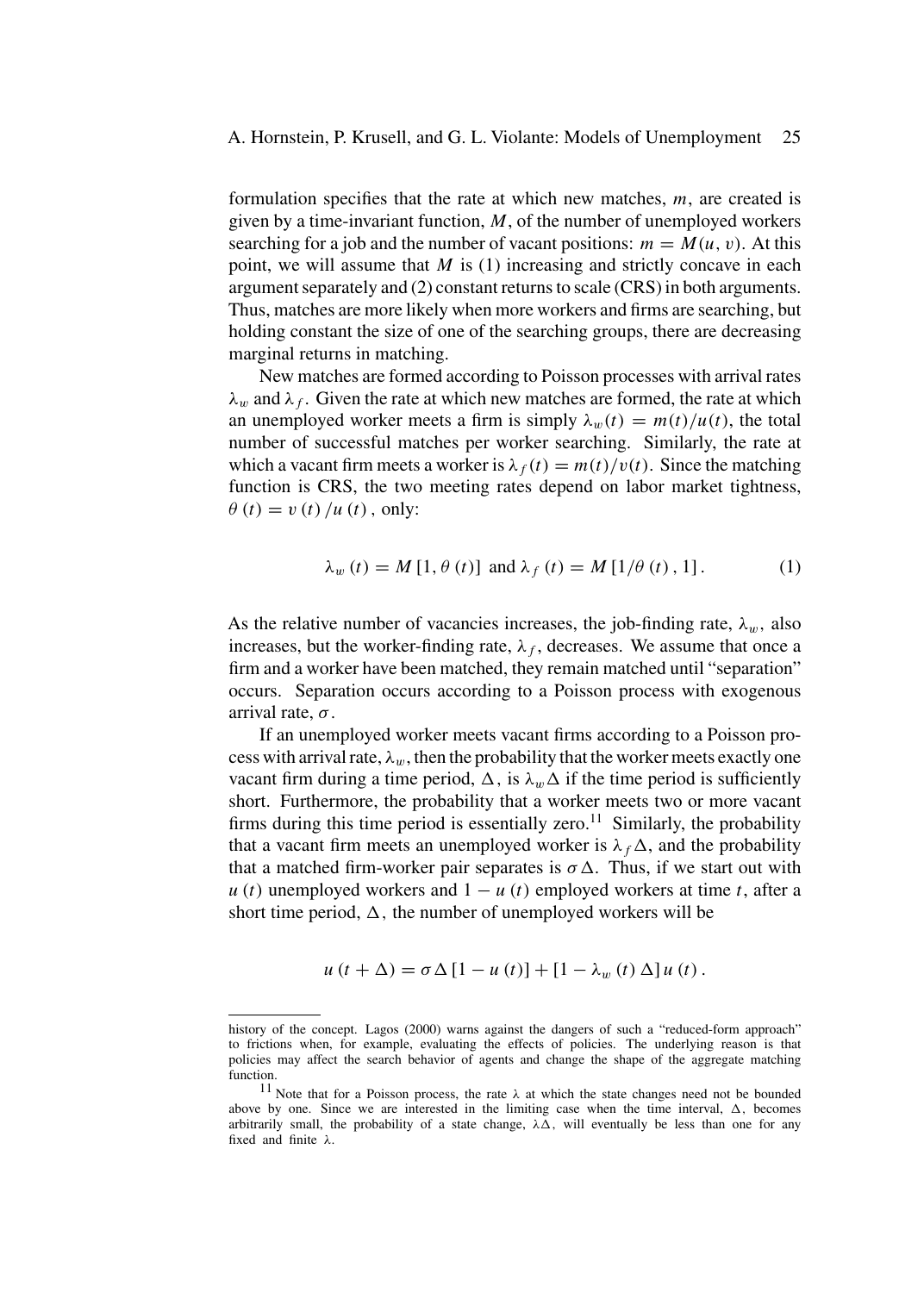formulation specifies that the rate at which new matches, *m*, are created is given by a time-invariant function, *M*, of the number of unemployed workers searching for a job and the number of vacant positions:  $m = M(u, v)$ . At this point, we will assume that *M* is (1) increasing and strictly concave in each argument separately and (2) constant returns to scale (CRS) in both arguments. Thus, matches are more likely when more workers and firms are searching, but holding constant the size of one of the searching groups, there are decreasing marginal returns in matching.

New matches are formed according to Poisson processes with arrival rates  $\lambda_w$  and  $\lambda_f$ . Given the rate at which new matches are formed, the rate at which an unemployed worker meets a firm is simply  $\lambda_w(t) = m(t)/u(t)$ , the total number of successful matches per worker searching. Similarly, the rate at which a vacant firm meets a worker is  $\lambda_f(t) = m(t)/v(t)$ . Since the matching function is CRS, the two meeting rates depend on labor market tightness,  $\theta(t) = v(t)/u(t)$ , only:

$$
\lambda_w(t) = M[1, \theta(t)] \text{ and } \lambda_f(t) = M[1/\theta(t), 1].
$$
 (1)

As the relative number of vacancies increases, the job-finding rate,  $\lambda_w$ , also increases, but the worker-finding rate,  $\lambda_f$ , decreases. We assume that once a firm and a worker have been matched, they remain matched until "separation" occurs. Separation occurs according to a Poisson process with exogenous arrival rate, *σ*.

If an unemployed worker meets vacant firms according to a Poisson process with arrival rate,  $\lambda_w$ , then the probability that the worker meets exactly one vacant firm during a time period,  $\Delta$ , is  $\lambda_w \Delta$  if the time period is sufficiently short. Furthermore, the probability that a worker meets two or more vacant firms during this time period is essentially zero.<sup>11</sup> Similarly, the probability that a vacant firm meets an unemployed worker is  $\lambda_f \Delta$ , and the probability that a matched firm-worker pair separates is  $\sigma \Delta$ . Thus, if we start out with  $u(t)$  unemployed workers and  $1 - u(t)$  employed workers at time *t*, after a short time period,  $\Delta$ , the number of unemployed workers will be

$$
u(t + \Delta) = \sigma \Delta [1 - u(t)] + [1 - \lambda_w(t) \Delta] u(t).
$$

history of the concept. Lagos (2000) warns against the dangers of such a "reduced-form approach" to frictions when, for example, evaluating the effects of policies. The underlying reason is that policies may affect the search behavior of agents and change the shape of the aggregate matching function.

<sup>11</sup> Note that for a Poisson process, the rate *λ* at which the state changes need not be bounded above by one. Since we are interested in the limiting case when the time interval,  $\Delta$ , becomes arbitrarily small, the probability of a state change,  $\lambda \Delta$ , will eventually be less than one for any fixed and finite *λ*.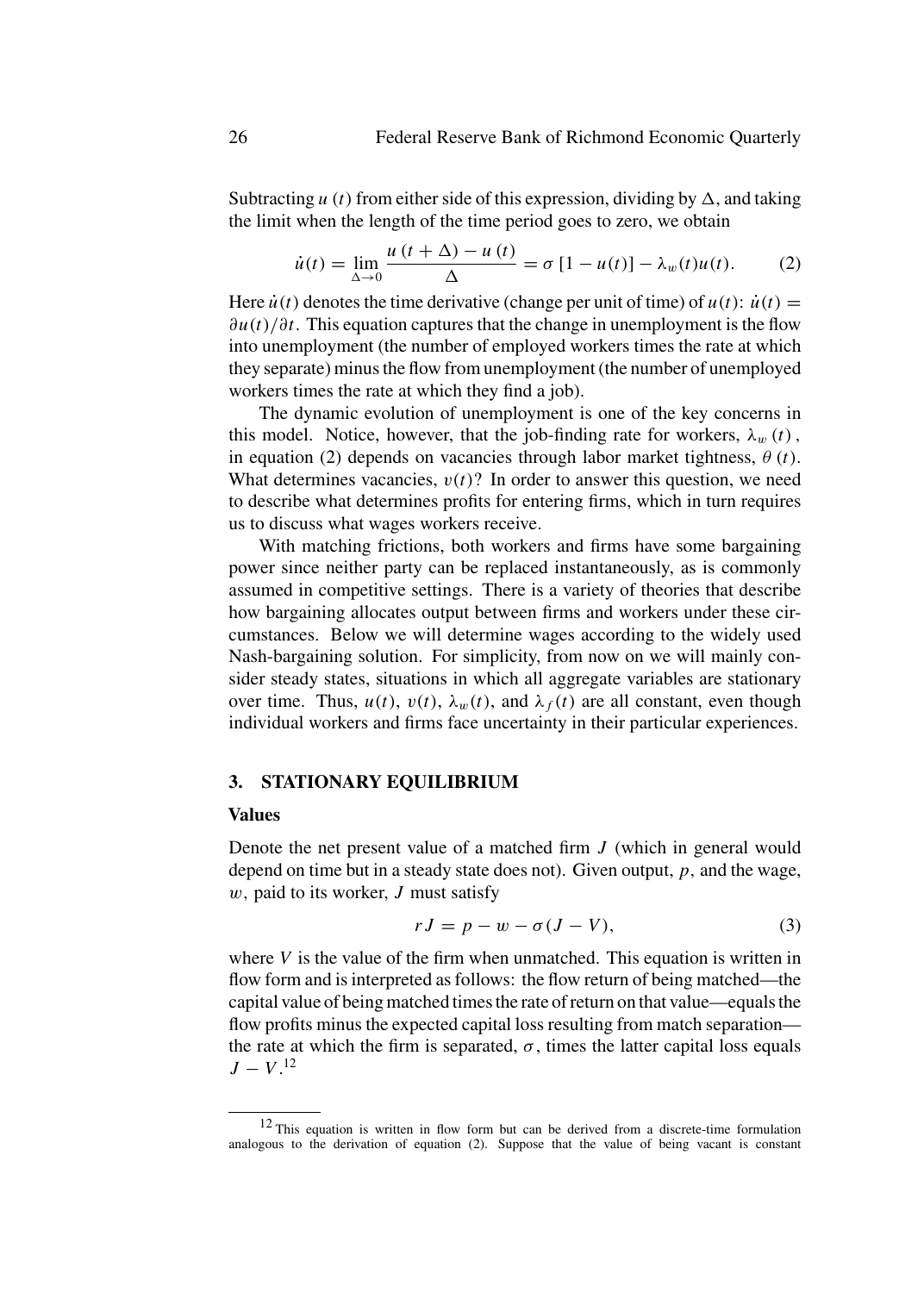Subtracting  $u(t)$  from either side of this expression, dividing by  $\Delta$ , and taking the limit when the length of the time period goes to zero, we obtain

$$
\dot{u}(t) = \lim_{\Delta \to 0} \frac{u(t + \Delta) - u(t)}{\Delta} = \sigma [1 - u(t)] - \lambda_w(t)u(t). \tag{2}
$$

Here  $\dot{u}(t)$  denotes the time derivative (change per unit of time) of  $u(t)$ :  $\dot{u}(t)$  = *∂u(t)/∂t*. This equation captures that the change in unemployment is the flow into unemployment (the number of employed workers times the rate at which they separate) minus the flow from unemployment (the number of unemployed workers times the rate at which they find a job).

The dynamic evolution of unemployment is one of the key concerns in this model. Notice, however, that the job-finding rate for workers,  $\lambda_w(t)$ , in equation (2) depends on vacancies through labor market tightness,  $\theta$  (*t*). What determines vacancies,  $v(t)$ ? In order to answer this question, we need to describe what determines profits for entering firms, which in turn requires us to discuss what wages workers receive.

With matching frictions, both workers and firms have some bargaining power since neither party can be replaced instantaneously, as is commonly assumed in competitive settings. There is a variety of theories that describe how bargaining allocates output between firms and workers under these circumstances. Below we will determine wages according to the widely used Nash-bargaining solution. For simplicity, from now on we will mainly consider steady states, situations in which all aggregate variables are stationary over time. Thus,  $u(t)$ ,  $v(t)$ ,  $\lambda_w(t)$ , and  $\lambda_f(t)$  are all constant, even though individual workers and firms face uncertainty in their particular experiences.

#### **3. STATIONARY EQUILIBRIUM**

#### **Values**

Denote the net present value of a matched firm *J* (which in general would depend on time but in a steady state does not). Given output, *p,* and the wage, *w,* paid to its worker, *J* must satisfy

$$
rJ = p - w - \sigma(J - V), \tag{3}
$$

where *V* is the value of the firm when unmatched. This equation is written in flow form and is interpreted as follows: the flow return of being matched—the capital value of being matched times the rate of return on that value—equals the flow profits minus the expected capital loss resulting from match separation the rate at which the firm is separated,  $\sigma$ , times the latter capital loss equals  $J - V$ <sup>12</sup>

<sup>12</sup> This equation is written in flow form but can be derived from a discrete-time formulation analogous to the derivation of equation (2). Suppose that the value of being vacant is constant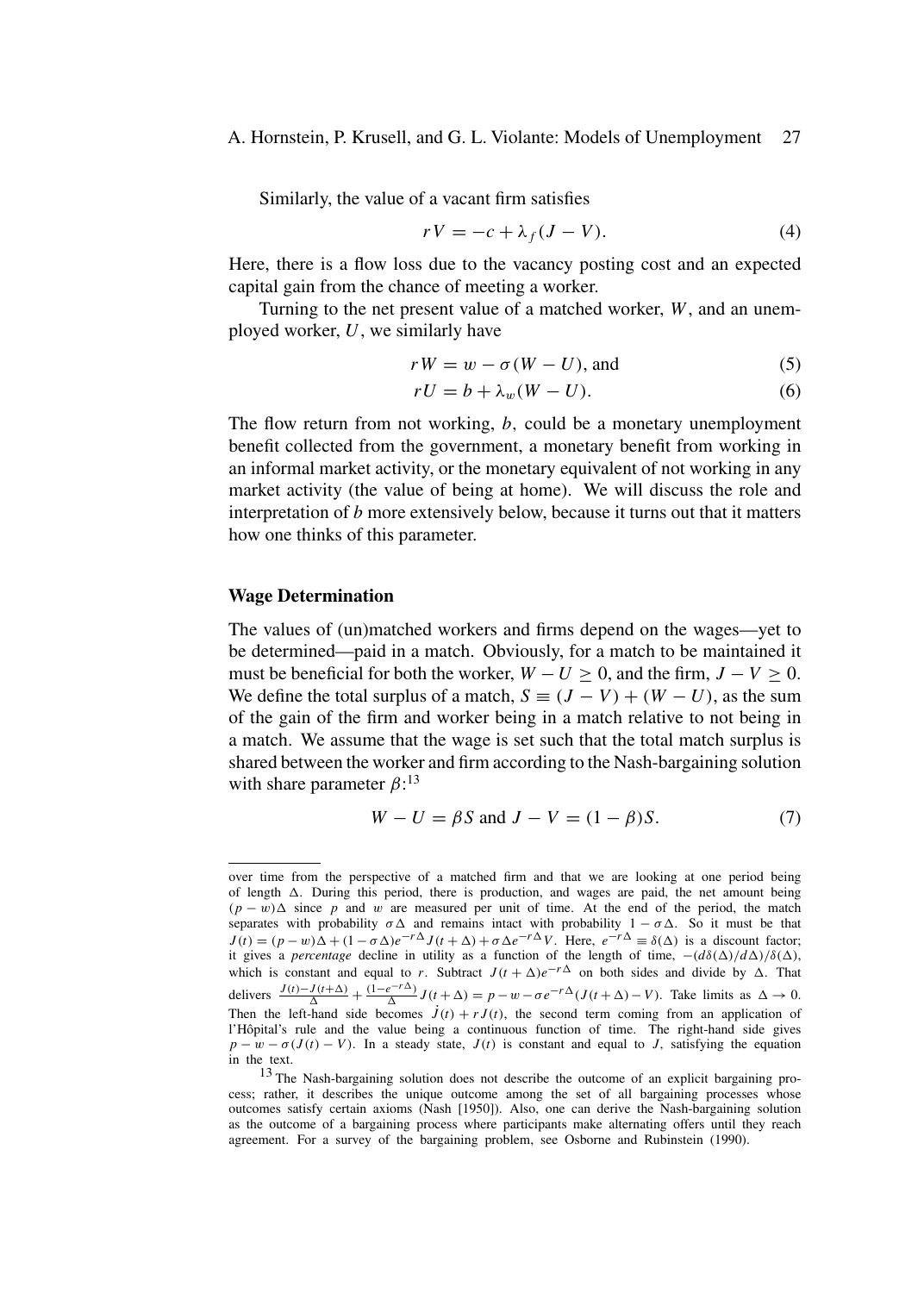#### A. Hornstein, P. Krusell, and G. L. Violante: Models of Unemployment 27

Similarly, the value of a vacant firm satisfies

$$
rV = -c + \lambda_f (J - V). \tag{4}
$$

Here, there is a flow loss due to the vacancy posting cost and an expected capital gain from the chance of meeting a worker.

Turning to the net present value of a matched worker, *W*, and an unemployed worker, *U*, we similarly have

$$
rW = w - \sigma(W - U), \text{ and} \tag{5}
$$

$$
rU = b + \lambda_w (W - U). \tag{6}
$$

The flow return from not working, *b,* could be a monetary unemployment benefit collected from the government, a monetary benefit from working in an informal market activity, or the monetary equivalent of not working in any market activity (the value of being at home). We will discuss the role and interpretation of *b* more extensively below, because it turns out that it matters how one thinks of this parameter.

#### **Wage Determination**

The values of (un)matched workers and firms depend on the wages—yet to be determined—paid in a match. Obviously, for a match to be maintained it must be beneficial for both the worker,  $W - U > 0$ , and the firm,  $J - V > 0$ . We define the total surplus of a match,  $S = (J - V) + (W - U)$ , as the sum of the gain of the firm and worker being in a match relative to not being in a match. We assume that the wage is set such that the total match surplus is shared between the worker and firm according to the Nash-bargaining solution with share parameter  $\beta$ :<sup>13</sup>

$$
W - U = \beta S \text{ and } J - V = (1 - \beta)S. \tag{7}
$$

over time from the perspective of a matched firm and that we are looking at one period being of length  $\Delta$ . During this period, there is production, and wages are paid, the net amount being  $(p - w)\Delta$  since *p* and *w* are measured per unit of time. At the end of the period, the match separates with probability  $\sigma \Delta$  and remains intact with probability  $1 - \sigma \Delta$ . So it must be that  $J(t) = (p - w)\Delta + (1 - \sigma \Delta)e^{-r\Delta}J(t + \Delta) + \sigma \Delta e^{-r\Delta}V$ . Here,  $e^{-r\Delta} \equiv \delta(\Delta)$  is a discount factor; it gives a *percentage* decline in utility as a function of the length of time,  $-(d\delta(\Delta)/d\Delta)/\delta(\Delta)$ , which is constant and equal to *r*. Subtract  $J(t + \Delta)e^{-r\Delta}$  on both sides and divide by  $\Delta$ . That delivers  $\frac{J(t)-J(t+\Delta)}{\Delta} + \frac{(1-e^{-r\Delta})}{\Delta} J(t+\Delta) = p - w - \sigma e^{-r\Delta} (J(t+\Delta) - V)$ . Take limits as  $\Delta \to 0$ . Then the left-hand side becomes  $\dot{J}(t) + rJ(t)$ , the second term coming from an application of l'Hôpital's rule and the value being a continuous function of time. The right-hand side gives  $p - w - \sigma (J(t) - V)$ . In a steady state,  $J(t)$  is constant and equal to *J*, satisfying the equation in the text.

<sup>13</sup> The Nash-bargaining solution does not describe the outcome of an explicit bargaining process; rather, it describes the unique outcome among the set of all bargaining processes whose outcomes satisfy certain axioms (Nash [1950]). Also, one can derive the Nash-bargaining solution as the outcome of a bargaining process where participants make alternating offers until they reach agreement. For a survey of the bargaining problem, see Osborne and Rubinstein (1990).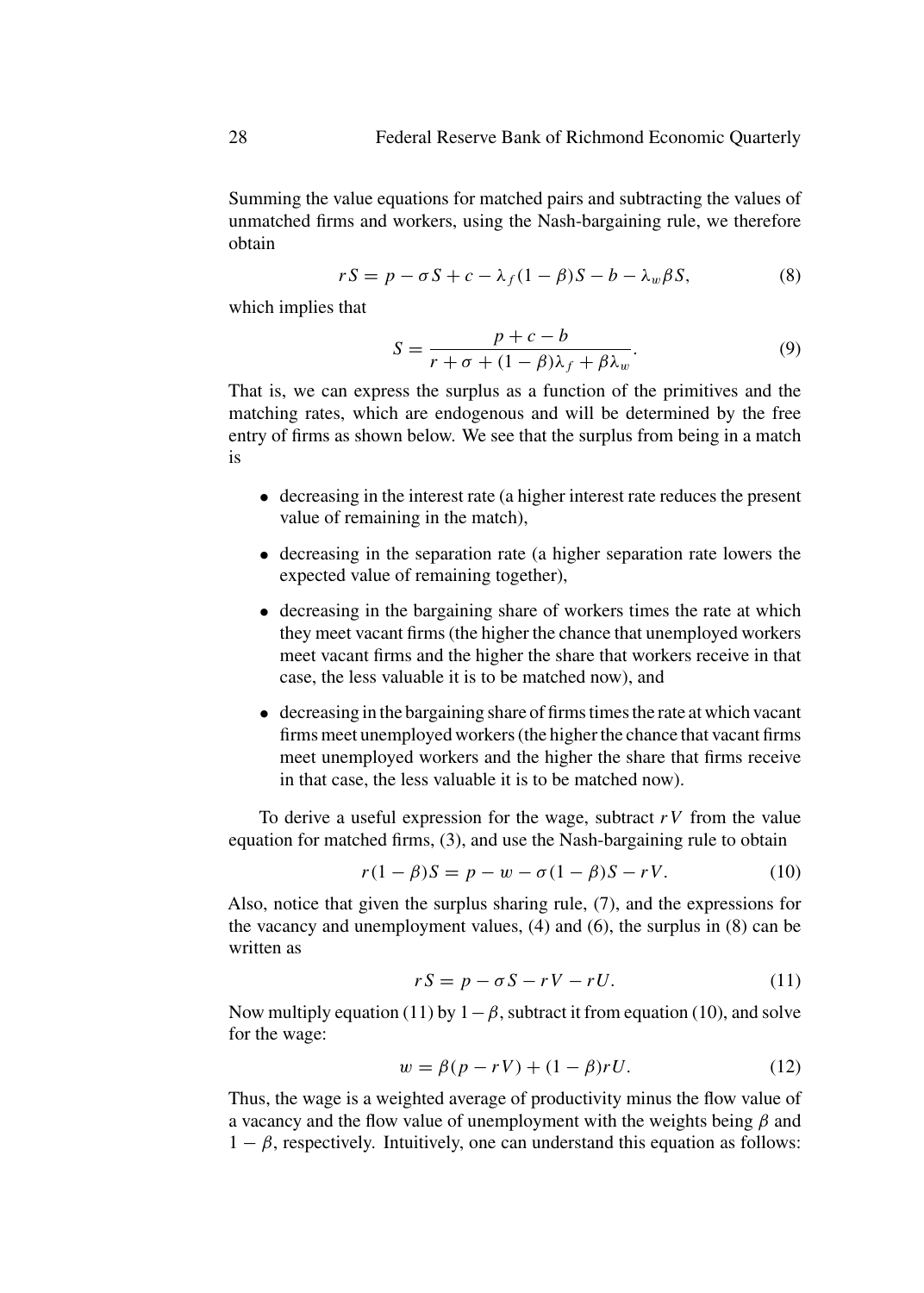Summing the value equations for matched pairs and subtracting the values of unmatched firms and workers, using the Nash-bargaining rule, we therefore obtain

$$
rS = p - \sigma S + c - \lambda_f (1 - \beta)S - b - \lambda_w \beta S, \tag{8}
$$

which implies that

$$
S = \frac{p+c-b}{r+\sigma+(1-\beta)\lambda_f+\beta\lambda_w}.
$$
\n(9)

That is, we can express the surplus as a function of the primitives and the matching rates, which are endogenous and will be determined by the free entry of firms as shown below. We see that the surplus from being in a match is

- decreasing in the interest rate (a higher interest rate reduces the present value of remaining in the match),
- decreasing in the separation rate (a higher separation rate lowers the expected value of remaining together),
- decreasing in the bargaining share of workers times the rate at which they meet vacant firms (the higher the chance that unemployed workers meet vacant firms and the higher the share that workers receive in that case, the less valuable it is to be matched now), and
- decreasing in the bargaining share of firms times the rate at which vacant firms meet unemployed workers (the higher the chance that vacant firms meet unemployed workers and the higher the share that firms receive in that case, the less valuable it is to be matched now).

To derive a useful expression for the wage, subtract *rV* from the value equation for matched firms, (3), and use the Nash-bargaining rule to obtain

$$
r(1 - \beta)S = p - w - \sigma(1 - \beta)S - rV.
$$
 (10)

Also, notice that given the surplus sharing rule, (7), and the expressions for the vacancy and unemployment values, (4) and (6), the surplus in (8) can be written as

$$
rS = p - \sigma S - rV - rU.
$$
 (11)

Now multiply equation (11) by  $1 - \beta$ , subtract it from equation (10), and solve for the wage:

$$
w = \beta(p - rV) + (1 - \beta)rU.
$$
 (12)

Thus, the wage is a weighted average of productivity minus the flow value of a vacancy and the flow value of unemployment with the weights being *β* and  $1 - \beta$ , respectively. Intuitively, one can understand this equation as follows: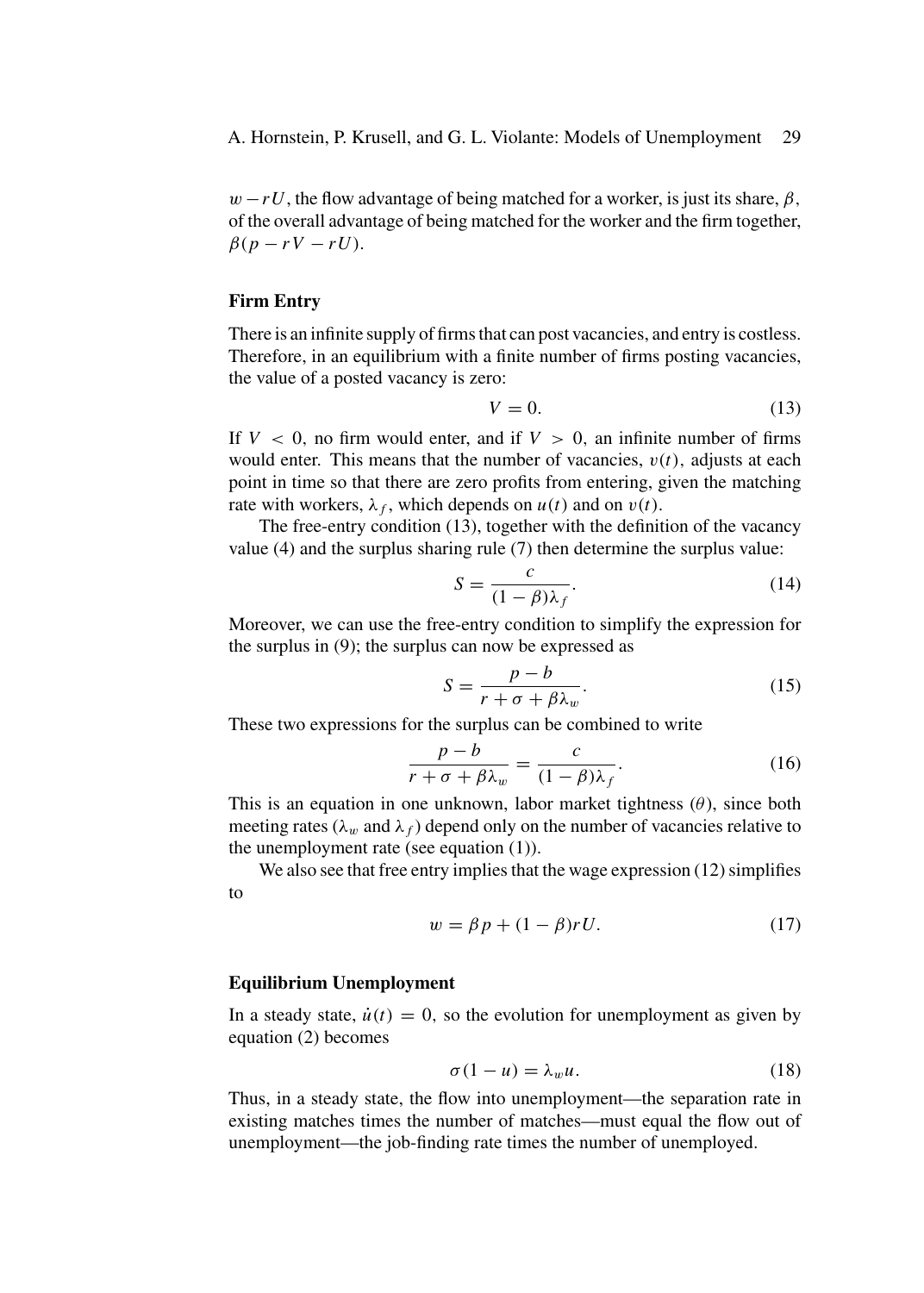A. Hornstein, P. Krusell, and G. L. Violante: Models of Unemployment 29

 $w - rU$ , the flow advantage of being matched for a worker, is just its share,  $\beta$ , of the overall advantage of being matched for the worker and the firm together,  $\beta(p - rV - rU)$ .

#### **Firm Entry**

There is an infinite supply of firms that can post vacancies, and entry is costless. Therefore, in an equilibrium with a finite number of firms posting vacancies, the value of a posted vacancy is zero:

$$
V = 0.\t(13)
$$

If  $V < 0$ , no firm would enter, and if  $V > 0$ , an infinite number of firms would enter. This means that the number of vacancies,  $v(t)$ , adjusts at each point in time so that there are zero profits from entering, given the matching rate with workers,  $\lambda_f$ , which depends on  $u(t)$  and on  $v(t)$ .

The free-entry condition (13), together with the definition of the vacancy value (4) and the surplus sharing rule (7) then determine the surplus value:

$$
S = \frac{c}{(1 - \beta)\lambda_f}.\tag{14}
$$

Moreover, we can use the free-entry condition to simplify the expression for the surplus in (9); the surplus can now be expressed as

$$
S = \frac{p - b}{r + \sigma + \beta \lambda_w}.
$$
 (15)

These two expressions for the surplus can be combined to write

$$
\frac{p-b}{r+\sigma+\beta\lambda_w} = \frac{c}{(1-\beta)\lambda_f}.\tag{16}
$$

This is an equation in one unknown, labor market tightness  $(\theta)$ , since both meeting rates ( $\lambda_w$  and  $\lambda_f$ ) depend only on the number of vacancies relative to the unemployment rate (see equation (1)).

We also see that free entry implies that the wage expression (12) simplifies to

$$
w = \beta p + (1 - \beta)rU.
$$
 (17)

#### **Equilibrium Unemployment**

In a steady state,  $\dot{u}(t) = 0$ , so the evolution for unemployment as given by equation (2) becomes

$$
\sigma(1-u) = \lambda_w u. \tag{18}
$$

Thus, in a steady state, the flow into unemployment—the separation rate in existing matches times the number of matches—must equal the flow out of unemployment—the job-finding rate times the number of unemployed.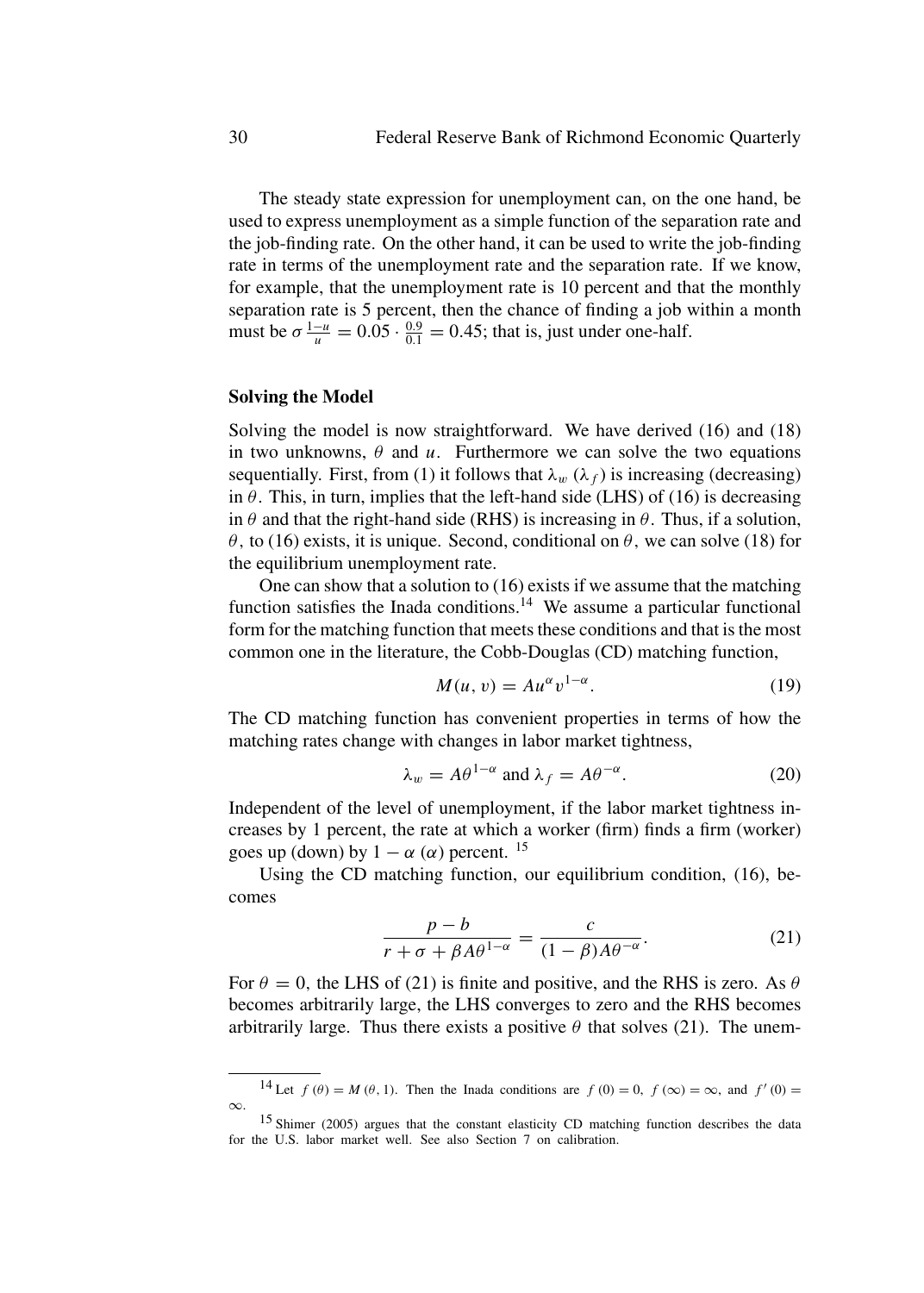The steady state expression for unemployment can, on the one hand, be used to express unemployment as a simple function of the separation rate and the job-finding rate. On the other hand, it can be used to write the job-finding rate in terms of the unemployment rate and the separation rate. If we know, for example, that the unemployment rate is 10 percent and that the monthly separation rate is 5 percent, then the chance of finding a job within a month must be  $\sigma \frac{1-u}{u} = 0.05 \cdot \frac{0.9}{0.1} = 0.45$ ; that is, just under one-half.

#### **Solving the Model**

Solving the model is now straightforward. We have derived (16) and (18) in two unknowns,  $\theta$  and  $u$ . Furthermore we can solve the two equations sequentially. First, from (1) it follows that  $\lambda_w(\lambda_f)$  is increasing (decreasing) in  $\theta$ . This, in turn, implies that the left-hand side (LHS) of (16) is decreasing in  $\theta$  and that the right-hand side (RHS) is increasing in  $\theta$ . Thus, if a solution, *θ*, to (16) exists, it is unique. Second, conditional on  $\theta$ , we can solve (18) for the equilibrium unemployment rate.

One can show that a solution to (16) exists if we assume that the matching function satisfies the Inada conditions.<sup>14</sup> We assume a particular functional form for the matching function that meets these conditions and that is the most common one in the literature, the Cobb-Douglas (CD) matching function,

$$
M(u, v) = Au^{\alpha} v^{1-\alpha}.
$$
 (19)

The CD matching function has convenient properties in terms of how the matching rates change with changes in labor market tightness,

$$
\lambda_w = A\theta^{1-\alpha} \text{ and } \lambda_f = A\theta^{-\alpha}.
$$
 (20)

Independent of the level of unemployment, if the labor market tightness increases by 1 percent, the rate at which a worker (firm) finds a firm (worker) goes up (down) by  $1 - \alpha$  ( $\alpha$ ) percent. <sup>15</sup>

Using the CD matching function, our equilibrium condition, (16), becomes

$$
\frac{p-b}{r+\sigma+\beta A\theta^{1-\alpha}} = \frac{c}{(1-\beta)A\theta^{-\alpha}}.\tag{21}
$$

For  $\theta = 0$ , the LHS of (21) is finite and positive, and the RHS is zero. As  $\theta$ becomes arbitrarily large, the LHS converges to zero and the RHS becomes arbitrarily large. Thus there exists a positive  $\theta$  that solves (21). The unem-

<sup>&</sup>lt;sup>14</sup> Let  $f(\theta) = M(\theta, 1)$ . Then the Inada conditions are  $f(0) = 0$ ,  $f(\infty) = \infty$ , and  $f'(0) =$ 

 $\infty$ . 15 Shimer (2005) argues that the constant elasticity CD matching function describes the data for the U.S. labor market well. See also Section 7 on calibration.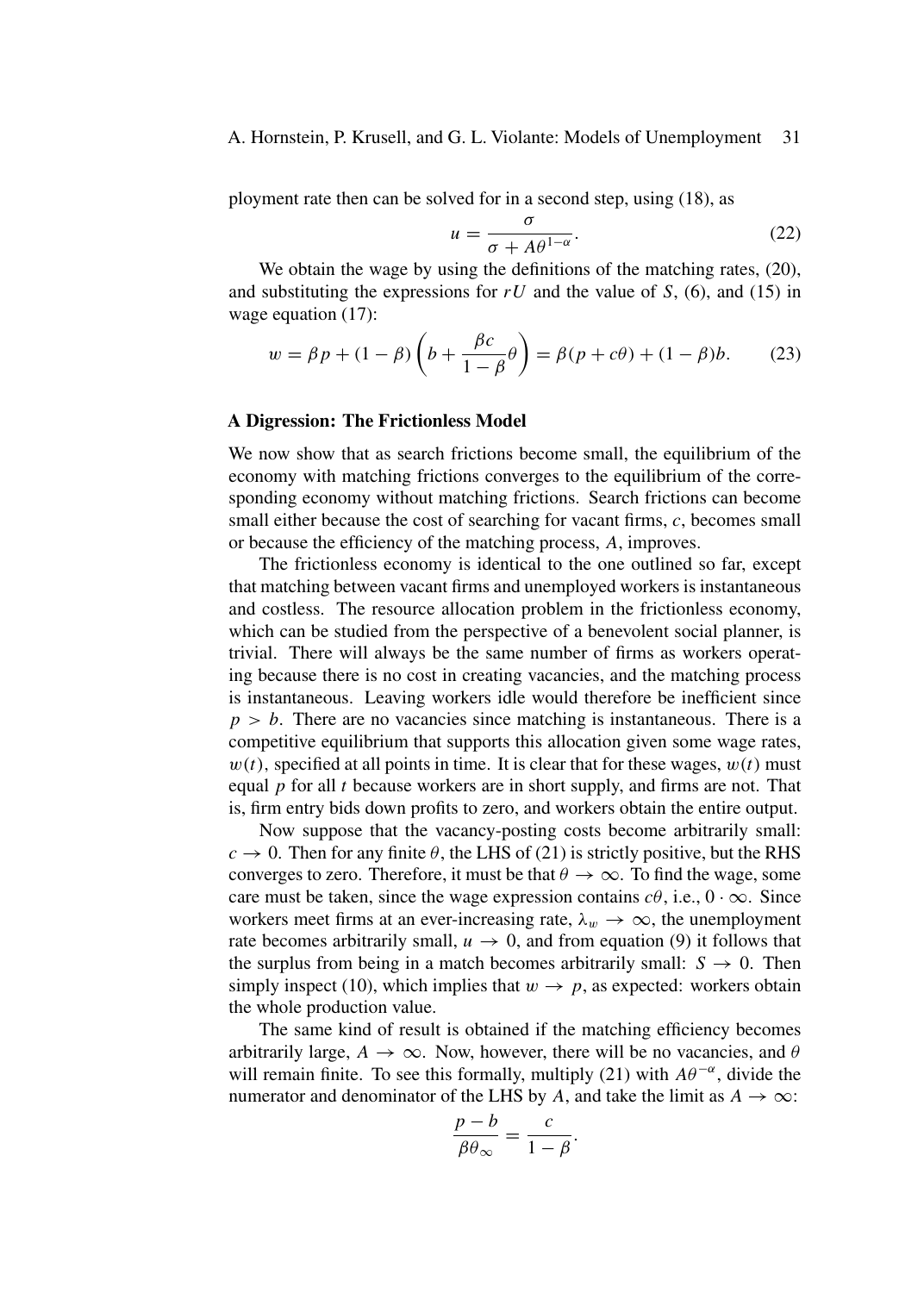A. Hornstein, P. Krusell, and G. L. Violante: Models of Unemployment 31

ployment rate then can be solved for in a second step, using (18), as

$$
u = \frac{\sigma}{\sigma + A\theta^{1-\alpha}}.
$$
 (22)

We obtain the wage by using the definitions of the matching rates,  $(20)$ , and substituting the expressions for  $rU$  and the value of *S*, (6), and (15) in wage equation  $(17)$ :

$$
w = \beta p + (1 - \beta) \left( b + \frac{\beta c}{1 - \beta} \theta \right) = \beta (p + c\theta) + (1 - \beta)b. \tag{23}
$$

#### **A Digression: The Frictionless Model**

We now show that as search frictions become small, the equilibrium of the economy with matching frictions converges to the equilibrium of the corresponding economy without matching frictions. Search frictions can become small either because the cost of searching for vacant firms, *c*, becomes small or because the efficiency of the matching process, *A*, improves.

The frictionless economy is identical to the one outlined so far, except that matching between vacant firms and unemployed workers is instantaneous and costless. The resource allocation problem in the frictionless economy, which can be studied from the perspective of a benevolent social planner, is trivial. There will always be the same number of firms as workers operating because there is no cost in creating vacancies, and the matching process is instantaneous. Leaving workers idle would therefore be inefficient since  $p > b$ . There are no vacancies since matching is instantaneous. There is a competitive equilibrium that supports this allocation given some wage rates,  $w(t)$ , specified at all points in time. It is clear that for these wages,  $w(t)$  must equal *p* for all *t* because workers are in short supply, and firms are not. That is, firm entry bids down profits to zero, and workers obtain the entire output.

Now suppose that the vacancy-posting costs become arbitrarily small:  $c \rightarrow 0$ . Then for any finite  $\theta$ , the LHS of (21) is strictly positive, but the RHS converges to zero. Therefore, it must be that  $\theta \to \infty$ . To find the wage, some care must be taken, since the wage expression contains  $c\theta$ , i.e.,  $0 \cdot \infty$ . Since workers meet firms at an ever-increasing rate,  $\lambda_w \to \infty$ , the unemployment rate becomes arbitrarily small,  $u \to 0$ , and from equation (9) it follows that the surplus from being in a match becomes arbitrarily small:  $S \rightarrow 0$ . Then simply inspect (10), which implies that  $w \to p$ , as expected: workers obtain the whole production value.

The same kind of result is obtained if the matching efficiency becomes arbitrarily large,  $A \rightarrow \infty$ . Now, however, there will be no vacancies, and  $\theta$ will remain finite. To see this formally, multiply (21) with  $A\theta^{-\alpha}$ , divide the numerator and denominator of the LHS by *A*, and take the limit as  $A \rightarrow \infty$ :

$$
\frac{p-b}{\beta \theta_{\infty}} = \frac{c}{1-\beta}.
$$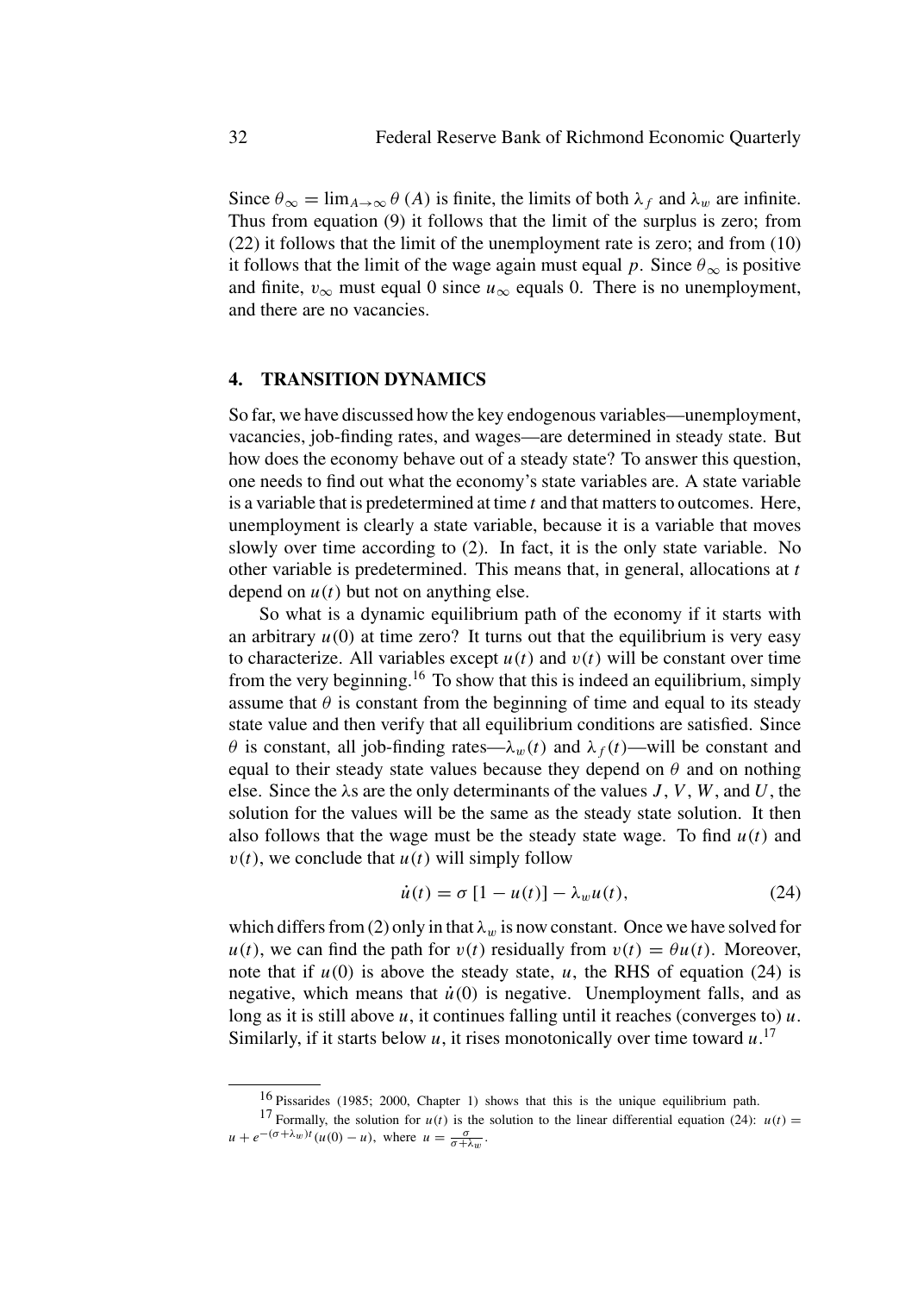Since  $\theta_{\infty} = \lim_{A \to \infty} \theta(A)$  is finite, the limits of both  $\lambda_f$  and  $\lambda_w$  are infinite. Thus from equation (9) it follows that the limit of the surplus is zero; from (22) it follows that the limit of the unemployment rate is zero; and from (10) it follows that the limit of the wage again must equal *p*. Since  $\theta_{\infty}$  is positive and finite,  $v_{\infty}$  must equal 0 since  $u_{\infty}$  equals 0. There is no unemployment, and there are no vacancies.

#### **4. TRANSITION DYNAMICS**

So far, we have discussed how the key endogenous variables—unemployment, vacancies, job-finding rates, and wages—are determined in steady state. But how does the economy behave out of a steady state? To answer this question, one needs to find out what the economy's state variables are. A state variable is a variable that is predetermined at time *t* and that matters to outcomes. Here, unemployment is clearly a state variable, because it is a variable that moves slowly over time according to (2). In fact, it is the only state variable. No other variable is predetermined. This means that, in general, allocations at *t* depend on  $u(t)$  but not on anything else.

So what is a dynamic equilibrium path of the economy if it starts with an arbitrary  $u(0)$  at time zero? It turns out that the equilibrium is very easy to characterize. All variables except  $u(t)$  and  $v(t)$  will be constant over time from the very beginning.<sup>16</sup> To show that this is indeed an equilibrium, simply assume that  $\theta$  is constant from the beginning of time and equal to its steady state value and then verify that all equilibrium conditions are satisfied. Since *θ* is constant, all job-finding rates— $\lambda_w(t)$  and  $\lambda_f(t)$ —will be constant and equal to their steady state values because they depend on  $\theta$  and on nothing else. Since the *λ*s are the only determinants of the values *J* , *V* , *W*, and *U*, the solution for the values will be the same as the steady state solution. It then also follows that the wage must be the steady state wage. To find  $u(t)$  and  $v(t)$ , we conclude that  $u(t)$  will simply follow

$$
\dot{u}(t) = \sigma \left[1 - u(t)\right] - \lambda_w u(t),\tag{24}
$$

which differs from (2) only in that  $\lambda_w$  is now constant. Once we have solved for  $u(t)$ , we can find the path for  $v(t)$  residually from  $v(t) = \theta u(t)$ . Moreover, note that if  $u(0)$  is above the steady state,  $u$ , the RHS of equation (24) is negative, which means that  $\dot{u}(0)$  is negative. Unemployment falls, and as long as it is still above *u*, it continues falling until it reaches (converges to) *u*. Similarly, if it starts below *u*, it rises monotonically over time toward *u*. 17

<sup>16</sup> Pissarides (1985; 2000, Chapter 1) shows that this is the unique equilibrium path.

<sup>&</sup>lt;sup>17</sup> Formally, the solution for  $u(t)$  is the solution to the linear differential equation (24):  $u(t) =$  $u + e^{-(\sigma + \lambda_w)t}(u(0) - u)$ , where  $u = \frac{\sigma}{\sigma + \lambda_w}$ .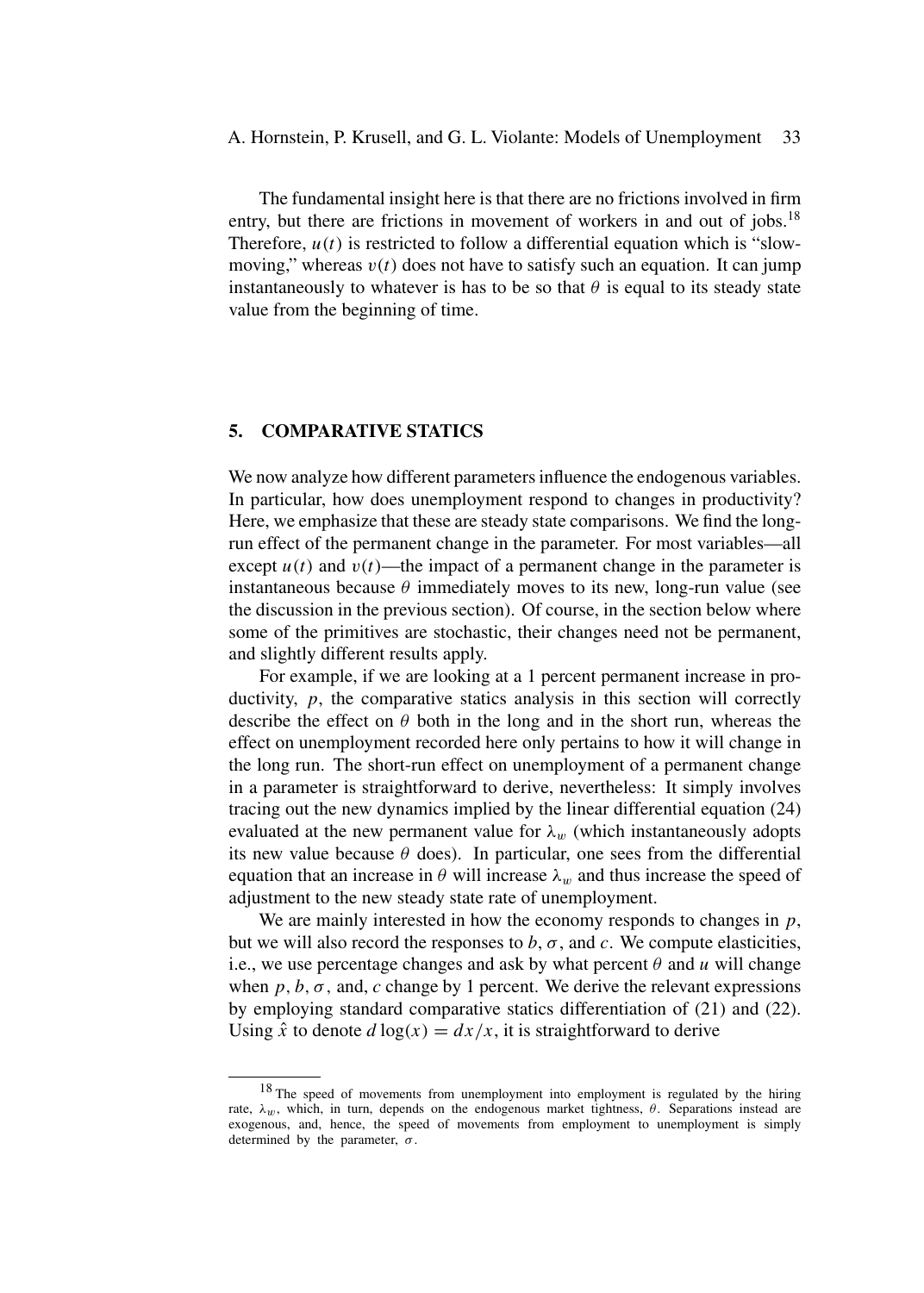The fundamental insight here is that there are no frictions involved in firm entry, but there are frictions in movement of workers in and out of jobs.<sup>18</sup> Therefore,  $u(t)$  is restricted to follow a differential equation which is "slowmoving," whereas  $v(t)$  does not have to satisfy such an equation. It can jump instantaneously to whatever is has to be so that  $\theta$  is equal to its steady state value from the beginning of time.

## **5. COMPARATIVE STATICS**

We now analyze how different parameters influence the endogenous variables. In particular, how does unemployment respond to changes in productivity? Here, we emphasize that these are steady state comparisons. We find the longrun effect of the permanent change in the parameter. For most variables—all except  $u(t)$  and  $v(t)$ —the impact of a permanent change in the parameter is instantaneous because  $\theta$  immediately moves to its new, long-run value (see the discussion in the previous section). Of course, in the section below where some of the primitives are stochastic, their changes need not be permanent, and slightly different results apply.

For example, if we are looking at a 1 percent permanent increase in productivity, *p*, the comparative statics analysis in this section will correctly describe the effect on  $\theta$  both in the long and in the short run, whereas the effect on unemployment recorded here only pertains to how it will change in the long run. The short-run effect on unemployment of a permanent change in a parameter is straightforward to derive, nevertheless: It simply involves tracing out the new dynamics implied by the linear differential equation (24) evaluated at the new permanent value for  $\lambda_w$  (which instantaneously adopts its new value because  $\theta$  does). In particular, one sees from the differential equation that an increase in  $\theta$  will increase  $\lambda_w$  and thus increase the speed of adjustment to the new steady state rate of unemployment.

We are mainly interested in how the economy responds to changes in *p*, but we will also record the responses to  $b$ ,  $\sigma$ , and  $c$ . We compute elasticities, i.e., we use percentage changes and ask by what percent  $\theta$  and  $\mu$  will change when  $p, b, \sigma$ , and,  $c$  change by 1 percent. We derive the relevant expressions by employing standard comparative statics differentiation of (21) and (22). Using  $\hat{x}$  to denote  $d \log(x) = dx/x$ , it is straightforward to derive

<sup>&</sup>lt;sup>18</sup> The speed of movements from unemployment into employment is regulated by the hiring rate, *λw*, which, in turn, depends on the endogenous market tightness, *θ*. Separations instead are exogenous, and, hence, the speed of movements from employment to unemployment is simply determined by the parameter, *σ.*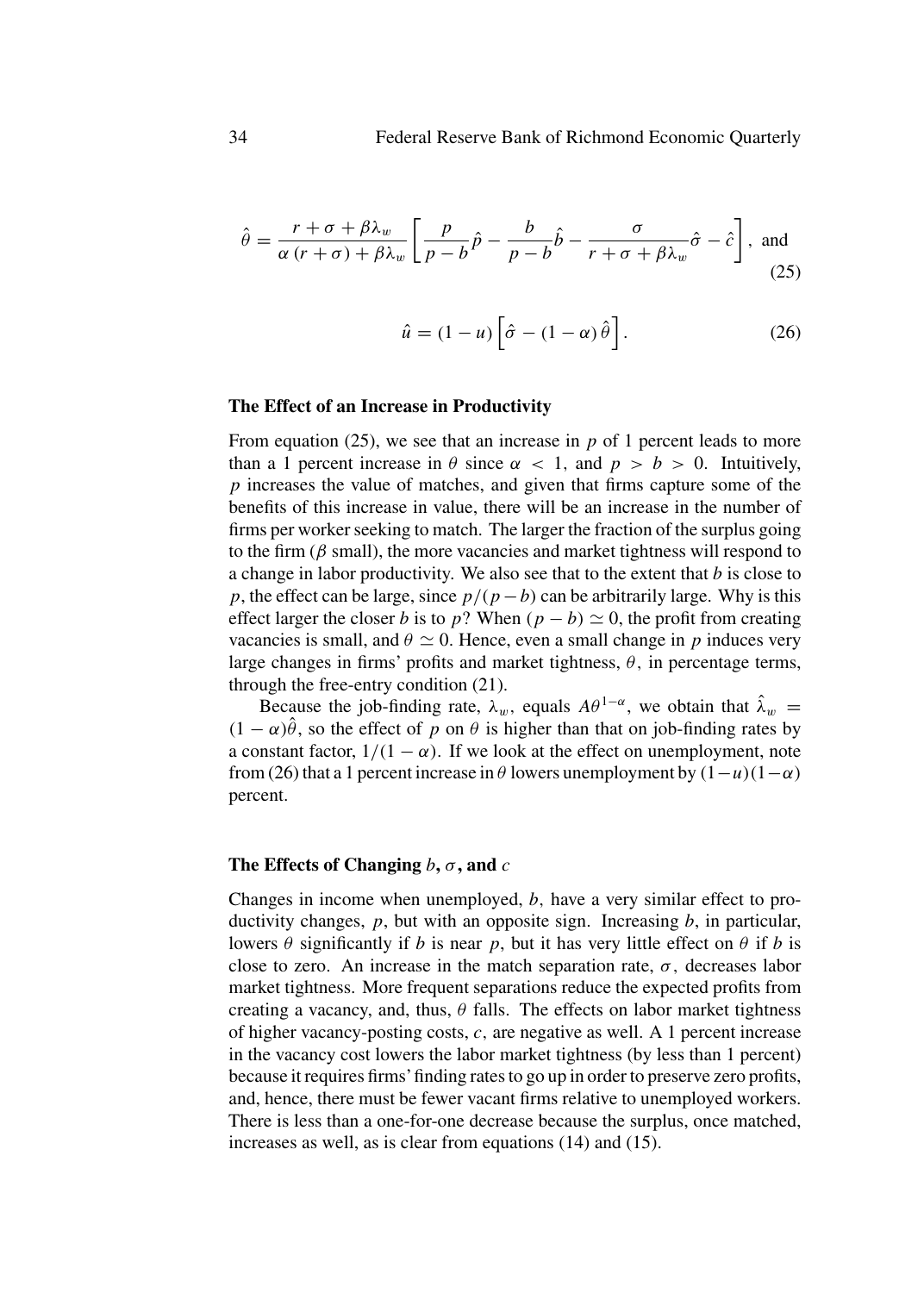$$
\hat{\theta} = \frac{r + \sigma + \beta \lambda_w}{\alpha (r + \sigma) + \beta \lambda_w} \left[ \frac{p}{p - b} \hat{p} - \frac{b}{p - b} \hat{b} - \frac{\sigma}{r + \sigma + \beta \lambda_w} \hat{\sigma} - \hat{c} \right], \text{ and}
$$
\n(25)

$$
\hat{u} = (1 - u) \left[ \hat{\sigma} - (1 - \alpha) \hat{\theta} \right]. \tag{26}
$$

#### **The Effect of an Increase in Productivity**

From equation (25), we see that an increase in *p* of 1 percent leads to more than a 1 percent increase in  $\theta$  since  $\alpha < 1$ , and  $p > b > 0$ . Intuitively, *p* increases the value of matches, and given that firms capture some of the benefits of this increase in value, there will be an increase in the number of firms per worker seeking to match. The larger the fraction of the surplus going to the firm  $(\beta \text{ small})$ , the more vacancies and market tightness will respond to a change in labor productivity. We also see that to the extent that *b* is close to *p*, the effect can be large, since  $p/(p - b)$  can be arbitrarily large. Why is this effect larger the closer *b* is to *p*? When  $(p - b) \simeq 0$ , the profit from creating vacancies is small, and  $\theta \simeq 0$ . Hence, even a small change in p induces very large changes in firms' profits and market tightness,  $\theta$ , in percentage terms, through the free-entry condition (21).

Because the job-finding rate,  $\lambda_w$ , equals  $A\theta^{1-\alpha}$ , we obtain that  $\hat{\lambda}_w$  =  $(1 - \alpha)\hat{\theta}$ , so the effect of *p* on  $\theta$  is higher than that on job-finding rates by a constant factor,  $1/(1 - \alpha)$ . If we look at the effect on unemployment, note from (26) that a 1 percent increase in  $\theta$  lowers unemployment by  $(1 - u)(1 - \alpha)$ percent.

#### **The Effects of Changing** *b***,** *σ***, and** *c*

Changes in income when unemployed, *b,* have a very similar effect to productivity changes, *p*, but with an opposite sign. Increasing *b*, in particular, lowers *θ* significantly if *b* is near *p*, but it has very little effect on *θ* if *b* is close to zero. An increase in the match separation rate,  $\sigma$ , decreases labor market tightness. More frequent separations reduce the expected profits from creating a vacancy, and, thus,  $\theta$  falls. The effects on labor market tightness of higher vacancy-posting costs, *c,* are negative as well. A 1 percent increase in the vacancy cost lowers the labor market tightness (by less than 1 percent) because it requires firms'finding rates to go up in order to preserve zero profits, and, hence, there must be fewer vacant firms relative to unemployed workers. There is less than a one-for-one decrease because the surplus, once matched, increases as well, as is clear from equations (14) and (15).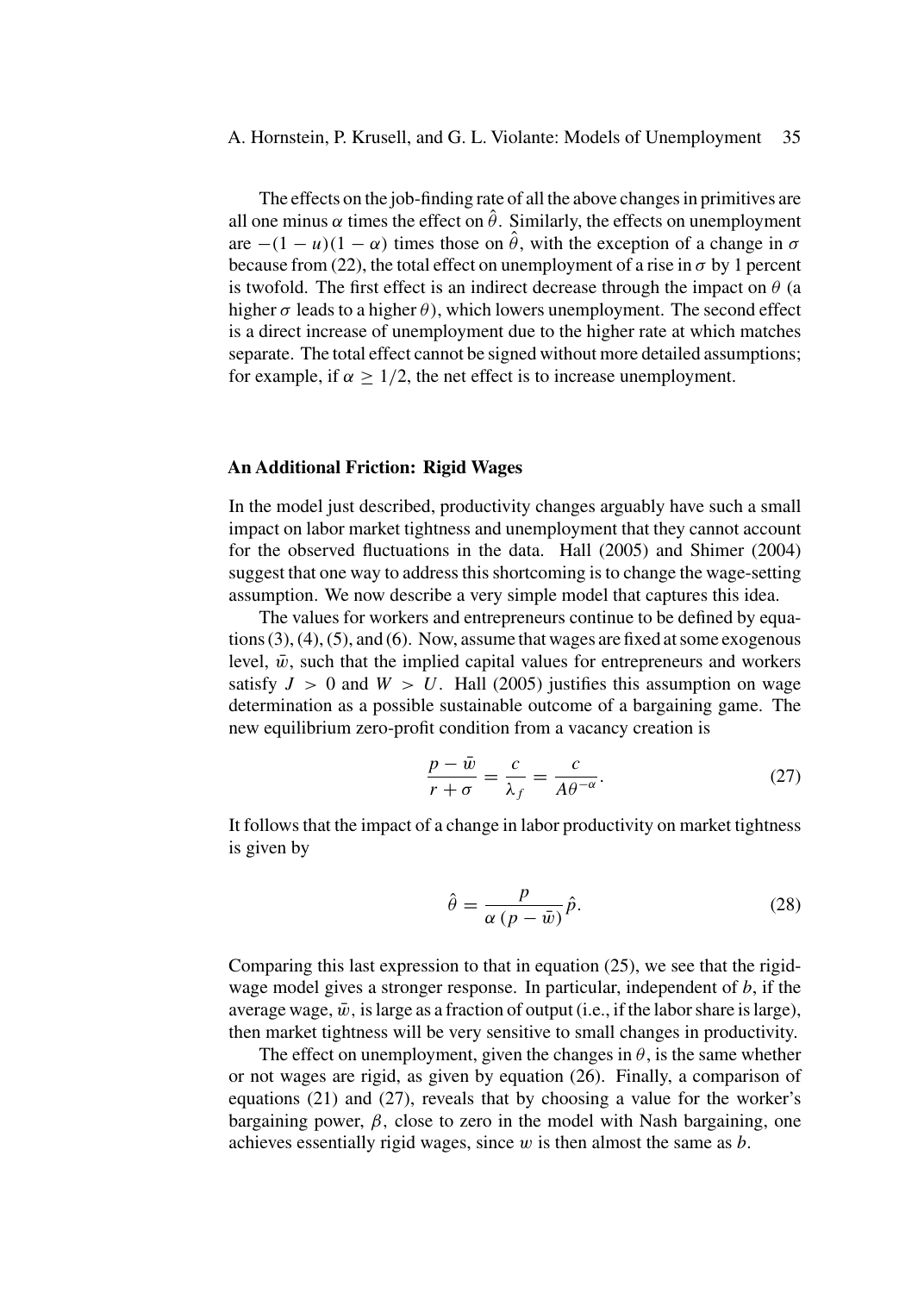#### A. Hornstein, P. Krusell, and G. L. Violante: Models of Unemployment 35

The effects on the job-finding rate of all the above changes in primitives are all one minus  $\alpha$  times the effect on  $\hat{\theta}$ . Similarly, the effects on unemployment are  $-(1 - u)(1 - \alpha)$  times those on  $\hat{\theta}$ , with the exception of a change in  $\sigma$ because from (22), the total effect on unemployment of a rise in  $\sigma$  by 1 percent is twofold. The first effect is an indirect decrease through the impact on  $\theta$  (a higher  $\sigma$  leads to a higher  $\theta$ ), which lowers unemployment. The second effect is a direct increase of unemployment due to the higher rate at which matches separate. The total effect cannot be signed without more detailed assumptions; for example, if  $\alpha > 1/2$ , the net effect is to increase unemployment.

#### **An Additional Friction: Rigid Wages**

In the model just described, productivity changes arguably have such a small impact on labor market tightness and unemployment that they cannot account for the observed fluctuations in the data. Hall (2005) and Shimer (2004) suggest that one way to address this shortcoming is to change the wage-setting assumption. We now describe a very simple model that captures this idea.

The values for workers and entrepreneurs continue to be defined by equations (3), (4), (5), and (6). Now, assume that wages are fixed at some exogenous level,  $\bar{w}$ , such that the implied capital values for entrepreneurs and workers satisfy  $J > 0$  and  $W > U$ . Hall (2005) justifies this assumption on wage determination as a possible sustainable outcome of a bargaining game. The new equilibrium zero-profit condition from a vacancy creation is

$$
\frac{p - \bar{w}}{r + \sigma} = \frac{c}{\lambda_f} = \frac{c}{A\theta^{-\alpha}}.\tag{27}
$$

It follows that the impact of a change in labor productivity on market tightness is given by

$$
\hat{\theta} = \frac{p}{\alpha (p - \bar{w})} \hat{p}.
$$
\n(28)

Comparing this last expression to that in equation (25), we see that the rigidwage model gives a stronger response. In particular, independent of *b*, if the average wage,  $\bar{w}$ , is large as a fraction of output (i.e., if the labor share is large), then market tightness will be very sensitive to small changes in productivity.

The effect on unemployment, given the changes in  $\theta$ , is the same whether or not wages are rigid, as given by equation (26). Finally, a comparison of equations (21) and (27), reveals that by choosing a value for the worker's bargaining power,  $\beta$ , close to zero in the model with Nash bargaining, one achieves essentially rigid wages, since *w* is then almost the same as *b*.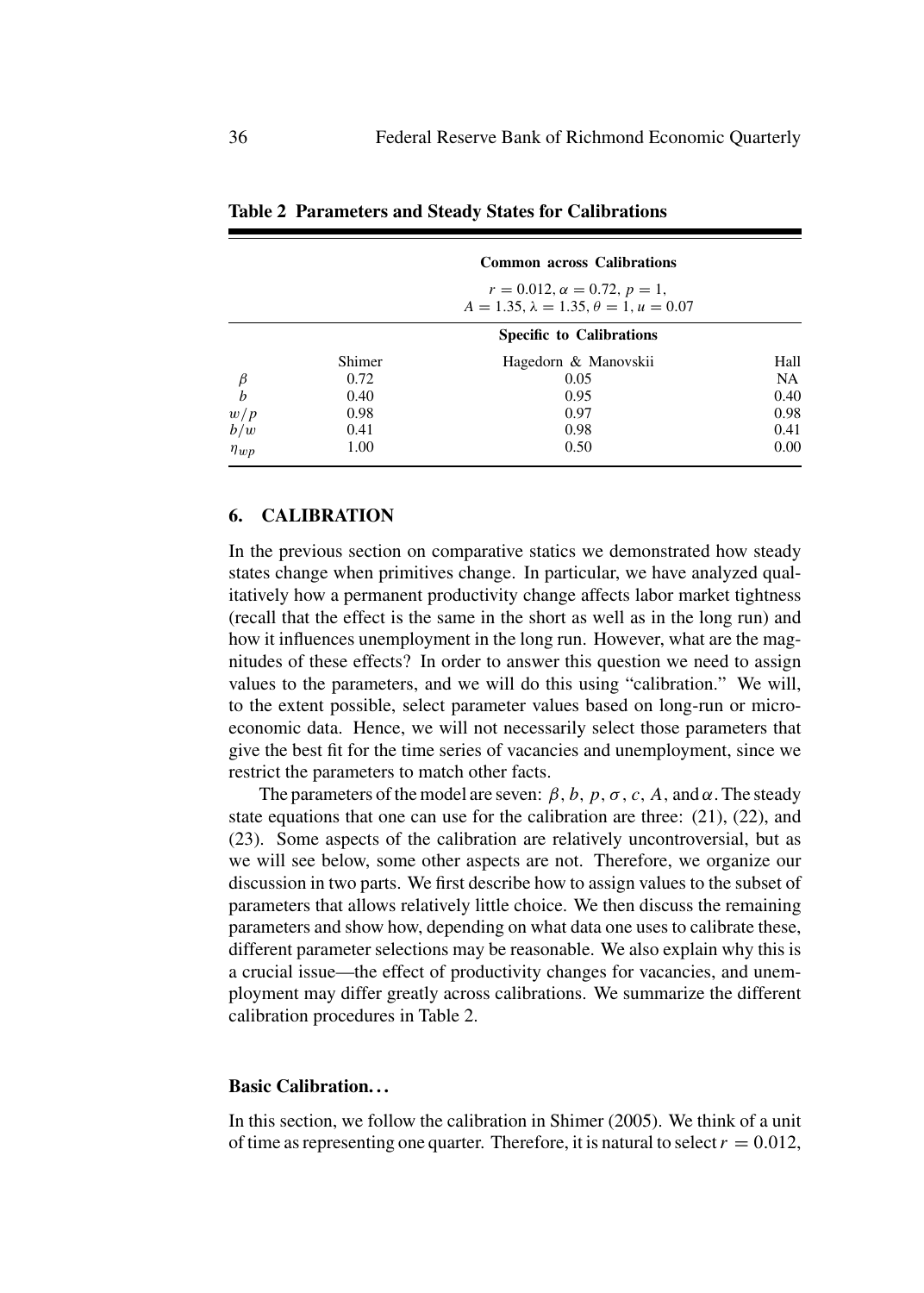|             |                                                                                        | <b>Common across Calibrations</b> |      |  |  |  |
|-------------|----------------------------------------------------------------------------------------|-----------------------------------|------|--|--|--|
|             | $r = 0.012, \alpha = 0.72, p = 1,$<br>$A = 1.35, \lambda = 1.35, \theta = 1, u = 0.07$ |                                   |      |  |  |  |
|             | <b>Specific to Calibrations</b>                                                        |                                   |      |  |  |  |
|             | Shimer                                                                                 | Hagedorn & Manovskii              | Hall |  |  |  |
|             | 0.72                                                                                   | 0.05                              | NA   |  |  |  |
| $\bar{b}$   | 0.40                                                                                   | 0.95                              | 0.40 |  |  |  |
| w/p         | 0.98                                                                                   | 0.97                              | 0.98 |  |  |  |
| b/w         | 0.41                                                                                   | 0.98                              | 0.41 |  |  |  |
| $\eta_{wp}$ | 1.00                                                                                   | 0.50                              | 0.00 |  |  |  |

**Table 2 Parameters and Steady States for Calibrations**

## **6. CALIBRATION**

In the previous section on comparative statics we demonstrated how steady states change when primitives change. In particular, we have analyzed qualitatively how a permanent productivity change affects labor market tightness (recall that the effect is the same in the short as well as in the long run) and how it influences unemployment in the long run. However, what are the magnitudes of these effects? In order to answer this question we need to assign values to the parameters, and we will do this using "calibration." We will, to the extent possible, select parameter values based on long-run or microeconomic data. Hence, we will not necessarily select those parameters that give the best fit for the time series of vacancies and unemployment, since we restrict the parameters to match other facts.

The parameters of the model are seven:  $\beta$ ,  $b$ ,  $p$ ,  $\sigma$ ,  $c$ ,  $A$ , and  $\alpha$ . The steady state equations that one can use for the calibration are three: (21), (22), and (23). Some aspects of the calibration are relatively uncontroversial, but as we will see below, some other aspects are not. Therefore, we organize our discussion in two parts. We first describe how to assign values to the subset of parameters that allows relatively little choice. We then discuss the remaining parameters and show how, depending on what data one uses to calibrate these, different parameter selections may be reasonable. We also explain why this is a crucial issue—the effect of productivity changes for vacancies, and unemployment may differ greatly across calibrations. We summarize the different calibration procedures in Table 2.

#### **Basic Calibration. . .**

In this section, we follow the calibration in Shimer (2005). We think of a unit of time as representing one quarter. Therefore, it is natural to select  $r = 0.012$ ,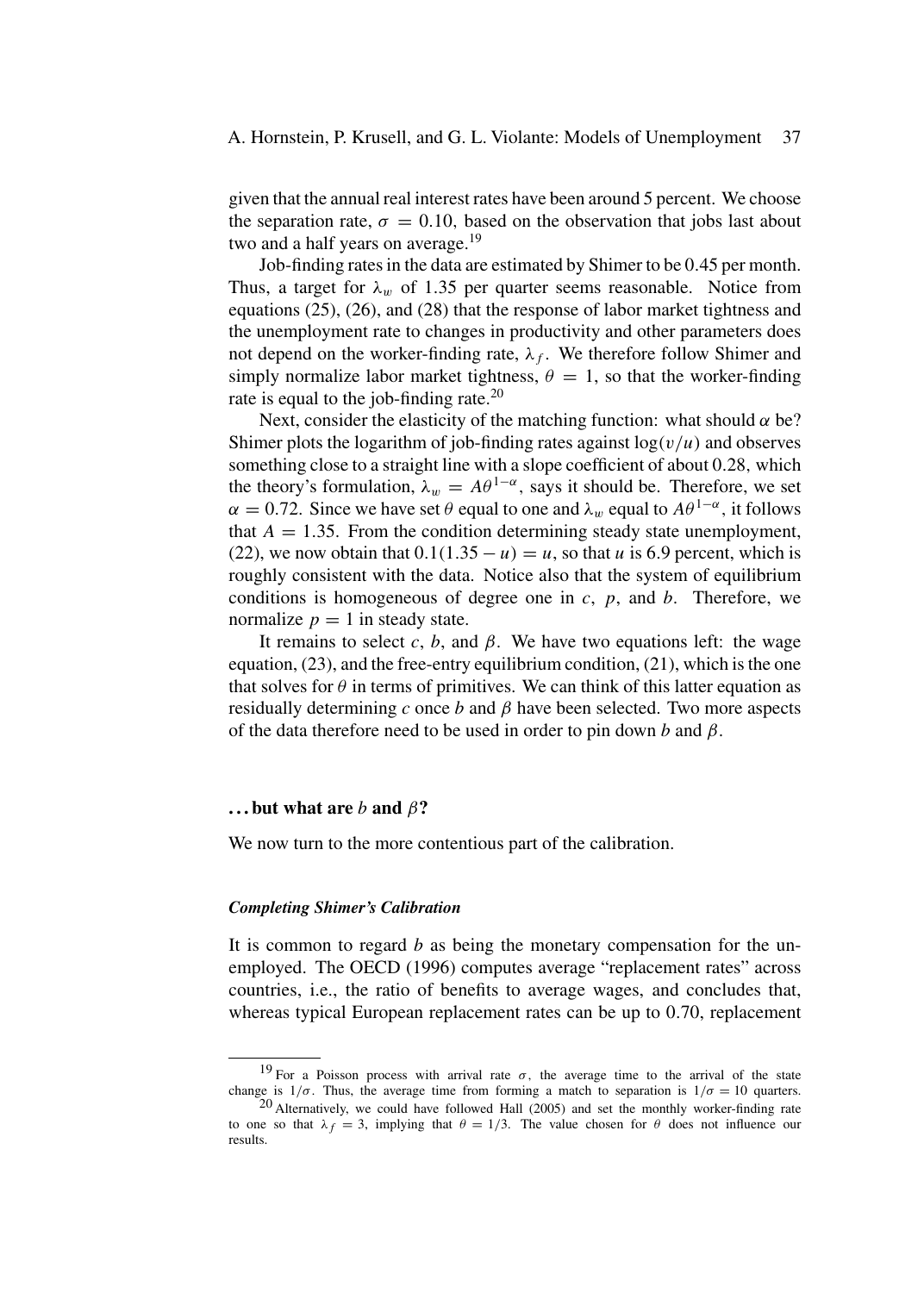## A. Hornstein, P. Krusell, and G. L. Violante: Models of Unemployment 37

given that the annual real interest rates have been around 5 percent. We choose the separation rate,  $\sigma = 0.10$ , based on the observation that jobs last about two and a half years on average. $19$ 

Job-finding rates in the data are estimated by Shimer to be 0*.*45 per month. Thus, a target for  $\lambda_w$  of 1.35 per quarter seems reasonable. Notice from equations (25), (26), and (28) that the response of labor market tightness and the unemployment rate to changes in productivity and other parameters does not depend on the worker-finding rate,  $\lambda_f$ . We therefore follow Shimer and simply normalize labor market tightness,  $\theta = 1$ , so that the worker-finding rate is equal to the job-finding rate.<sup>20</sup>

Next, consider the elasticity of the matching function: what should  $\alpha$  be? Shimer plots the logarithm of job-finding rates against  $log(v/u)$  and observes something close to a straight line with a slope coefficient of about 0*.*28*,* which the theory's formulation,  $\lambda_w = A\theta^{1-\alpha}$ , says it should be. Therefore, we set  $\alpha = 0.72$ . Since we have set  $\theta$  equal to one and  $\lambda_w$  equal to  $A\theta^{1-\alpha}$ , it follows that  $A = 1.35$ . From the condition determining steady state unemployment, (22), we now obtain that  $0.1(1.35 - u) = u$ , so that *u* is 6.9 percent, which is roughly consistent with the data. Notice also that the system of equilibrium conditions is homogeneous of degree one in *c*, *p*, and *b*. Therefore, we normalize  $p = 1$  in steady state.

It remains to select  $c$ ,  $b$ , and  $\beta$ . We have two equations left: the wage equation, (23), and the free-entry equilibrium condition, (21), which is the one that solves for  $\theta$  in terms of primitives. We can think of this latter equation as residually determining *c* once *b* and *β* have been selected. Two more aspects of the data therefore need to be used in order to pin down *b* and *β*.

#### **. . . but what are** *b* **and** *β***?**

We now turn to the more contentious part of the calibration.

#### *Completing Shimer's Calibration*

It is common to regard *b* as being the monetary compensation for the unemployed. The OECD (1996) computes average "replacement rates" across countries, i.e., the ratio of benefits to average wages, and concludes that, whereas typical European replacement rates can be up to 0*.*70, replacement

<sup>&</sup>lt;sup>19</sup> For a Poisson process with arrival rate  $\sigma$ , the average time to the arrival of the state change is  $1/\sigma$ . Thus, the average time from forming a match to separation is  $1/\sigma = 10$  quarters.  $^{20}$  Alternatively, we could have followed Hall (2005) and set the monthly worker-finding rate

to one so that  $\lambda_f = 3$ , implying that  $\theta = 1/3$ . The value chosen for  $\theta$  does not influence our results.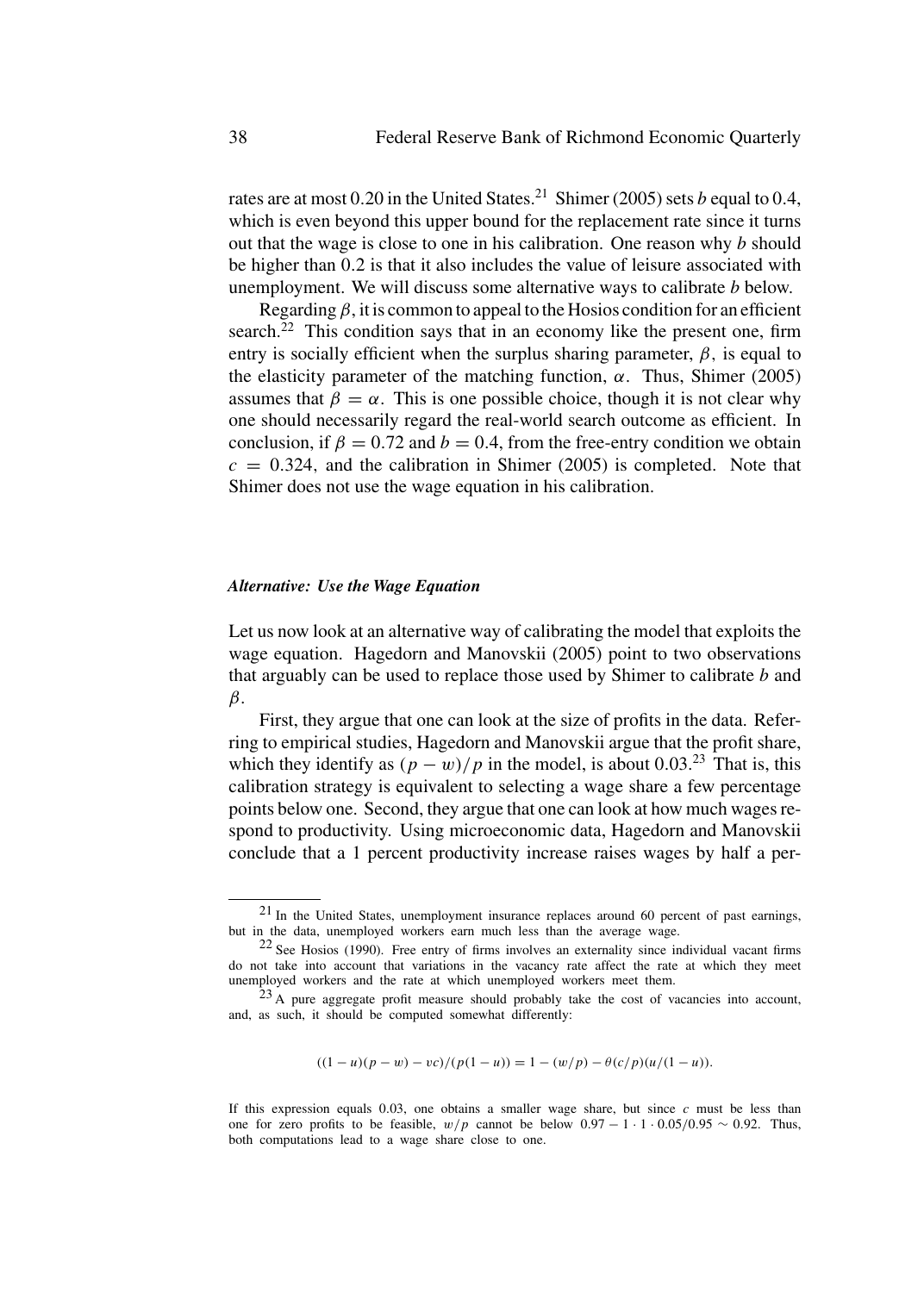rates are at most  $0.20$  in the United States.<sup>21</sup> Shimer (2005) sets *b* equal to 0.4, which is even beyond this upper bound for the replacement rate since it turns out that the wage is close to one in his calibration. One reason why *b* should be higher than 0*.*2 is that it also includes the value of leisure associated with unemployment. We will discuss some alternative ways to calibrate *b* below.

Regarding  $\beta$ , it is common to appeal to the Hosios condition for an efficient search.<sup>22</sup> This condition says that in an economy like the present one, firm entry is socially efficient when the surplus sharing parameter,  $\beta$ , is equal to the elasticity parameter of the matching function,  $α$ . Thus, Shimer (2005) assumes that  $\beta = \alpha$ . This is one possible choice, though it is not clear why one should necessarily regard the real-world search outcome as efficient. In conclusion, if  $\beta = 0.72$  and  $b = 0.4$ , from the free-entry condition we obtain  $c = 0.324$ , and the calibration in Shimer (2005) is completed. Note that Shimer does not use the wage equation in his calibration.

## *Alternative: Use the Wage Equation*

Let us now look at an alternative way of calibrating the model that exploits the wage equation. Hagedorn and Manovskii (2005) point to two observations that arguably can be used to replace those used by Shimer to calibrate *b* and *β*.

First, they argue that one can look at the size of profits in the data. Referring to empirical studies, Hagedorn and Manovskii argue that the profit share, which they identify as  $(p - w)/p$  in the model, is about 0.03.<sup>23</sup> That is, this calibration strategy is equivalent to selecting a wage share a few percentage points below one. Second, they argue that one can look at how much wages respond to productivity. Using microeconomic data, Hagedorn and Manovskii conclude that a 1 percent productivity increase raises wages by half a per-

$$
((1-u)(p-w)-vc)/(p(1-u)) = 1 - (w/p) - \theta(c/p)(u/(1-u)).
$$

<sup>21</sup> In the United States, unemployment insurance replaces around 60 percent of past earnings, but in the data, unemployed workers earn much less than the average wage.

 $22$  See Hosios (1990). Free entry of firms involves an externality since individual vacant firms do not take into account that variations in the vacancy rate affect the rate at which they meet unemployed workers and the rate at which unemployed workers meet them.

 $23$  A pure aggregate profit measure should probably take the cost of vacancies into account, and, as such, it should be computed somewhat differently:

If this expression equals 0*.*03, one obtains a smaller wage share, but since *c* must be less than one for zero profits to be feasible,  $w/p$  cannot be below  $0.97 - 1 \cdot 1 \cdot 0.05/0.95 \sim 0.92$ . Thus, both computations lead to a wage share close to one.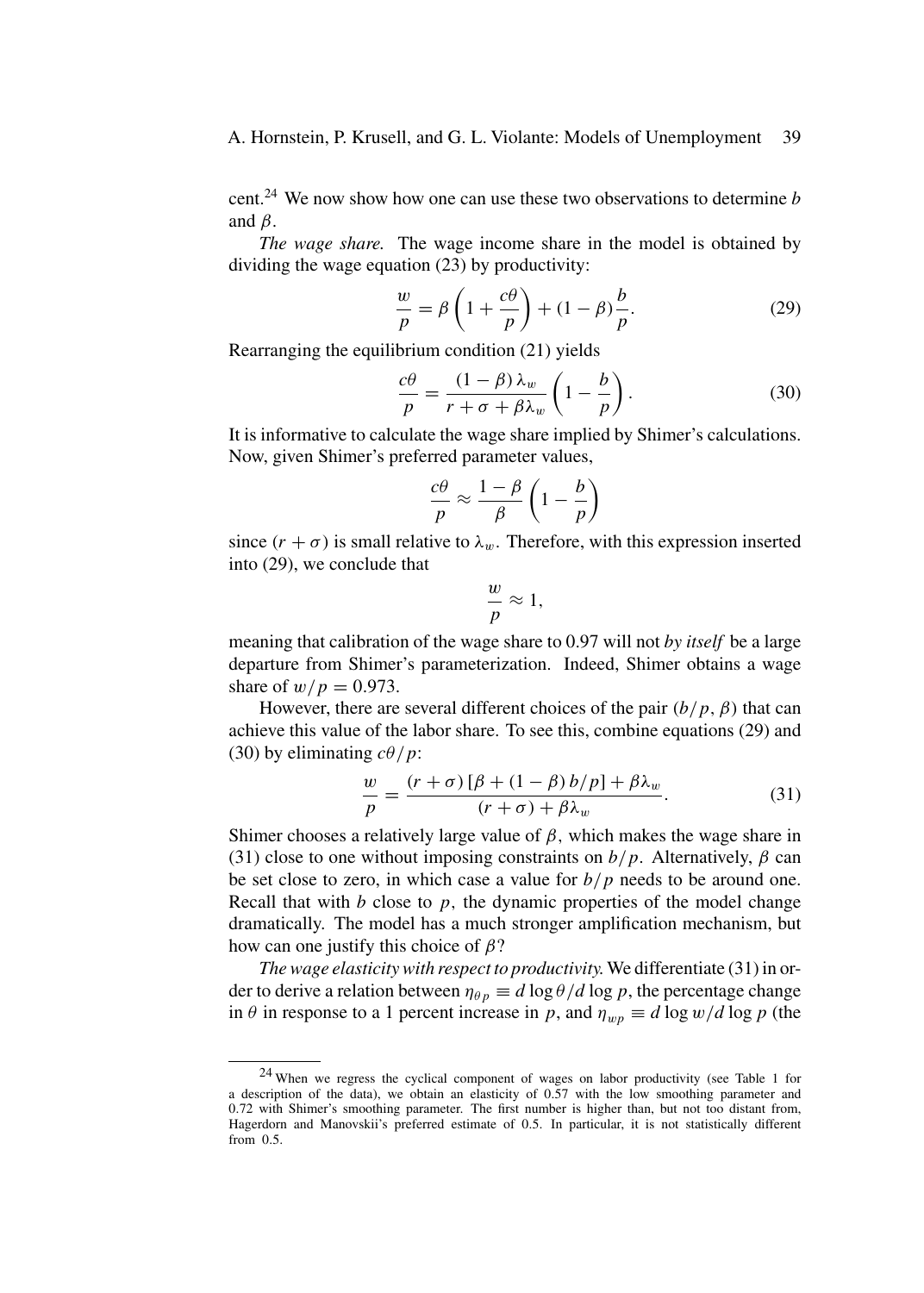cent.<sup>24</sup> We now show how one can use these two observations to determine *b* and *β*.

*The wage share.* The wage income share in the model is obtained by dividing the wage equation (23) by productivity:

$$
\frac{w}{p} = \beta \left( 1 + \frac{c\theta}{p} \right) + (1 - \beta) \frac{b}{p}.
$$
 (29)

Rearranging the equilibrium condition (21) yields

$$
\frac{c\theta}{p} = \frac{(1-\beta)\lambda_w}{r+\sigma+\beta\lambda_w} \left(1-\frac{b}{p}\right). \tag{30}
$$

It is informative to calculate the wage share implied by Shimer's calculations. Now, given Shimer's preferred parameter values,

$$
\frac{c\theta}{p} \approx \frac{1-\beta}{\beta}\left(1-\frac{b}{p}\right)
$$

since  $(r + \sigma)$  is small relative to  $\lambda_w$ . Therefore, with this expression inserted into (29), we conclude that

$$
\frac{w}{p} \approx 1,
$$

meaning that calibration of the wage share to 0.97 will not *by itself* be a large departure from Shimer's parameterization. Indeed, Shimer obtains a wage share of  $w/p = 0.973$ .

However, there are several different choices of the pair  $(b/p, \beta)$  that can achieve this value of the labor share. To see this, combine equations (29) and (30) by eliminating *cθ/p*:

$$
\frac{w}{p} = \frac{(r+\sigma)[\beta + (1-\beta)b/p] + \beta\lambda_w}{(r+\sigma) + \beta\lambda_w}.
$$
\n(31)

Shimer chooses a relatively large value of *β,* which makes the wage share in (31) close to one without imposing constraints on  $b/p$ . Alternatively,  $\beta$  can be set close to zero, in which case a value for *b/p* needs to be around one. Recall that with *b* close to *p,* the dynamic properties of the model change dramatically. The model has a much stronger amplification mechanism, but how can one justify this choice of *β*?

*The wage elasticity with respect to productivity.*We differentiate (31) in order to derive a relation between  $\eta_{\theta p} \equiv d \log \theta / d \log p$ , the percentage change in  $\theta$  in response to a 1 percent increase in *p*, and  $\eta_{wp} \equiv d \log w / d \log p$  (the

<sup>24</sup> When we regress the cyclical component of wages on labor productivity (see Table 1 for a description of the data), we obtain an elasticity of 0*.*57 with the low smoothing parameter and 0*.*72 with Shimer's smoothing parameter. The first number is higher than, but not too distant from, Hagerdorn and Manovskii's preferred estimate of 0*.*5. In particular, it is not statistically different from 0*.*5.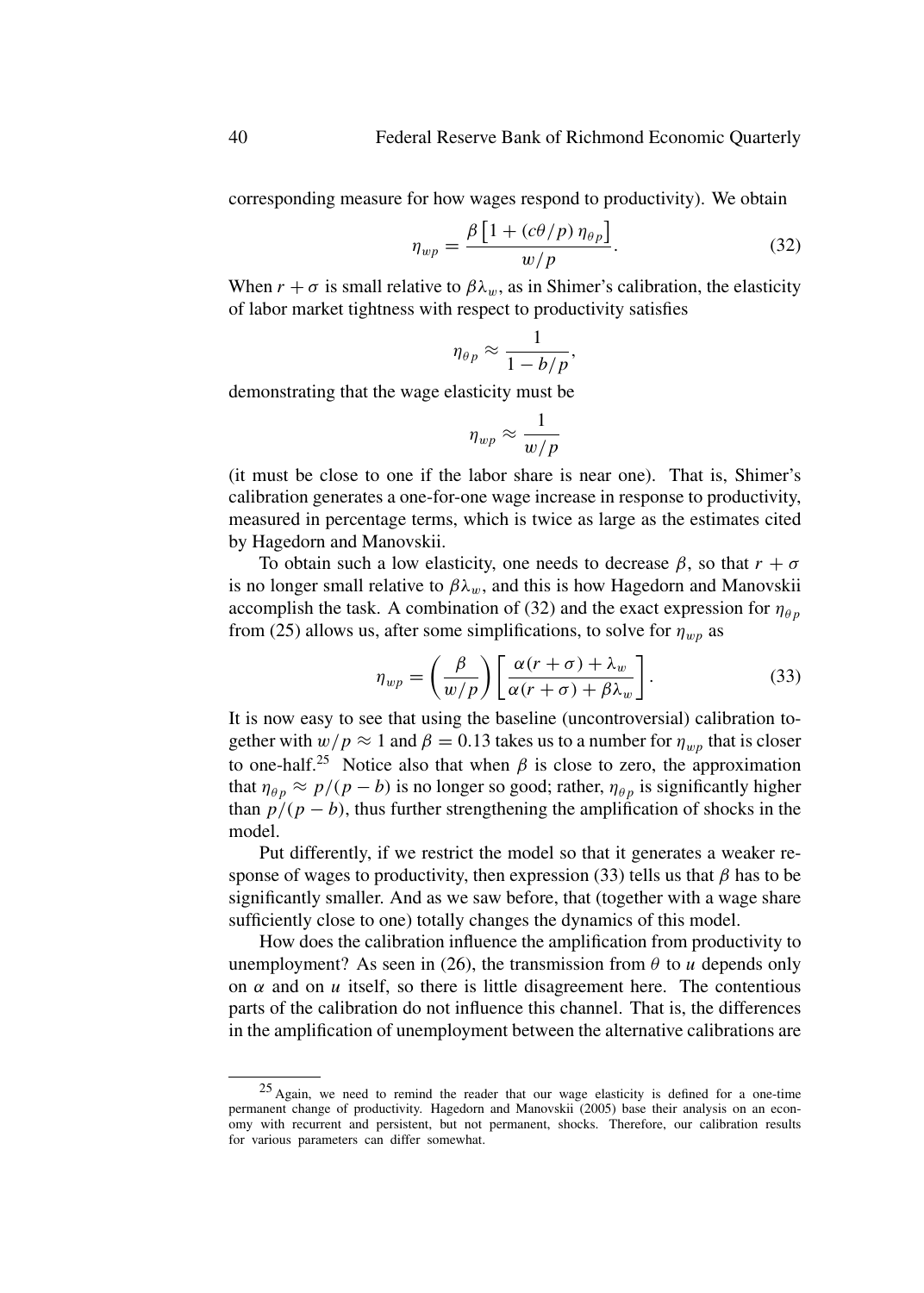corresponding measure for how wages respond to productivity). We obtain

$$
\eta_{wp} = \frac{\beta \left[ 1 + (c\theta/p) \,\eta_{\theta p} \right]}{w/p}.\tag{32}
$$

When  $r + \sigma$  is small relative to  $\beta \lambda_w$ , as in Shimer's calibration, the elasticity of labor market tightness with respect to productivity satisfies

$$
\eta_{\theta p} \approx \frac{1}{1 - b/p},
$$

demonstrating that the wage elasticity must be

$$
\eta_{wp} \approx \frac{1}{w/p}
$$

(it must be close to one if the labor share is near one). That is, Shimer's calibration generates a one-for-one wage increase in response to productivity, measured in percentage terms, which is twice as large as the estimates cited by Hagedorn and Manovskii.

To obtain such a low elasticity, one needs to decrease  $\beta$ , so that  $r + \sigma$ is no longer small relative to  $\beta \lambda_w$ , and this is how Hagedorn and Manovskii accomplish the task. A combination of (32) and the exact expression for  $\eta_{\theta p}$ from (25) allows us, after some simplifications, to solve for  $\eta_{wp}$  as

$$
\eta_{wp} = \left(\frac{\beta}{w/p}\right) \left[\frac{\alpha(r+\sigma) + \lambda_w}{\alpha(r+\sigma) + \beta \lambda_w}\right].
$$
\n(33)

It is now easy to see that using the baseline (uncontroversial) calibration together with  $w/p \approx 1$  and  $\beta = 0.13$  takes us to a number for  $\eta_{wn}$  that is closer to one-half.<sup>25</sup> Notice also that when  $\beta$  is close to zero, the approximation that  $\eta_{\theta p} \approx p/(p - b)$  is no longer so good; rather,  $\eta_{\theta p}$  is significantly higher than  $p/(p - b)$ , thus further strengthening the amplification of shocks in the model.

Put differently, if we restrict the model so that it generates a weaker response of wages to productivity, then expression (33) tells us that  $\beta$  has to be significantly smaller. And as we saw before, that (together with a wage share sufficiently close to one) totally changes the dynamics of this model.

How does the calibration influence the amplification from productivity to unemployment? As seen in (26), the transmission from  $\theta$  to *u* depends only on  $\alpha$  and on  $\alpha$  itself, so there is little disagreement here. The contentious parts of the calibration do not influence this channel. That is, the differences in the amplification of unemployment between the alternative calibrations are

<sup>25</sup> Again, we need to remind the reader that our wage elasticity is defined for a one-time permanent change of productivity. Hagedorn and Manovskii (2005) base their analysis on an economy with recurrent and persistent, but not permanent, shocks. Therefore, our calibration results for various parameters can differ somewhat.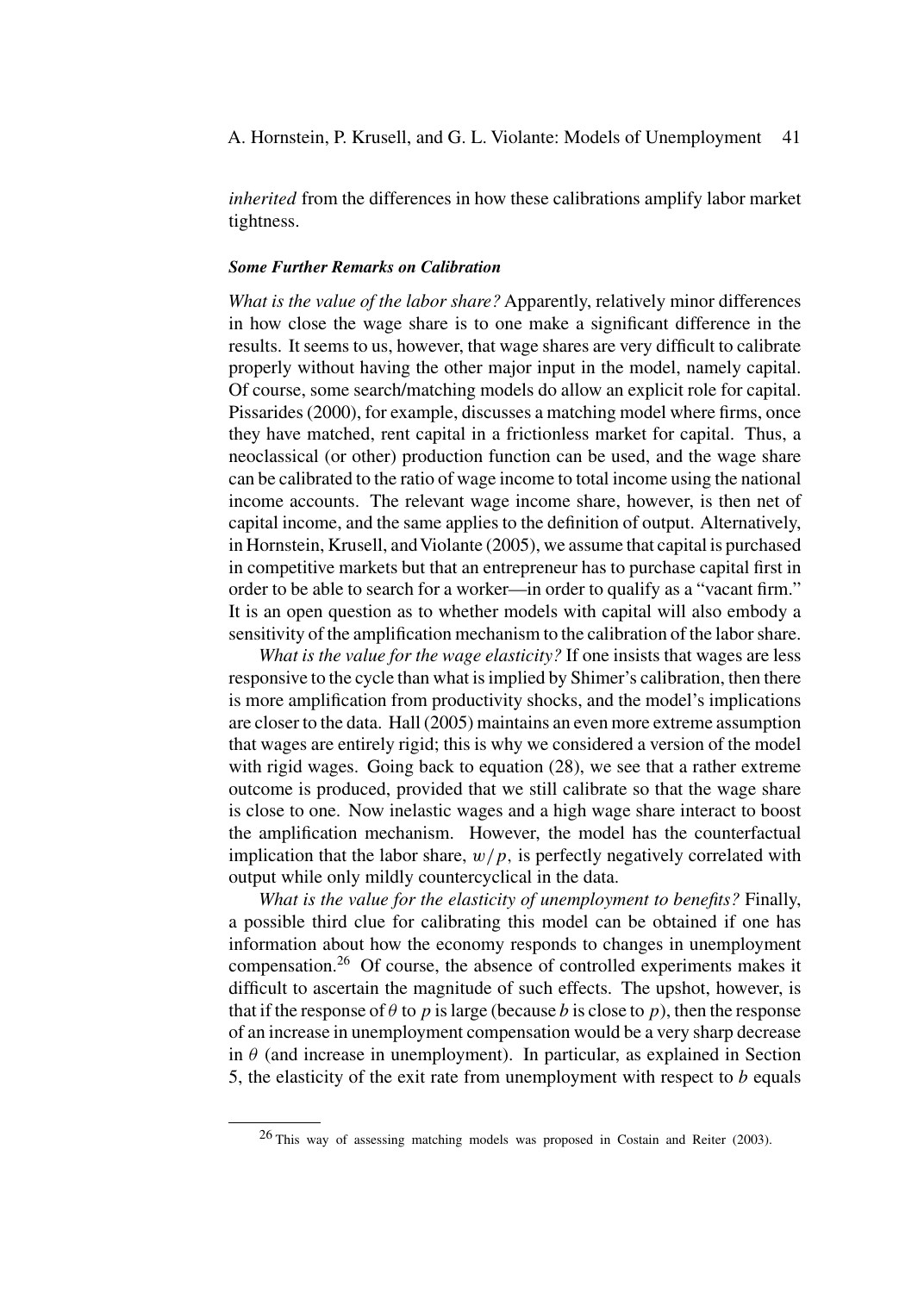A. Hornstein, P. Krusell, and G. L. Violante: Models of Unemployment 41

*inherited* from the differences in how these calibrations amplify labor market tightness.

#### *Some Further Remarks on Calibration*

*What is the value of the labor share?* Apparently, relatively minor differences in how close the wage share is to one make a significant difference in the results. It seems to us, however, that wage shares are very difficult to calibrate properly without having the other major input in the model, namely capital. Of course, some search/matching models do allow an explicit role for capital. Pissarides (2000), for example, discusses a matching model where firms, once they have matched, rent capital in a frictionless market for capital. Thus, a neoclassical (or other) production function can be used, and the wage share can be calibrated to the ratio of wage income to total income using the national income accounts. The relevant wage income share, however, is then net of capital income, and the same applies to the definition of output. Alternatively, in Hornstein, Krusell, and Violante (2005), we assume that capital is purchased in competitive markets but that an entrepreneur has to purchase capital first in order to be able to search for a worker—in order to qualify as a "vacant firm." It is an open question as to whether models with capital will also embody a sensitivity of the amplification mechanism to the calibration of the labor share.

*What is the value for the wage elasticity?* If one insists that wages are less responsive to the cycle than what is implied by Shimer's calibration, then there is more amplification from productivity shocks, and the model's implications are closer to the data. Hall (2005) maintains an even more extreme assumption that wages are entirely rigid; this is why we considered a version of the model with rigid wages. Going back to equation (28), we see that a rather extreme outcome is produced, provided that we still calibrate so that the wage share is close to one. Now inelastic wages and a high wage share interact to boost the amplification mechanism. However, the model has the counterfactual implication that the labor share,  $w/p$ , is perfectly negatively correlated with output while only mildly countercyclical in the data.

*What is the value for the elasticity of unemployment to benefits?* Finally, a possible third clue for calibrating this model can be obtained if one has information about how the economy responds to changes in unemployment compensation.<sup>26</sup> Of course, the absence of controlled experiments makes it difficult to ascertain the magnitude of such effects. The upshot, however, is that if the response of  $\theta$  to *p* is large (because *b* is close to *p*), then the response of an increase in unemployment compensation would be a very sharp decrease in  $\theta$  (and increase in unemployment). In particular, as explained in Section 5, the elasticity of the exit rate from unemployment with respect to *b* equals

<sup>26</sup> This way of assessing matching models was proposed in Costain and Reiter (2003).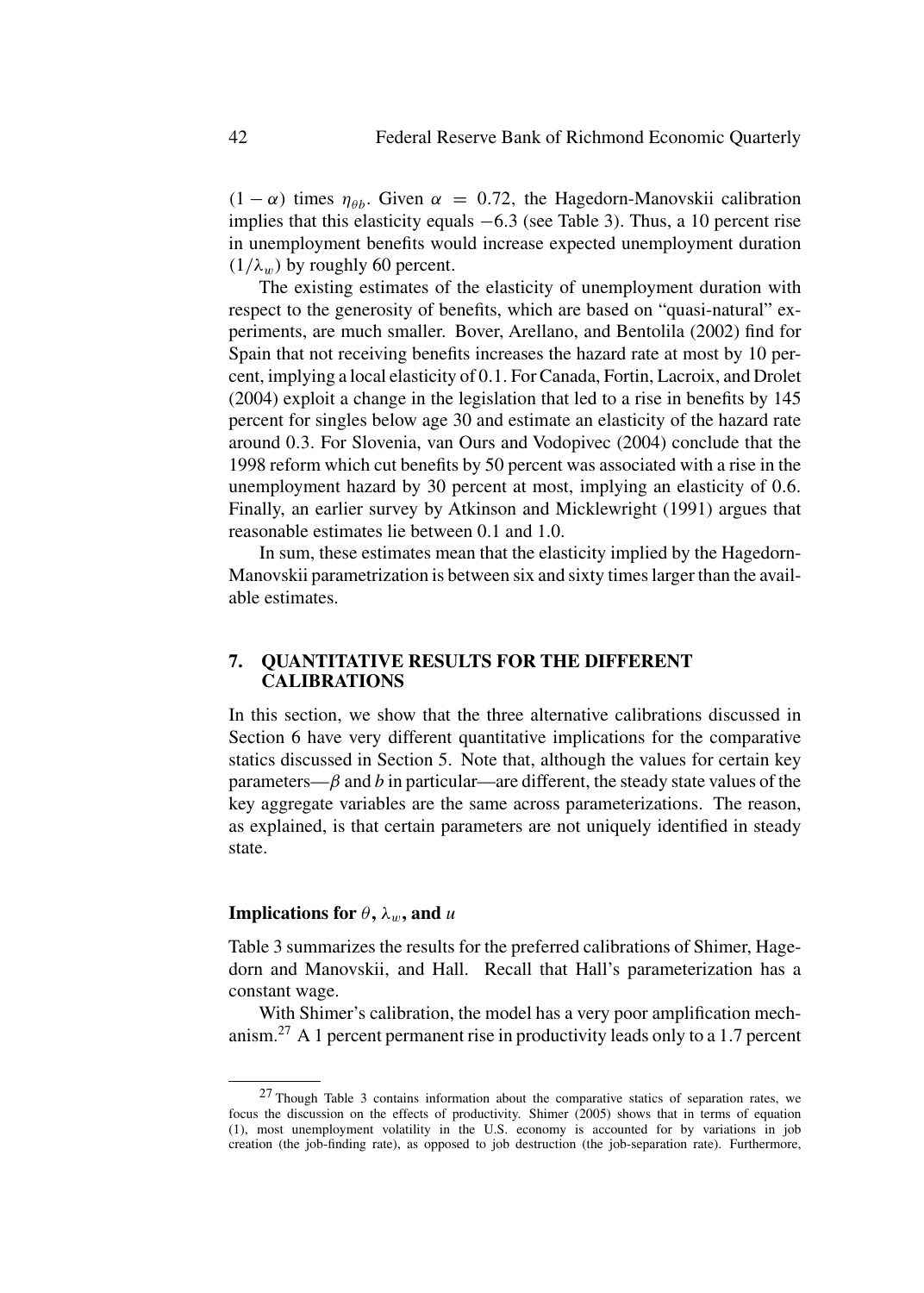*(*1 − *α*) times  $η<sub>θb</sub>$ . Given *α* = 0.72, the Hagedorn-Manovskii calibration implies that this elasticity equals <sup>−</sup>6*.*3 (see Table 3)*.* Thus, a 10 percent rise in unemployment benefits would increase expected unemployment duration  $(1/\lambda_w)$  by roughly 60 percent.

The existing estimates of the elasticity of unemployment duration with respect to the generosity of benefits, which are based on "quasi-natural" experiments, are much smaller. Bover, Arellano, and Bentolila (2002) find for Spain that not receiving benefits increases the hazard rate at most by 10 percent, implying a local elasticity of 0*.*1*.* For Canada, Fortin, Lacroix, and Drolet (2004) exploit a change in the legislation that led to a rise in benefits by 145 percent for singles below age 30 and estimate an elasticity of the hazard rate around 0*.*3*.* For Slovenia, van Ours and Vodopivec (2004) conclude that the 1998 reform which cut benefits by 50 percent was associated with a rise in the unemployment hazard by 30 percent at most, implying an elasticity of 0*.*6*.* Finally, an earlier survey by Atkinson and Micklewright (1991) argues that reasonable estimates lie between 0.1 and 1.0.

In sum, these estimates mean that the elasticity implied by the Hagedorn-Manovskii parametrization is between six and sixty times larger than the available estimates.

## **7. QUANTITATIVE RESULTS FOR THE DIFFERENT CALIBRATIONS**

In this section, we show that the three alternative calibrations discussed in Section 6 have very different quantitative implications for the comparative statics discussed in Section 5. Note that, although the values for certain key parameters— $\beta$  and  $\beta$  in particular—are different, the steady state values of the key aggregate variables are the same across parameterizations. The reason, as explained, is that certain parameters are not uniquely identified in steady state.

## **Implications for**  $\theta$ ,  $\lambda_w$ , and *u*

Table 3 summarizes the results for the preferred calibrations of Shimer, Hagedorn and Manovskii, and Hall. Recall that Hall's parameterization has a constant wage.

With Shimer's calibration, the model has a very poor amplification mechanism.<sup>27</sup> A 1 percent permanent rise in productivity leads only to a 1*.*7 percent

<sup>27</sup> Though Table 3 contains information about the comparative statics of separation rates, we focus the discussion on the effects of productivity. Shimer (2005) shows that in terms of equation (1), most unemployment volatility in the U.S. economy is accounted for by variations in job creation (the job-finding rate), as opposed to job destruction (the job-separation rate). Furthermore,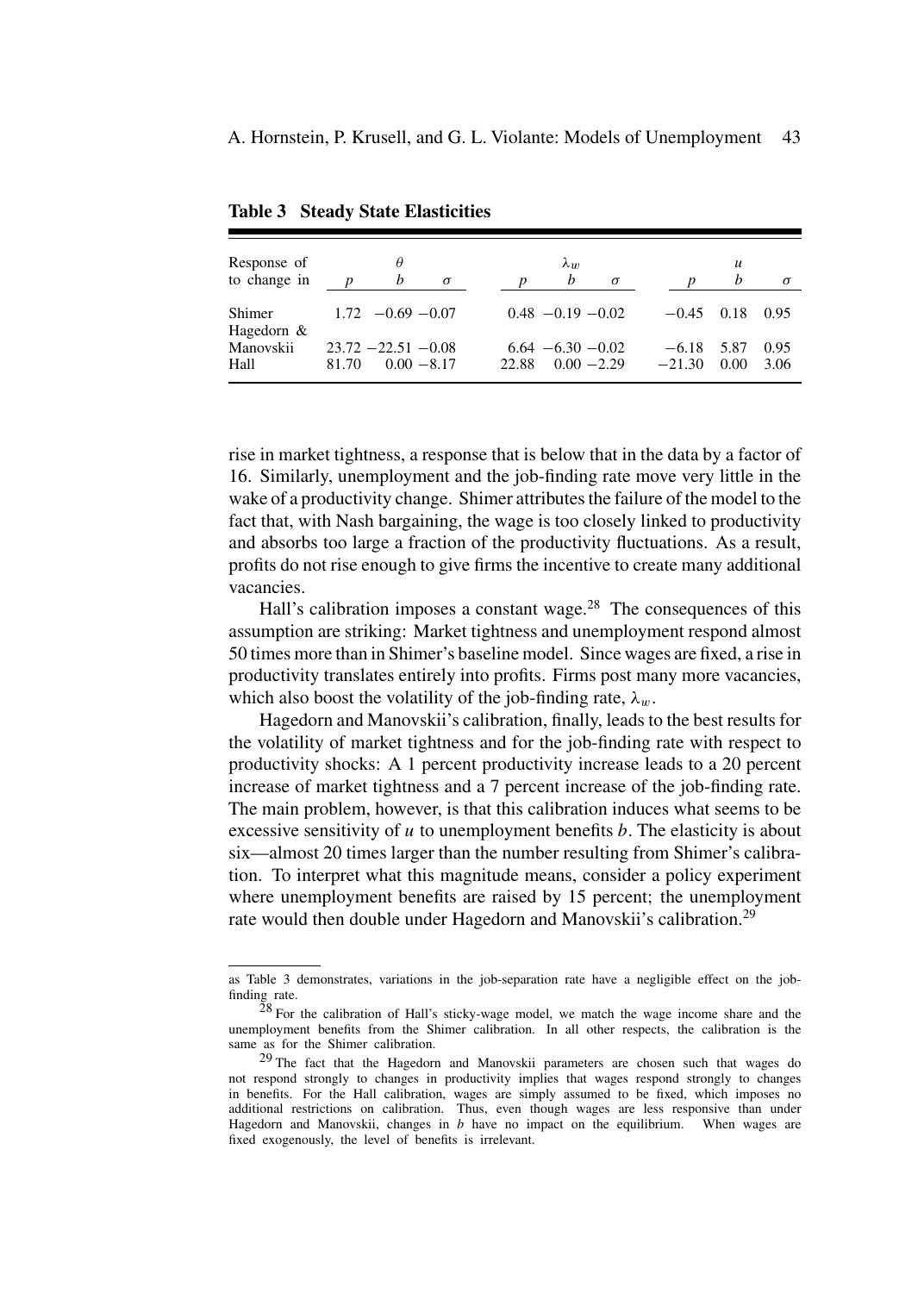| Response of            |                  | θ                                       |          |       | $\lambda_{10}$                        |          |                     | $\boldsymbol{u}$ |              |
|------------------------|------------------|-----------------------------------------|----------|-------|---------------------------------------|----------|---------------------|------------------|--------------|
| to change in           | $\boldsymbol{n}$ | b                                       | $\sigma$ |       | $\mathfrak{b}$                        | $\sigma$ | D                   | h                | $\sigma$     |
| Shimer<br>Hagedorn $&$ |                  | $1.72 -0.69 -0.07$                      |          |       | $0.48 - 0.19 - 0.02$                  |          | $-0.45$             | 0.18             | 0.95         |
| Manovskii<br>Hall      | 81.70            | $23.72 - 22.51 - 0.08$<br>$0.00 - 8.17$ |          | 22.88 | $6.64 - 6.30 - 0.02$<br>$0.00 - 2.29$ |          | $-6.18$<br>$-21.30$ | 5.87<br>0.00     | 0.95<br>3.06 |

**Table 3 Steady State Elasticities**

rise in market tightness, a response that is below that in the data by a factor of 16. Similarly, unemployment and the job-finding rate move very little in the wake of a productivity change. Shimer attributes the failure of the model to the fact that, with Nash bargaining, the wage is too closely linked to productivity and absorbs too large a fraction of the productivity fluctuations. As a result, profits do not rise enough to give firms the incentive to create many additional vacancies.

Hall's calibration imposes a constant wage. $^{28}$  The consequences of this assumption are striking: Market tightness and unemployment respond almost 50 times more than in Shimer's baseline model. Since wages are fixed, a rise in productivity translates entirely into profits. Firms post many more vacancies, which also boost the volatility of the job-finding rate,  $\lambda_w$ .

Hagedorn and Manovskii's calibration, finally, leads to the best results for the volatility of market tightness and for the job-finding rate with respect to productivity shocks: A 1 percent productivity increase leads to a 20 percent increase of market tightness and a 7 percent increase of the job-finding rate. The main problem, however, is that this calibration induces what seems to be excessive sensitivity of *u* to unemployment benefits *b.* The elasticity is about six—almost 20 times larger than the number resulting from Shimer's calibration. To interpret what this magnitude means, consider a policy experiment where unemployment benefits are raised by 15 percent; the unemployment rate would then double under Hagedorn and Manovskii's calibration.<sup>29</sup>

as Table 3 demonstrates, variations in the job-separation rate have a negligible effect on the jobfinding rate.

 $28$  For the calibration of Hall's sticky-wage model, we match the wage income share and the unemployment benefits from the Shimer calibration. In all other respects, the calibration is the same as for the Shimer calibration.

<sup>&</sup>lt;sup>29</sup> The fact that the Hagedorn and Manovskii parameters are chosen such that wages do not respond strongly to changes in productivity implies that wages respond strongly to changes in benefits. For the Hall calibration, wages are simply assumed to be fixed, which imposes no additional restrictions on calibration. Thus, even though wages are less responsive than under Hagedorn and Manovskii, changes in *b* have no impact on the equilibrium. When wages are fixed exogenously, the level of benefits is irrelevant.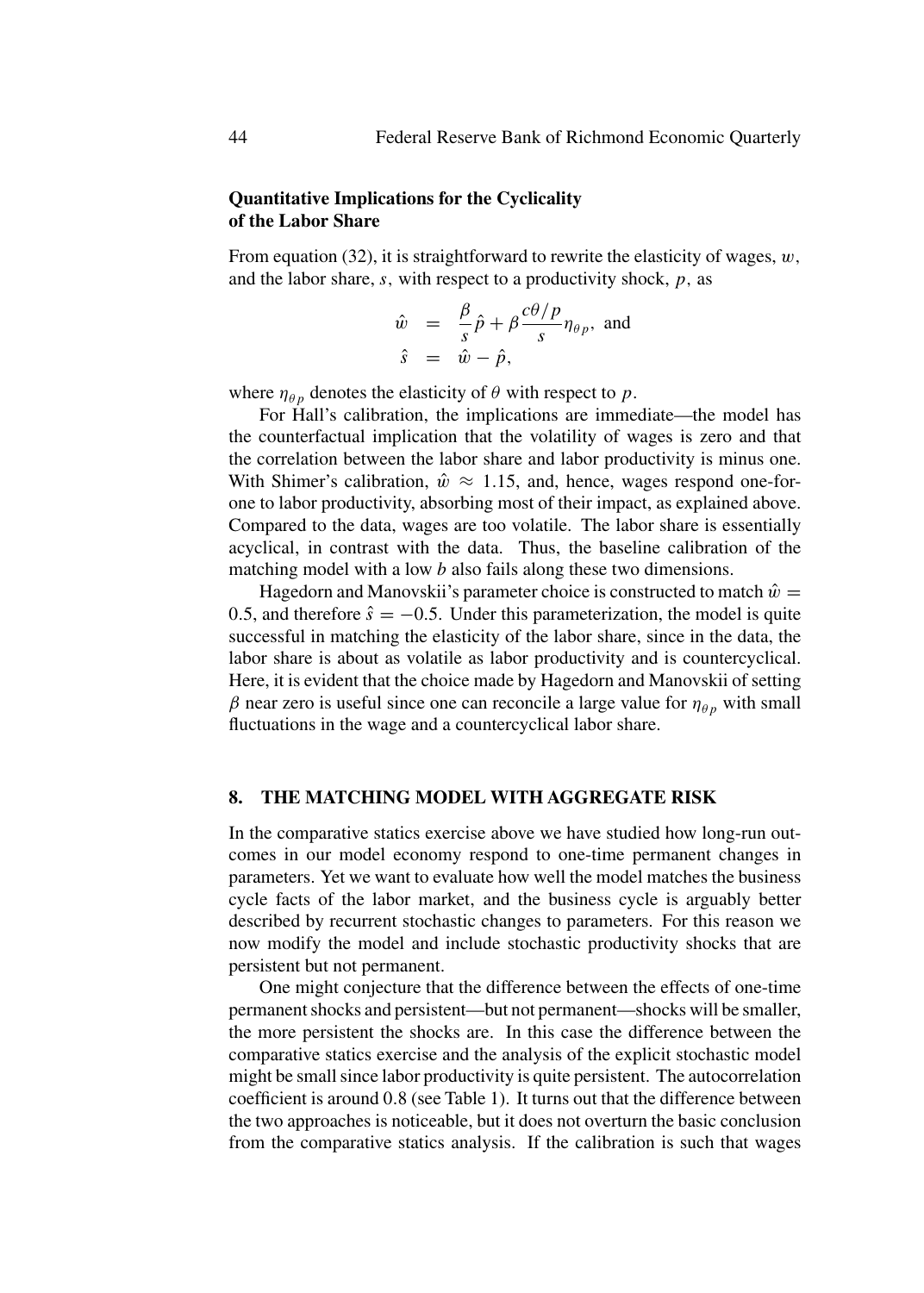# **Quantitative Implications for the Cyclicality of the Labor Share**

From equation (32), it is straightforward to rewrite the elasticity of wages, *w,* and the labor share, *s,* with respect to a productivity shock, *p,* as

$$
\hat{w} = \frac{\beta}{s}\hat{p} + \beta \frac{c\theta/p}{s} \eta_{\theta p}, \text{ and}
$$
  

$$
\hat{s} = \hat{w} - \hat{p},
$$

where  $\eta_{\theta p}$  denotes the elasticity of  $\theta$  with respect to  $p$ .

For Hall's calibration, the implications are immediate—the model has the counterfactual implication that the volatility of wages is zero and that the correlation between the labor share and labor productivity is minus one. With Shimer's calibration,  $\hat{w} \approx 1.15$ , and, hence, wages respond one-forone to labor productivity, absorbing most of their impact, as explained above. Compared to the data, wages are too volatile. The labor share is essentially acyclical, in contrast with the data. Thus, the baseline calibration of the matching model with a low *b* also fails along these two dimensions.

Hagedorn and Manovskii's parameter choice is constructed to match  $\hat{w} =$ 0.5, and therefore  $\hat{s} = -0.5$ . Under this parameterization, the model is quite successful in matching the elasticity of the labor share, since in the data, the labor share is about as volatile as labor productivity and is countercyclical. Here, it is evident that the choice made by Hagedorn and Manovskii of setting *β* near zero is useful since one can reconcile a large value for  $η<sub>θp</sub>$  with small fluctuations in the wage and a countercyclical labor share.

## **8. THE MATCHING MODEL WITH AGGREGATE RISK**

In the comparative statics exercise above we have studied how long-run outcomes in our model economy respond to one-time permanent changes in parameters. Yet we want to evaluate how well the model matches the business cycle facts of the labor market, and the business cycle is arguably better described by recurrent stochastic changes to parameters. For this reason we now modify the model and include stochastic productivity shocks that are persistent but not permanent.

One might conjecture that the difference between the effects of one-time permanent shocks and persistent—but not permanent—shocks will be smaller, the more persistent the shocks are. In this case the difference between the comparative statics exercise and the analysis of the explicit stochastic model might be small since labor productivity is quite persistent. The autocorrelation coefficient is around 0*.*8 (see Table 1). It turns out that the difference between the two approaches is noticeable, but it does not overturn the basic conclusion from the comparative statics analysis. If the calibration is such that wages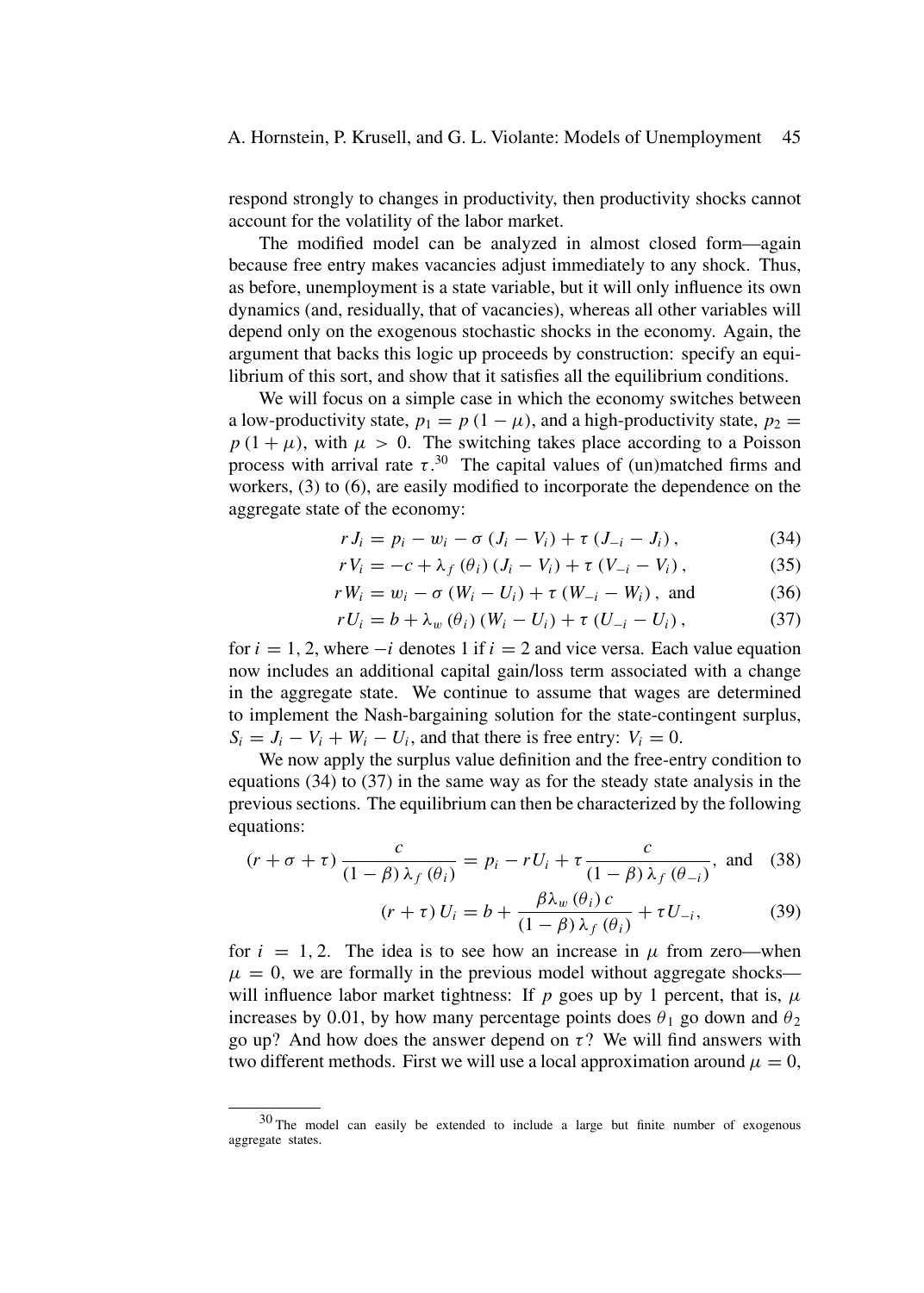respond strongly to changes in productivity, then productivity shocks cannot account for the volatility of the labor market.

The modified model can be analyzed in almost closed form—again because free entry makes vacancies adjust immediately to any shock. Thus, as before, unemployment is a state variable, but it will only influence its own dynamics (and, residually, that of vacancies), whereas all other variables will depend only on the exogenous stochastic shocks in the economy. Again, the argument that backs this logic up proceeds by construction: specify an equilibrium of this sort, and show that it satisfies all the equilibrium conditions.

We will focus on a simple case in which the economy switches between a low-productivity state,  $p_1 = p(1 - \mu)$ , and a high-productivity state,  $p_2 =$  $p(1 + \mu)$ , with  $\mu > 0$ . The switching takes place according to a Poisson process with arrival rate  $\tau$ .<sup>30</sup> The capital values of (un)matched firms and workers, (3) to (6), are easily modified to incorporate the dependence on the aggregate state of the economy:

$$
r J_i = p_i - w_i - \sigma (J_i - V_i) + \tau (J_{-i} - J_i), \qquad (34)
$$

$$
rV_i = -c + \lambda_f(\theta_i) (J_i - V_i) + \tau (V_{-i} - V_i),
$$
 (35)

$$
r W_i = w_i - \sigma (W_i - U_i) + \tau (W_{-i} - W_i), \text{ and } (36)
$$

$$
rU_i = b + \lambda_w(\theta_i) (W_i - U_i) + \tau (U_{-i} - U_i), \qquad (37)
$$

for  $i = 1, 2$ , where  $-i$  denotes 1 if  $i = 2$  and vice versa. Each value equation now includes an additional capital gain/loss term associated with a change in the aggregate state. We continue to assume that wages are determined to implement the Nash-bargaining solution for the state-contingent surplus,  $S_i = J_i - V_i + W_i - U_i$ , and that there is free entry:  $V_i = 0$ .

We now apply the surplus value definition and the free-entry condition to equations (34) to (37) in the same way as for the steady state analysis in the previous sections. The equilibrium can then be characterized by the following equations:

$$
(r + \sigma + \tau) \frac{c}{(1 - \beta)\lambda_f(\theta_i)} = p_i - rU_i + \tau \frac{c}{(1 - \beta)\lambda_f(\theta_{-i})}, \text{ and } (38)
$$

$$
(r + \tau) U_i = b + \frac{\beta \lambda_w(\theta_i) c}{(1 - \beta) \lambda_f(\theta_i)} + \tau U_{-i},
$$
\n(39)

for  $i = 1, 2$ . The idea is to see how an increase in  $\mu$  from zero—when  $\mu = 0$ , we are formally in the previous model without aggregate shocks will influence labor market tightness: If  $p$  goes up by 1 percent, that is,  $\mu$ increases by 0.01, by how many percentage points does  $\theta_1$  go down and  $\theta_2$ go up? And how does the answer depend on  $\tau$ ? We will find answers with two different methods. First we will use a local approximation around  $\mu = 0$ ,

<sup>30</sup> The model can easily be extended to include a large but finite number of exogenous aggregate states.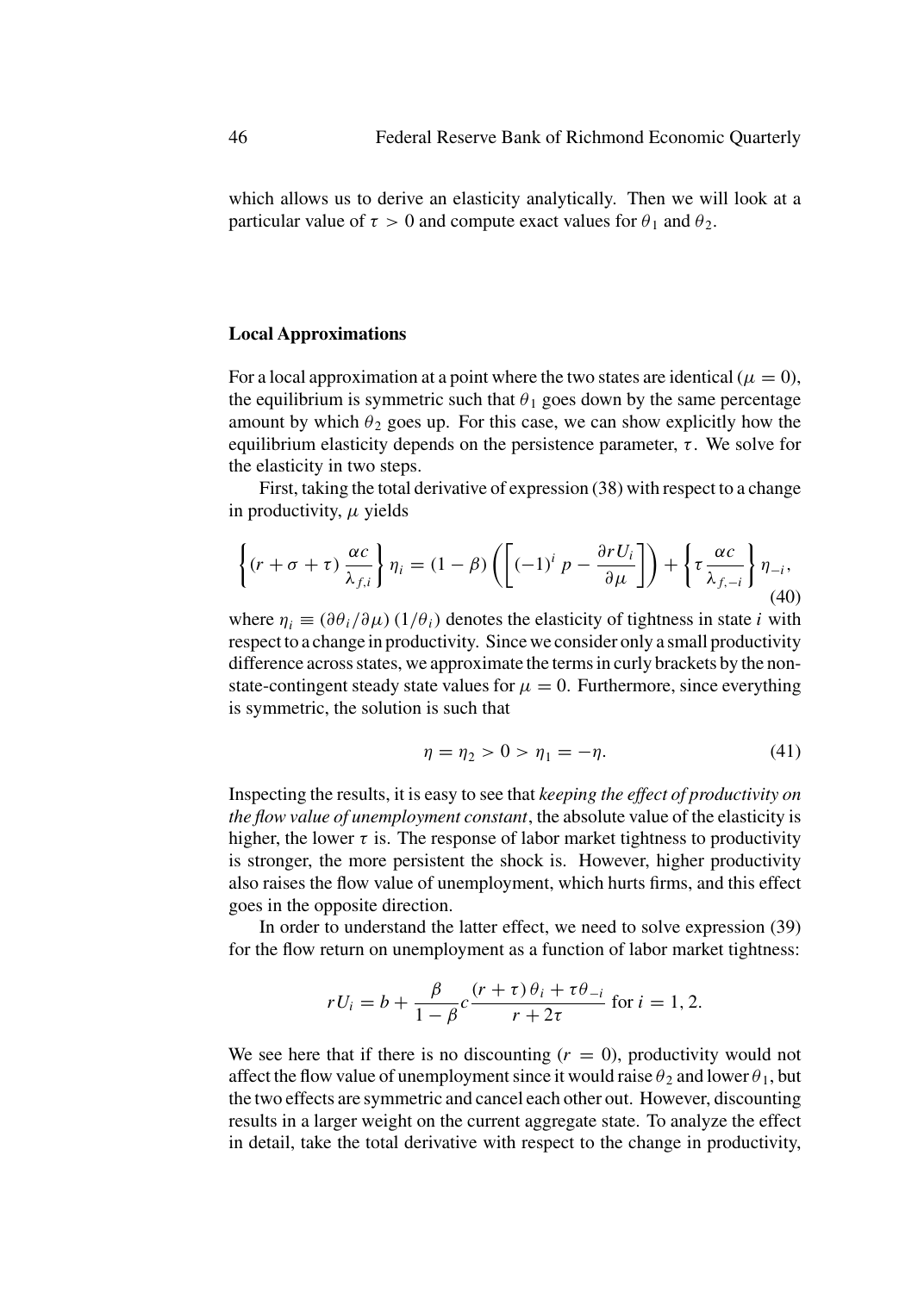which allows us to derive an elasticity analytically. Then we will look at a particular value of  $\tau > 0$  and compute exact values for  $\theta_1$  and  $\theta_2$ .

## **Local Approximations**

For a local approximation at a point where the two states are identical ( $\mu = 0$ ), the equilibrium is symmetric such that  $\theta_1$  goes down by the same percentage amount by which  $\theta_2$  goes up. For this case, we can show explicitly how the equilibrium elasticity depends on the persistence parameter,  $\tau$ . We solve for the elasticity in two steps.

First, taking the total derivative of expression (38) with respect to a change in productivity, *μ* yields

$$
\left\{ (r + \sigma + \tau) \frac{\alpha c}{\lambda_{f,i}} \right\} \eta_i = (1 - \beta) \left( \left[ (-1)^i p - \frac{\partial r U_i}{\partial \mu} \right] \right) + \left\{ \tau \frac{\alpha c}{\lambda_{f,-i}} \right\} \eta_{-i},\tag{40}
$$

where  $\eta_i \equiv (\partial \theta_i / \partial \mu) (1/\theta_i)$  denotes the elasticity of tightness in state *i* with respect to a change in productivity. Since we consider only a small productivity difference across states, we approximate the terms in curly brackets by the nonstate-contingent steady state values for  $\mu = 0$ . Furthermore, since everything is symmetric, the solution is such that

$$
\eta = \eta_2 > 0 > \eta_1 = -\eta. \tag{41}
$$

Inspecting the results, it is easy to see that *keeping the effect of productivity on the flow value of unemployment constant*, the absolute value of the elasticity is higher, the lower  $\tau$  is. The response of labor market tightness to productivity is stronger, the more persistent the shock is. However, higher productivity also raises the flow value of unemployment, which hurts firms, and this effect goes in the opposite direction.

In order to understand the latter effect, we need to solve expression (39) for the flow return on unemployment as a function of labor market tightness:

$$
rU_i = b + \frac{\beta}{1-\beta}c\frac{(r+\tau)\theta_i + \tau\theta_{-i}}{r+2\tau} \text{ for } i = 1, 2.
$$

We see here that if there is no discounting  $(r = 0)$ , productivity would not affect the flow value of unemployment since it would raise  $\theta_2$  and lower  $\theta_1$ , but the two effects are symmetric and cancel each other out. However, discounting results in a larger weight on the current aggregate state. To analyze the effect in detail, take the total derivative with respect to the change in productivity,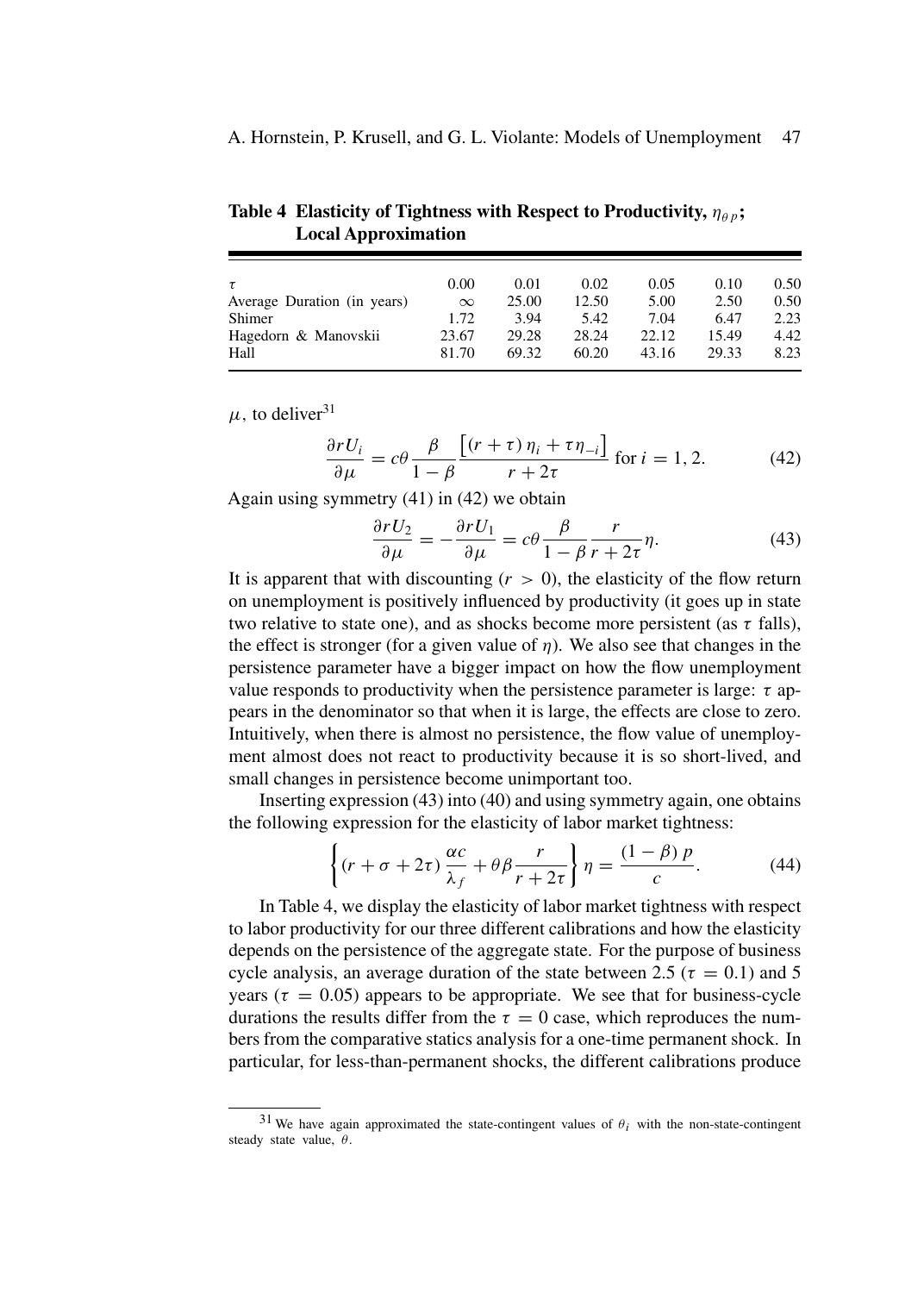**Table 4 Elasticity of Tightness with Respect to Productivity,**  $\eta_{\theta p}$ **; Local Approximation**

|                             | 0.00     | 0.01  | 0.02  | 0.05  | 0.10  | 0.50 |
|-----------------------------|----------|-------|-------|-------|-------|------|
| Average Duration (in years) | $\infty$ | 25.00 | 12.50 | 5.00  | 2.50  | 0.50 |
| Shimer                      | 1.72     | 3.94  | 5.42  | 7.04  | 6.47  | 2.23 |
| Hagedorn & Manovskii        | 23.67    | 29.28 | 28.24 | 22.12 | 15.49 | 4.42 |
| Hall                        | 81.70    | 69.32 | 60.20 | 43.16 | 29.33 | 8.23 |

 $\mu$ , to deliver<sup>31</sup>

$$
\frac{\partial rU_i}{\partial \mu} = c\theta \frac{\beta}{1-\beta} \frac{\left[ (r+\tau)\,\eta_i + \tau \eta_{-i} \right]}{r+2\tau} \text{ for } i = 1, 2. \tag{42}
$$

Again using symmetry (41) in (42) we obtain

$$
\frac{\partial rU_2}{\partial \mu} = -\frac{\partial rU_1}{\partial \mu} = c\theta \frac{\beta}{1 - \beta} \frac{r}{r + 2\tau} \eta.
$$
 (43)

It is apparent that with discounting  $(r > 0)$ , the elasticity of the flow return on unemployment is positively influenced by productivity (it goes up in state two relative to state one), and as shocks become more persistent (as *τ* falls), the effect is stronger (for a given value of  $\eta$ ). We also see that changes in the persistence parameter have a bigger impact on how the flow unemployment value responds to productivity when the persistence parameter is large:  $\tau$  appears in the denominator so that when it is large, the effects are close to zero. Intuitively, when there is almost no persistence, the flow value of unemployment almost does not react to productivity because it is so short-lived, and small changes in persistence become unimportant too.

Inserting expression (43) into (40) and using symmetry again, one obtains the following expression for the elasticity of labor market tightness:

$$
\left\{ (r + \sigma + 2\tau) \frac{\alpha c}{\lambda_f} + \theta \beta \frac{r}{r + 2\tau} \right\} \eta = \frac{(1 - \beta) p}{c}.
$$
 (44)

In Table 4, we display the elasticity of labor market tightness with respect to labor productivity for our three different calibrations and how the elasticity depends on the persistence of the aggregate state. For the purpose of business cycle analysis, an average duration of the state between 2.5 ( $\tau = 0.1$ ) and 5 years ( $\tau = 0.05$ ) appears to be appropriate. We see that for business-cycle durations the results differ from the  $\tau = 0$  case, which reproduces the numbers from the comparative statics analysis for a one-time permanent shock. In particular, for less-than-permanent shocks, the different calibrations produce

 $31$  We have again approximated the state-contingent values of  $\theta_i$  with the non-state-contingent steady state value, *θ*.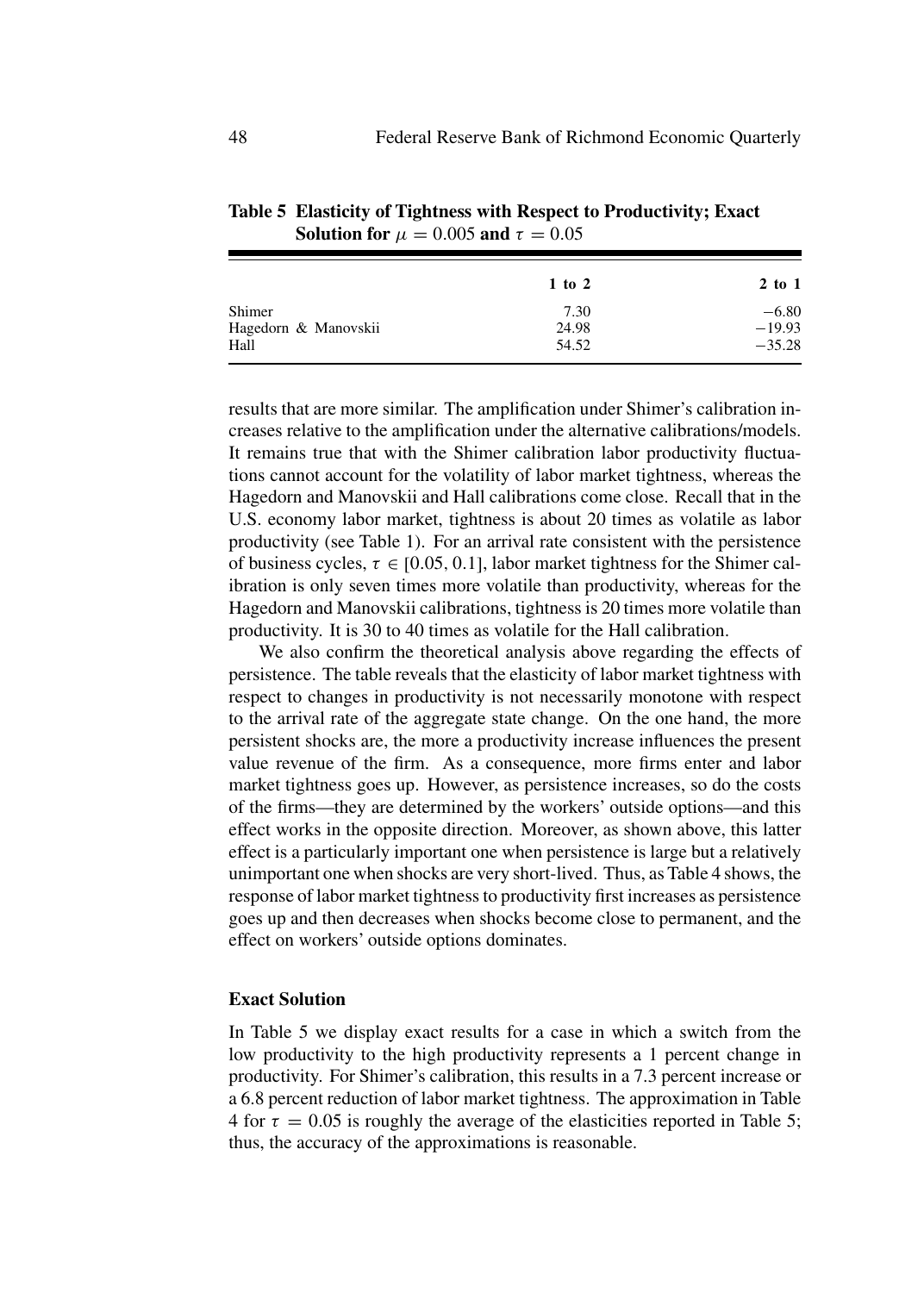| 1 to 2 | $2$ to 1 |
|--------|----------|
| 7.30   | $-6.80$  |
| 24.98  | $-19.93$ |
| 54.52  | $-35.28$ |
|        |          |

**Table 5 Elasticity of Tightness with Respect to Productivity; Exact Solution for**  $\mu = 0.005$  **and**  $\tau = 0.05$ 

results that are more similar. The amplification under Shimer's calibration increases relative to the amplification under the alternative calibrations/models. It remains true that with the Shimer calibration labor productivity fluctuations cannot account for the volatility of labor market tightness, whereas the Hagedorn and Manovskii and Hall calibrations come close. Recall that in the U.S. economy labor market, tightness is about 20 times as volatile as labor productivity (see Table 1). For an arrival rate consistent with the persistence of business cycles,  $\tau \in [0.05, 0.1]$ , labor market tightness for the Shimer calibration is only seven times more volatile than productivity, whereas for the Hagedorn and Manovskii calibrations, tightness is 20 times more volatile than productivity. It is 30 to 40 times as volatile for the Hall calibration.

We also confirm the theoretical analysis above regarding the effects of persistence. The table reveals that the elasticity of labor market tightness with respect to changes in productivity is not necessarily monotone with respect to the arrival rate of the aggregate state change. On the one hand, the more persistent shocks are, the more a productivity increase influences the present value revenue of the firm. As a consequence, more firms enter and labor market tightness goes up. However, as persistence increases, so do the costs of the firms—they are determined by the workers' outside options—and this effect works in the opposite direction. Moreover, as shown above, this latter effect is a particularly important one when persistence is large but a relatively unimportant one when shocks are very short-lived. Thus, as Table 4 shows, the response of labor market tightness to productivity first increases as persistence goes up and then decreases when shocks become close to permanent, and the effect on workers' outside options dominates.

# **Exact Solution**

In Table 5 we display exact results for a case in which a switch from the low productivity to the high productivity represents a 1 percent change in productivity. For Shimer's calibration, this results in a 7.3 percent increase or a 6.8 percent reduction of labor market tightness. The approximation in Table 4 for  $\tau = 0.05$  is roughly the average of the elasticities reported in Table 5; thus, the accuracy of the approximations is reasonable.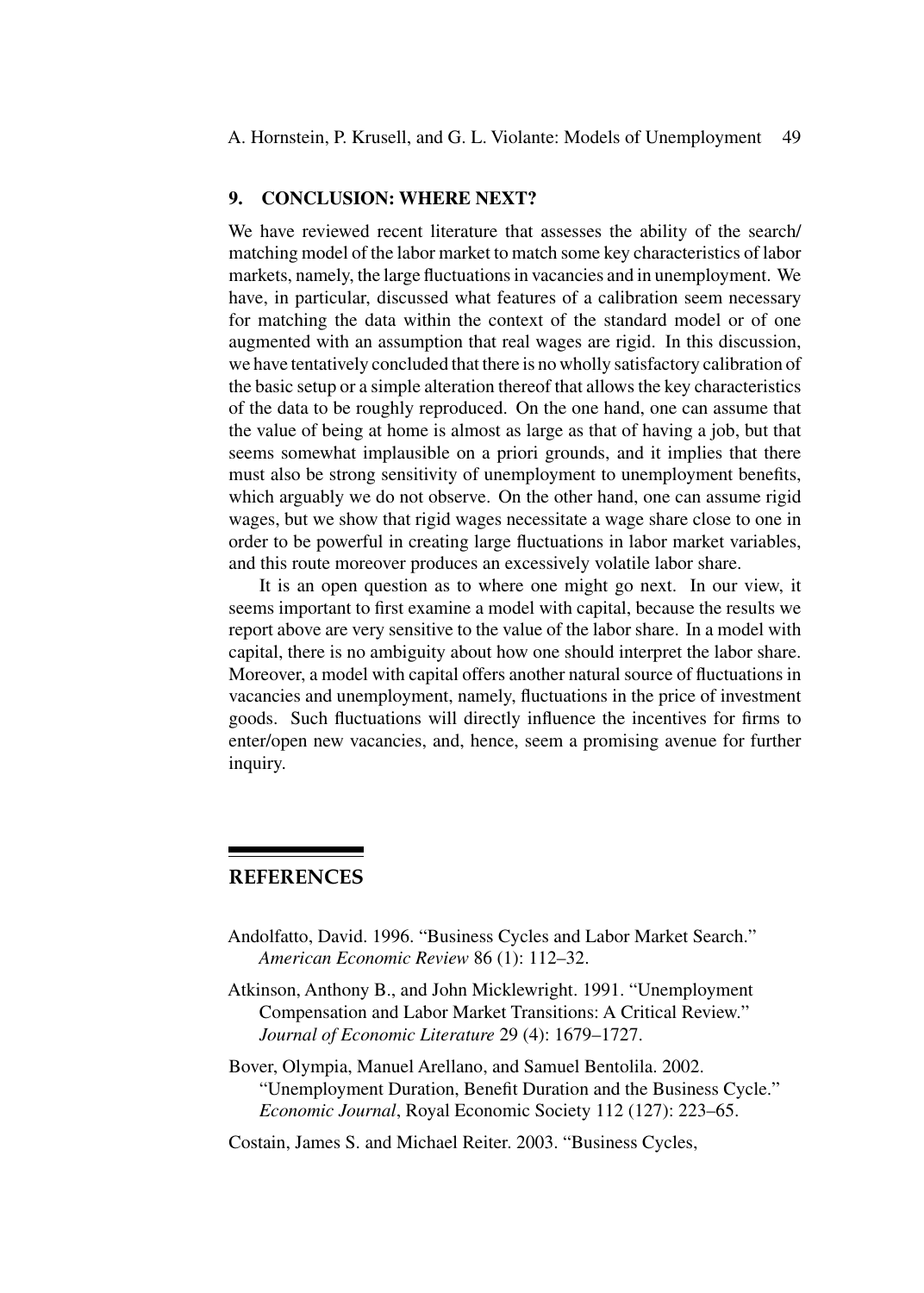A. Hornstein, P. Krusell, and G. L. Violante: Models of Unemployment 49

## **9. CONCLUSION: WHERE NEXT?**

We have reviewed recent literature that assesses the ability of the search/ matching model of the labor market to match some key characteristics of labor markets, namely, the large fluctuations in vacancies and in unemployment. We have, in particular, discussed what features of a calibration seem necessary for matching the data within the context of the standard model or of one augmented with an assumption that real wages are rigid. In this discussion, we have tentatively concluded that there is no wholly satisfactory calibration of the basic setup or a simple alteration thereof that allows the key characteristics of the data to be roughly reproduced. On the one hand, one can assume that the value of being at home is almost as large as that of having a job, but that seems somewhat implausible on a priori grounds, and it implies that there must also be strong sensitivity of unemployment to unemployment benefits, which arguably we do not observe. On the other hand, one can assume rigid wages, but we show that rigid wages necessitate a wage share close to one in order to be powerful in creating large fluctuations in labor market variables, and this route moreover produces an excessively volatile labor share.

It is an open question as to where one might go next. In our view, it seems important to first examine a model with capital, because the results we report above are very sensitive to the value of the labor share. In a model with capital, there is no ambiguity about how one should interpret the labor share. Moreover, a model with capital offers another natural source of fluctuations in vacancies and unemployment, namely, fluctuations in the price of investment goods. Such fluctuations will directly influence the incentives for firms to enter/open new vacancies, and, hence, seem a promising avenue for further inquiry.

# **REFERENCES**

- Andolfatto, David. 1996. "Business Cycles and Labor Market Search." *American Economic Review* 86 (1): 112–32.
- Atkinson, Anthony B., and John Micklewright. 1991. "Unemployment Compensation and Labor Market Transitions: A Critical Review." *Journal of Economic Literature* 29 (4): 1679–1727.
- Bover, Olympia, Manuel Arellano, and Samuel Bentolila. 2002. "Unemployment Duration, Benefit Duration and the Business Cycle." *Economic Journal*, Royal Economic Society 112 (127): 223–65.

Costain, James S. and Michael Reiter. 2003. "Business Cycles,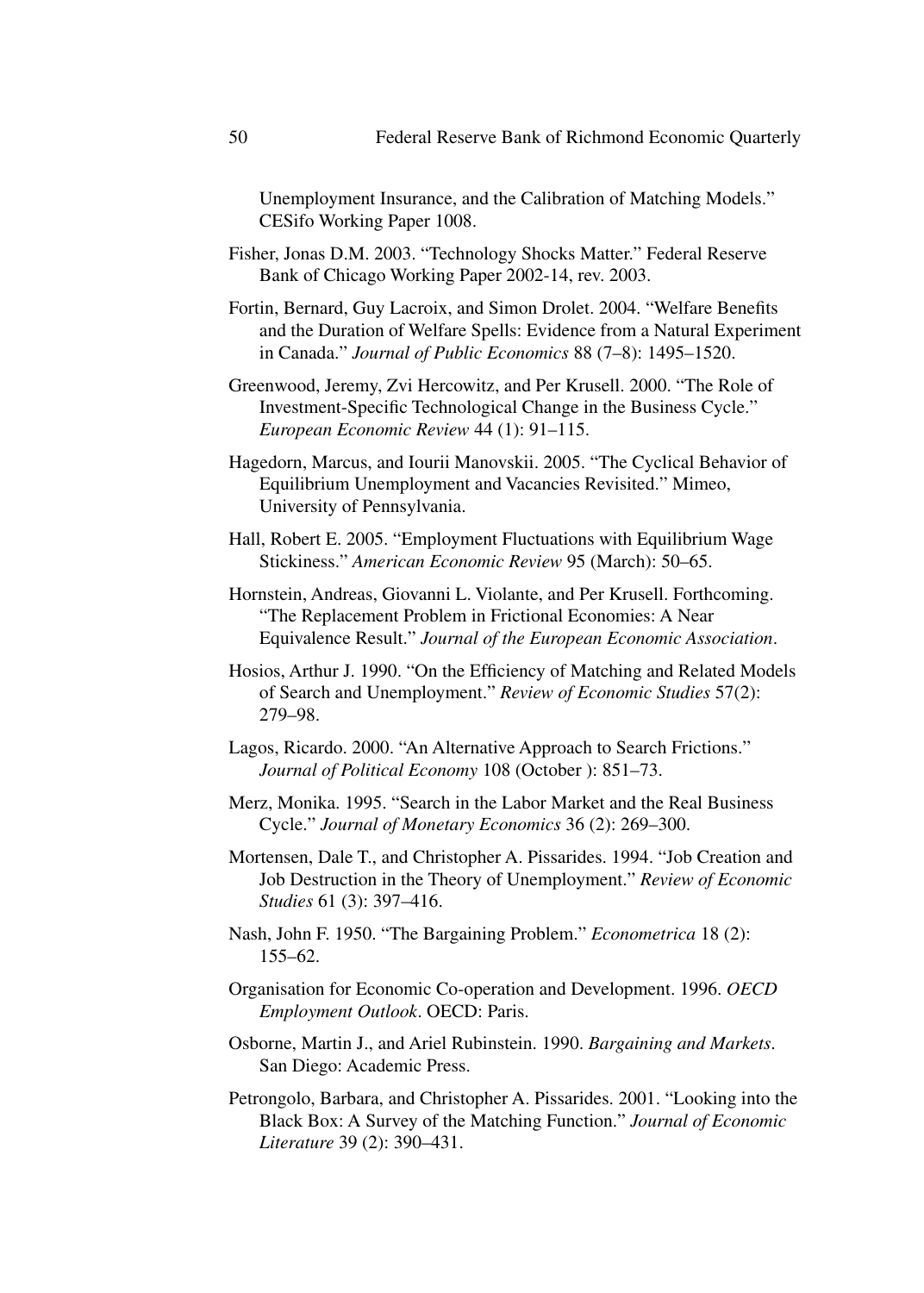Unemployment Insurance, and the Calibration of Matching Models." CESifo Working Paper 1008.

- Fisher, Jonas D.M. 2003. "Technology Shocks Matter." Federal Reserve Bank of Chicago Working Paper 2002-14, rev. 2003.
- Fortin, Bernard, Guy Lacroix, and Simon Drolet. 2004. "Welfare Benefits and the Duration of Welfare Spells: Evidence from a Natural Experiment in Canada." *Journal of Public Economics* 88 (7–8): 1495–1520.
- Greenwood, Jeremy, Zvi Hercowitz, and Per Krusell. 2000. "The Role of Investment-Specific Technological Change in the Business Cycle." *European Economic Review* 44 (1): 91–115.
- Hagedorn, Marcus, and Iourii Manovskii. 2005. "The Cyclical Behavior of Equilibrium Unemployment and Vacancies Revisited." Mimeo, University of Pennsylvania.
- Hall, Robert E. 2005. "Employment Fluctuations with Equilibrium Wage Stickiness." *American Economic Review* 95 (March): 50–65.
- Hornstein, Andreas, Giovanni L. Violante, and Per Krusell. Forthcoming. "The Replacement Problem in Frictional Economies: A Near Equivalence Result." *Journal of the European Economic Association*.
- Hosios, Arthur J. 1990. "On the Efficiency of Matching and Related Models of Search and Unemployment." *Review of Economic Studies* 57(2): 279–98.
- Lagos, Ricardo. 2000. "An Alternative Approach to Search Frictions." *Journal of Political Economy* 108 (October ): 851–73.
- Merz, Monika. 1995. "Search in the Labor Market and the Real Business Cycle." *Journal of Monetary Economics* 36 (2): 269–300.
- Mortensen, Dale T., and Christopher A. Pissarides. 1994. "Job Creation and Job Destruction in the Theory of Unemployment." *Review of Economic Studies* 61 (3): 397–416.
- Nash, John F. 1950. "The Bargaining Problem." *Econometrica* 18 (2): 155–62.
- Organisation for Economic Co-operation and Development. 1996. *OECD Employment Outlook*. OECD: Paris.
- Osborne, Martin J., and Ariel Rubinstein. 1990. *Bargaining and Markets*. San Diego: Academic Press.
- Petrongolo, Barbara, and Christopher A. Pissarides. 2001. "Looking into the Black Box: A Survey of the Matching Function." *Journal of Economic Literature* 39 (2): 390–431.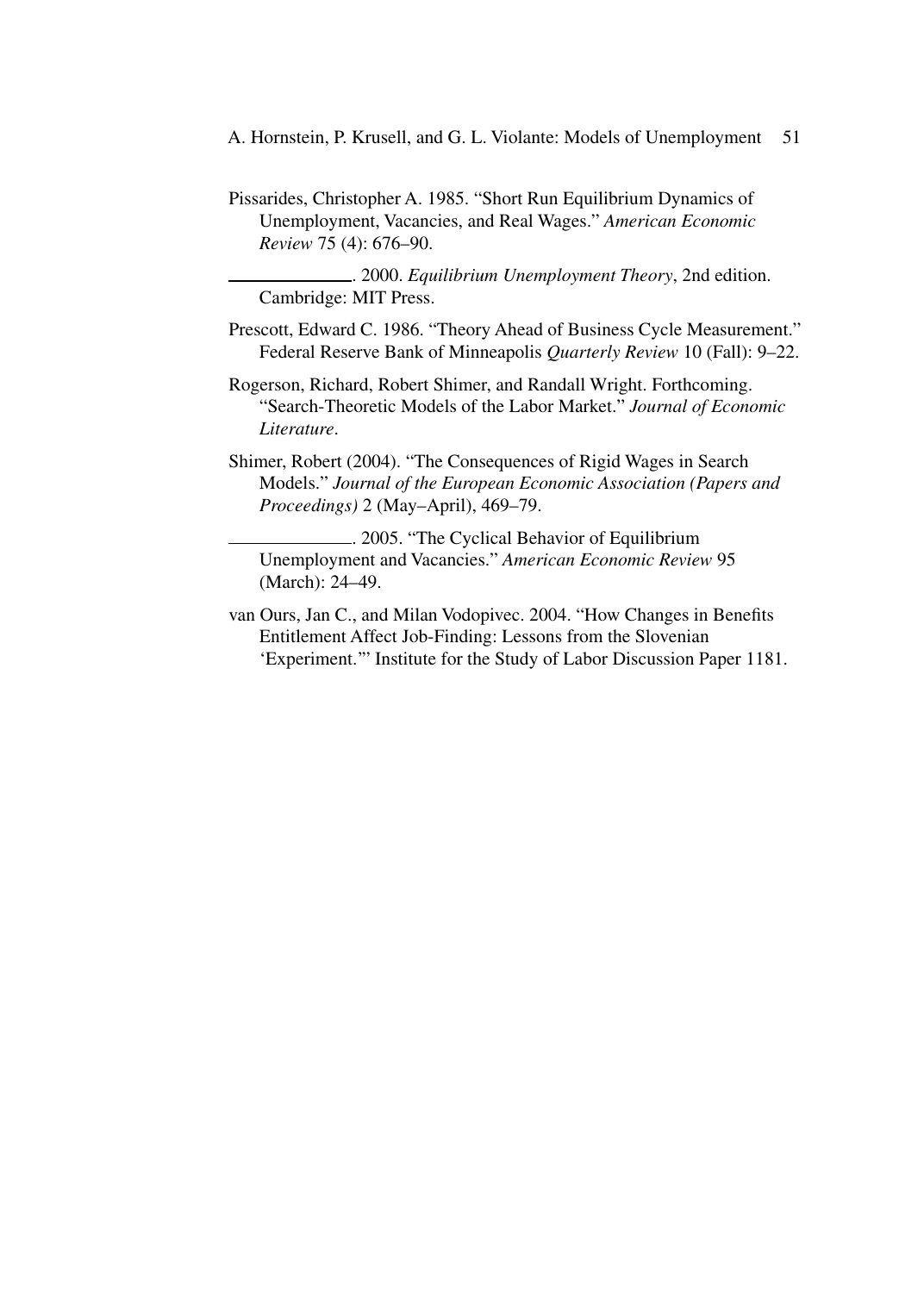- A. Hornstein, P. Krusell, and G. L. Violante: Models of Unemployment 51
- Pissarides, Christopher A. 1985. "Short Run Equilibrium Dynamics of Unemployment, Vacancies, and Real Wages." *American Economic Review* 75 (4): 676–90.

. 2000. *Equilibrium Unemployment Theory*, 2nd edition. Cambridge: MIT Press.

- Prescott, Edward C. 1986. "Theory Ahead of Business Cycle Measurement." Federal Reserve Bank of Minneapolis *Quarterly Review* 10 (Fall): 9–22.
- Rogerson, Richard, Robert Shimer, and Randall Wright. Forthcoming. "Search-Theoretic Models of the Labor Market." *Journal of Economic Literature*.
- Shimer, Robert (2004). "The Consequences of Rigid Wages in Search Models." *Journal of the European Economic Association (Papers and Proceedings)* 2 (May–April), 469–79.
	- . 2005. "The Cyclical Behavior of Equilibrium Unemployment and Vacancies." *American Economic Review* 95 (March): 24–49.
- van Ours, Jan C., and Milan Vodopivec. 2004. "How Changes in Benefits Entitlement Affect Job-Finding: Lessons from the Slovenian 'Experiment.'" Institute for the Study of Labor Discussion Paper 1181.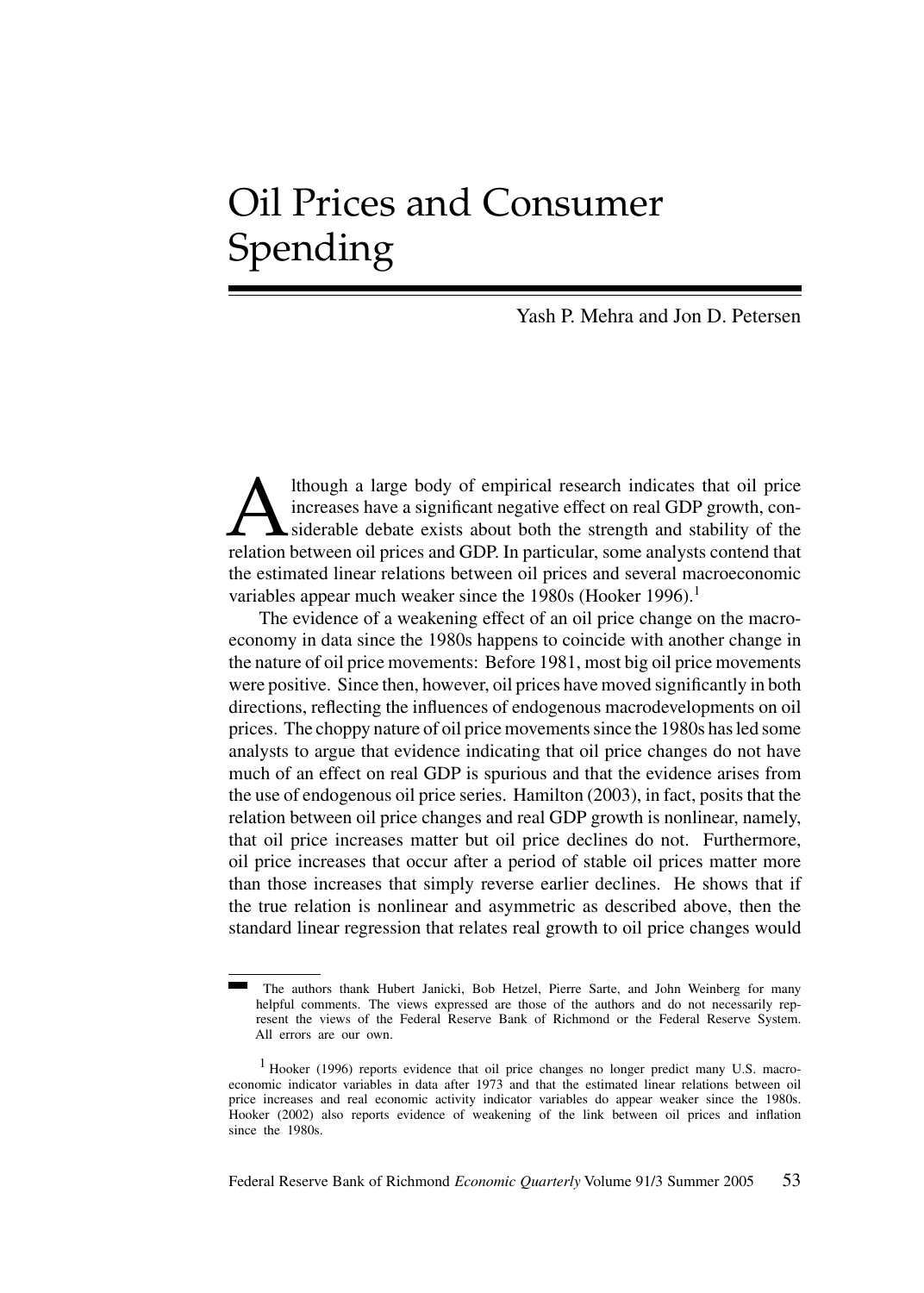# Oil Prices and Consumer Spending

Yash P. Mehra and Jon D. Petersen

Ithough a large body of empirical research indicates that oil price<br>increases have a significant negative effect on real GDP growth, con-<br>siderable debate exists about both the strength and stability of the<br>relation betwee increases have a significant negative effect on real GDP growth, considerable debate exists about both the strength and stability of the relation between oil prices and GDP. In particular, some analysts contend that the estimated linear relations between oil prices and several macroeconomic variables appear much weaker since the 1980s (Hooker 1996).<sup>1</sup>

The evidence of a weakening effect of an oil price change on the macroeconomy in data since the 1980s happens to coincide with another change in the nature of oil price movements: Before 1981, most big oil price movements were positive. Since then, however, oil prices have moved significantly in both directions, reflecting the influences of endogenous macrodevelopments on oil prices. The choppy nature of oil price movements since the 1980s has led some analysts to argue that evidence indicating that oil price changes do not have much of an effect on real GDP is spurious and that the evidence arises from the use of endogenous oil price series. Hamilton (2003), in fact, posits that the relation between oil price changes and real GDP growth is nonlinear, namely, that oil price increases matter but oil price declines do not. Furthermore, oil price increases that occur after a period of stable oil prices matter more than those increases that simply reverse earlier declines. He shows that if the true relation is nonlinear and asymmetric as described above, then the standard linear regression that relates real growth to oil price changes would

The authors thank Hubert Janicki, Bob Hetzel, Pierre Sarte, and John Weinberg for many helpful comments. The views expressed are those of the authors and do not necessarily represent the views of the Federal Reserve Bank of Richmond or the Federal Reserve System. All errors are our own.

<sup>&</sup>lt;sup>1</sup> Hooker (1996) reports evidence that oil price changes no longer predict many U.S. macroeconomic indicator variables in data after 1973 and that the estimated linear relations between oil price increases and real economic activity indicator variables do appear weaker since the 1980s. Hooker (2002) also reports evidence of weakening of the link between oil prices and inflation since the 1980s.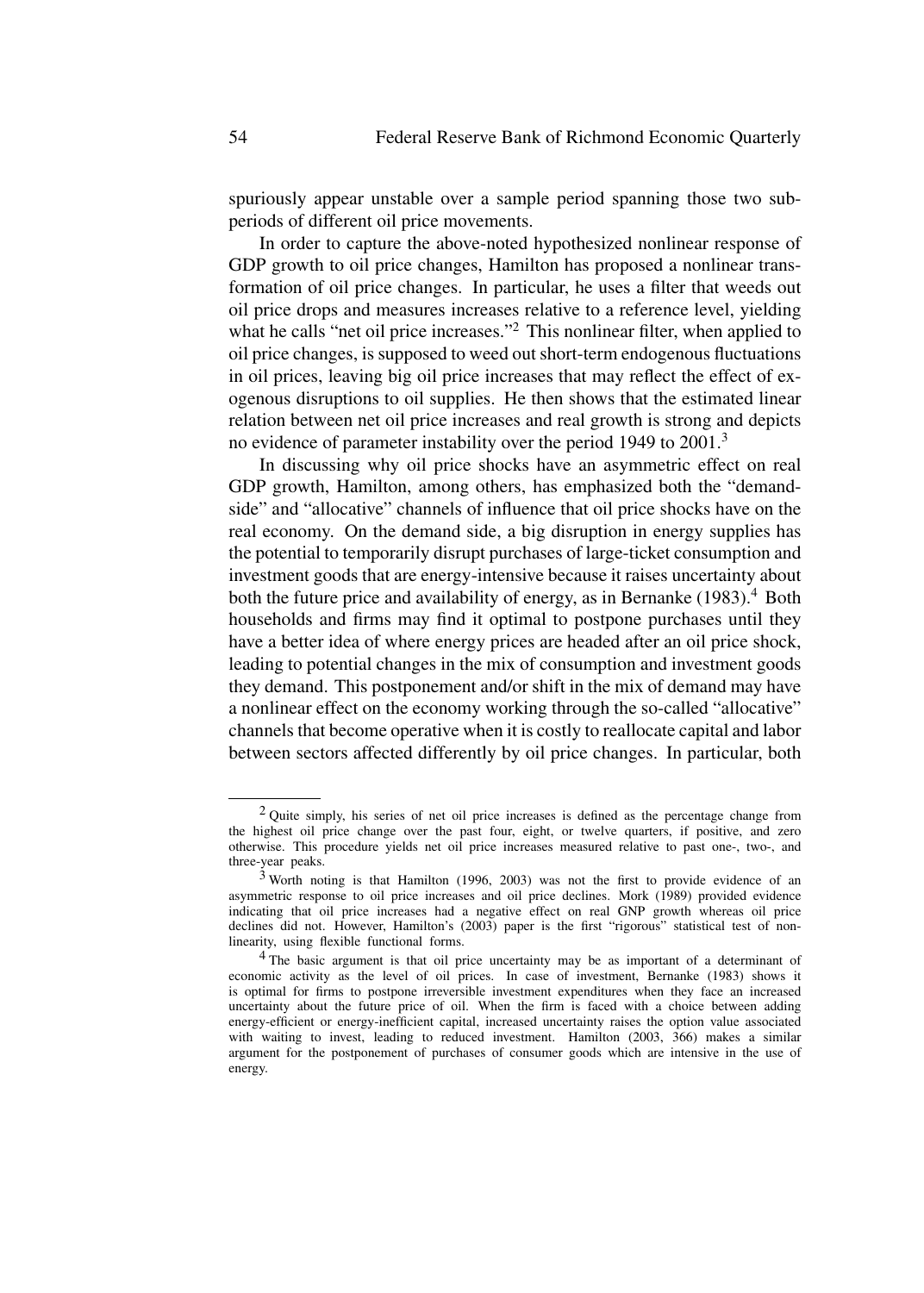spuriously appear unstable over a sample period spanning those two subperiods of different oil price movements.

In order to capture the above-noted hypothesized nonlinear response of GDP growth to oil price changes, Hamilton has proposed a nonlinear transformation of oil price changes. In particular, he uses a filter that weeds out oil price drops and measures increases relative to a reference level, yielding what he calls "net oil price increases."<sup>2</sup> This nonlinear filter, when applied to oil price changes, is supposed to weed out short-term endogenous fluctuations in oil prices, leaving big oil price increases that may reflect the effect of exogenous disruptions to oil supplies. He then shows that the estimated linear relation between net oil price increases and real growth is strong and depicts no evidence of parameter instability over the period 1949 to 2001.<sup>3</sup>

In discussing why oil price shocks have an asymmetric effect on real GDP growth, Hamilton, among others, has emphasized both the "demandside" and "allocative" channels of influence that oil price shocks have on the real economy. On the demand side, a big disruption in energy supplies has the potential to temporarily disrupt purchases of large-ticket consumption and investment goods that are energy-intensive because it raises uncertainty about both the future price and availability of energy, as in Bernanke  $(1983)$ .<sup>4</sup> Both households and firms may find it optimal to postpone purchases until they have a better idea of where energy prices are headed after an oil price shock, leading to potential changes in the mix of consumption and investment goods they demand. This postponement and/or shift in the mix of demand may have a nonlinear effect on the economy working through the so-called "allocative" channels that become operative when it is costly to reallocate capital and labor between sectors affected differently by oil price changes. In particular, both

<sup>&</sup>lt;sup>2</sup> Ouite simply, his series of net oil price increases is defined as the percentage change from the highest oil price change over the past four, eight, or twelve quarters, if positive, and zero otherwise. This procedure yields net oil price increases measured relative to past one-, two-, and three-year peaks.

 $3$  Worth noting is that Hamilton (1996, 2003) was not the first to provide evidence of an asymmetric response to oil price increases and oil price declines. Mork (1989) provided evidence indicating that oil price increases had a negative effect on real GNP growth whereas oil price declines did not. However, Hamilton's (2003) paper is the first "rigorous" statistical test of nonlinearity, using flexible functional forms.

<sup>4</sup> The basic argument is that oil price uncertainty may be as important of a determinant of economic activity as the level of oil prices. In case of investment, Bernanke (1983) shows it is optimal for firms to postpone irreversible investment expenditures when they face an increased uncertainty about the future price of oil. When the firm is faced with a choice between adding energy-efficient or energy-inefficient capital, increased uncertainty raises the option value associated with waiting to invest, leading to reduced investment. Hamilton (2003, 366) makes a similar argument for the postponement of purchases of consumer goods which are intensive in the use of energy.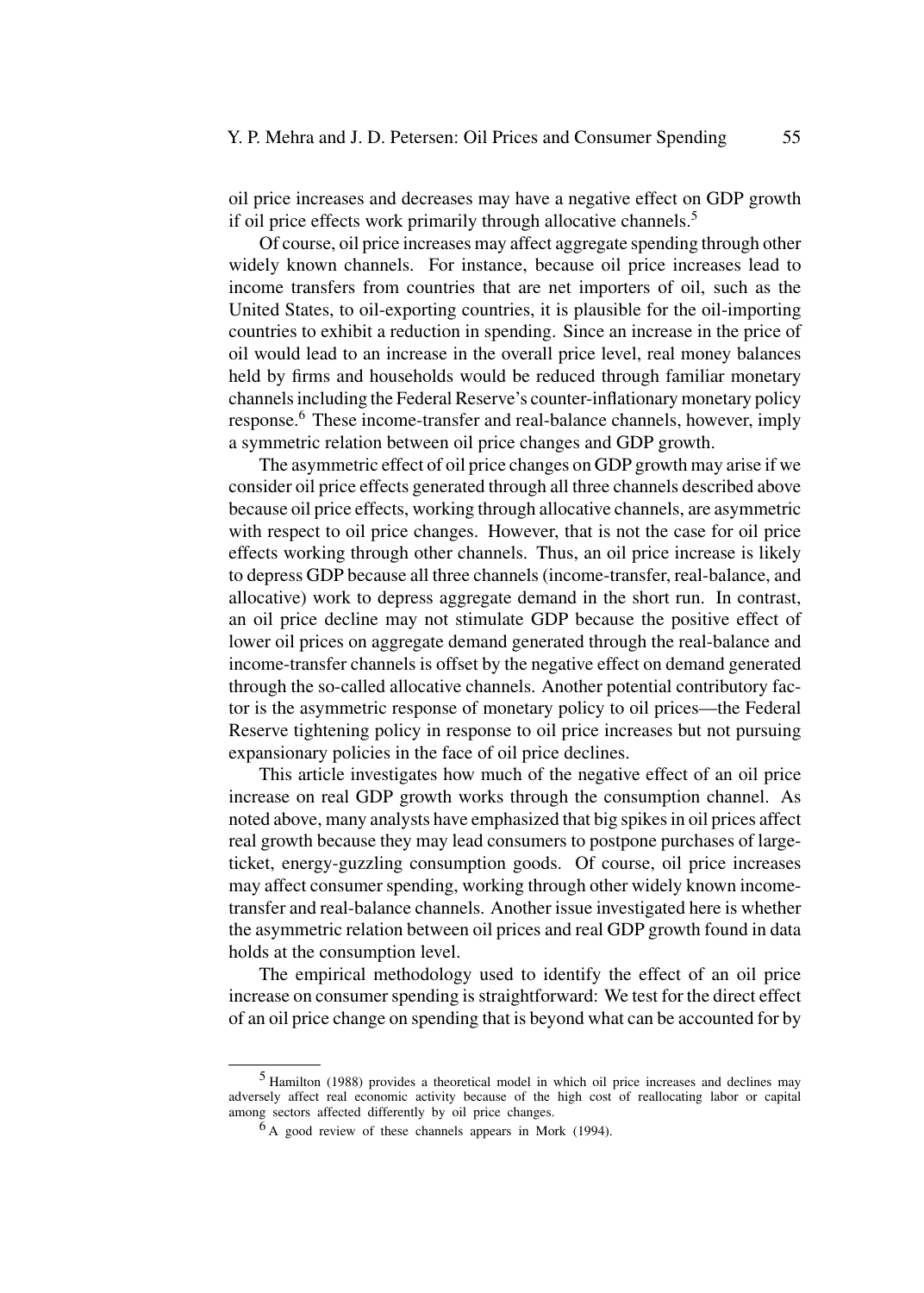oil price increases and decreases may have a negative effect on GDP growth if oil price effects work primarily through allocative channels.<sup>5</sup>

Of course, oil price increases may affect aggregate spending through other widely known channels. For instance, because oil price increases lead to income transfers from countries that are net importers of oil, such as the United States, to oil-exporting countries, it is plausible for the oil-importing countries to exhibit a reduction in spending. Since an increase in the price of oil would lead to an increase in the overall price level, real money balances held by firms and households would be reduced through familiar monetary channels including the Federal Reserve's counter-inflationary monetary policy response.<sup>6</sup> These income-transfer and real-balance channels, however, imply a symmetric relation between oil price changes and GDP growth.

The asymmetric effect of oil price changes on GDP growth may arise if we consider oil price effects generated through all three channels described above because oil price effects, working through allocative channels, are asymmetric with respect to oil price changes. However, that is not the case for oil price effects working through other channels. Thus, an oil price increase is likely to depress GDP because all three channels (income-transfer, real-balance, and allocative) work to depress aggregate demand in the short run. In contrast, an oil price decline may not stimulate GDP because the positive effect of lower oil prices on aggregate demand generated through the real-balance and income-transfer channels is offset by the negative effect on demand generated through the so-called allocative channels. Another potential contributory factor is the asymmetric response of monetary policy to oil prices—the Federal Reserve tightening policy in response to oil price increases but not pursuing expansionary policies in the face of oil price declines.

This article investigates how much of the negative effect of an oil price increase on real GDP growth works through the consumption channel. As noted above, many analysts have emphasized that big spikes in oil prices affect real growth because they may lead consumers to postpone purchases of largeticket, energy-guzzling consumption goods. Of course, oil price increases may affect consumer spending, working through other widely known incometransfer and real-balance channels. Another issue investigated here is whether the asymmetric relation between oil prices and real GDP growth found in data holds at the consumption level.

The empirical methodology used to identify the effect of an oil price increase on consumer spending is straightforward: We test for the direct effect of an oil price change on spending that is beyond what can be accounted for by

<sup>5</sup> Hamilton (1988) provides a theoretical model in which oil price increases and declines may adversely affect real economic activity because of the high cost of reallocating labor or capital among sectors affected differently by oil price changes.

 $<sup>6</sup>$ A good review of these channels appears in Mork (1994).</sup>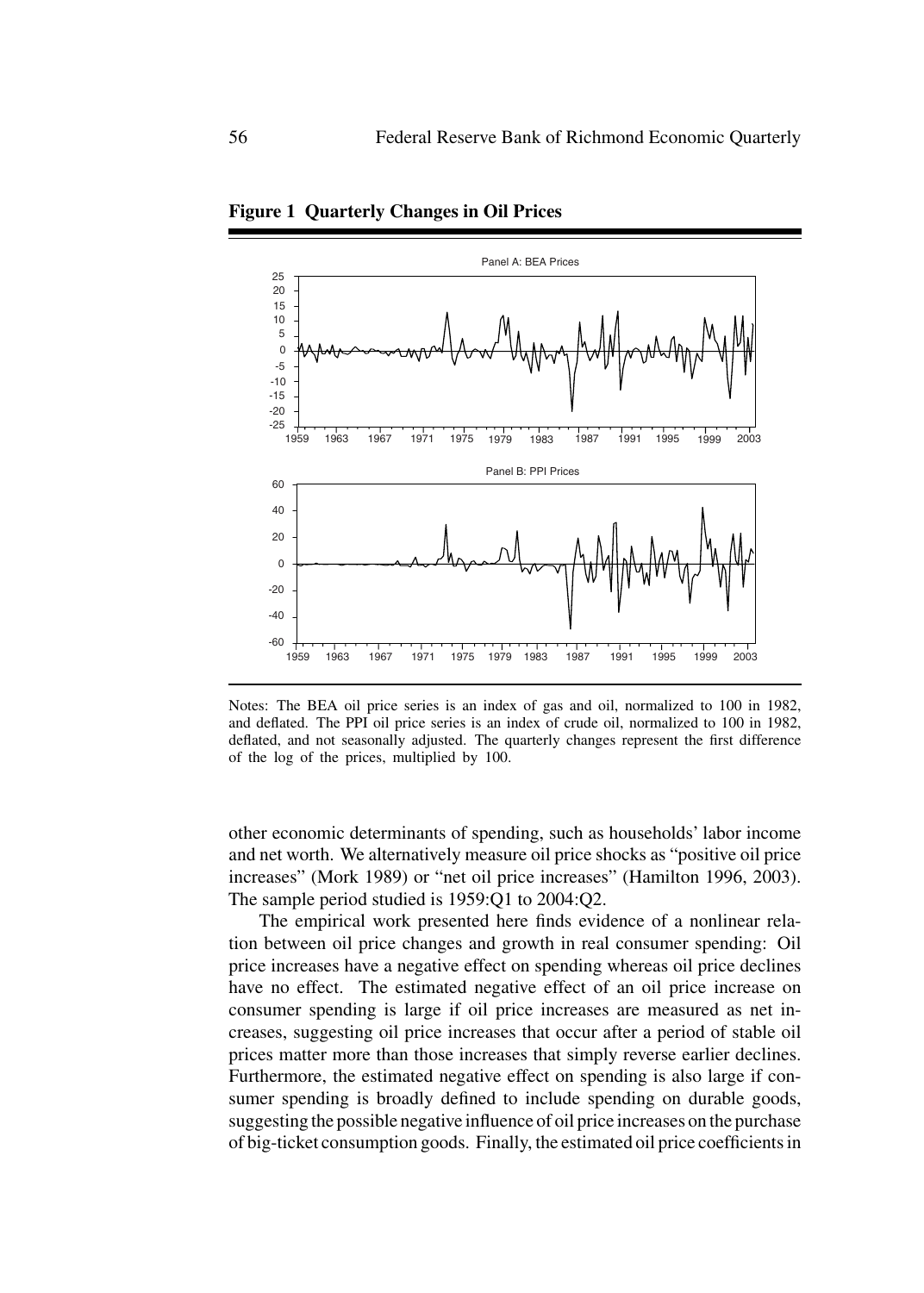

**Figure 1 Quarterly Changes in Oil Prices**

Notes: The BEA oil price series is an index of gas and oil, normalized to 100 in 1982, and deflated. The PPI oil price series is an index of crude oil, normalized to 100 in 1982, deflated, and not seasonally adjusted. The quarterly changes represent the first difference of the log of the prices, multiplied by 100.

other economic determinants of spending, such as households' labor income and net worth. We alternatively measure oil price shocks as "positive oil price increases" (Mork 1989) or "net oil price increases" (Hamilton 1996, 2003). The sample period studied is 1959:Q1 to 2004:Q2.

The empirical work presented here finds evidence of a nonlinear relation between oil price changes and growth in real consumer spending: Oil price increases have a negative effect on spending whereas oil price declines have no effect. The estimated negative effect of an oil price increase on consumer spending is large if oil price increases are measured as net increases, suggesting oil price increases that occur after a period of stable oil prices matter more than those increases that simply reverse earlier declines. Furthermore, the estimated negative effect on spending is also large if consumer spending is broadly defined to include spending on durable goods, suggesting the possible negative influence of oil price increases on the purchase of big-ticket consumption goods. Finally, the estimated oil price coefficients in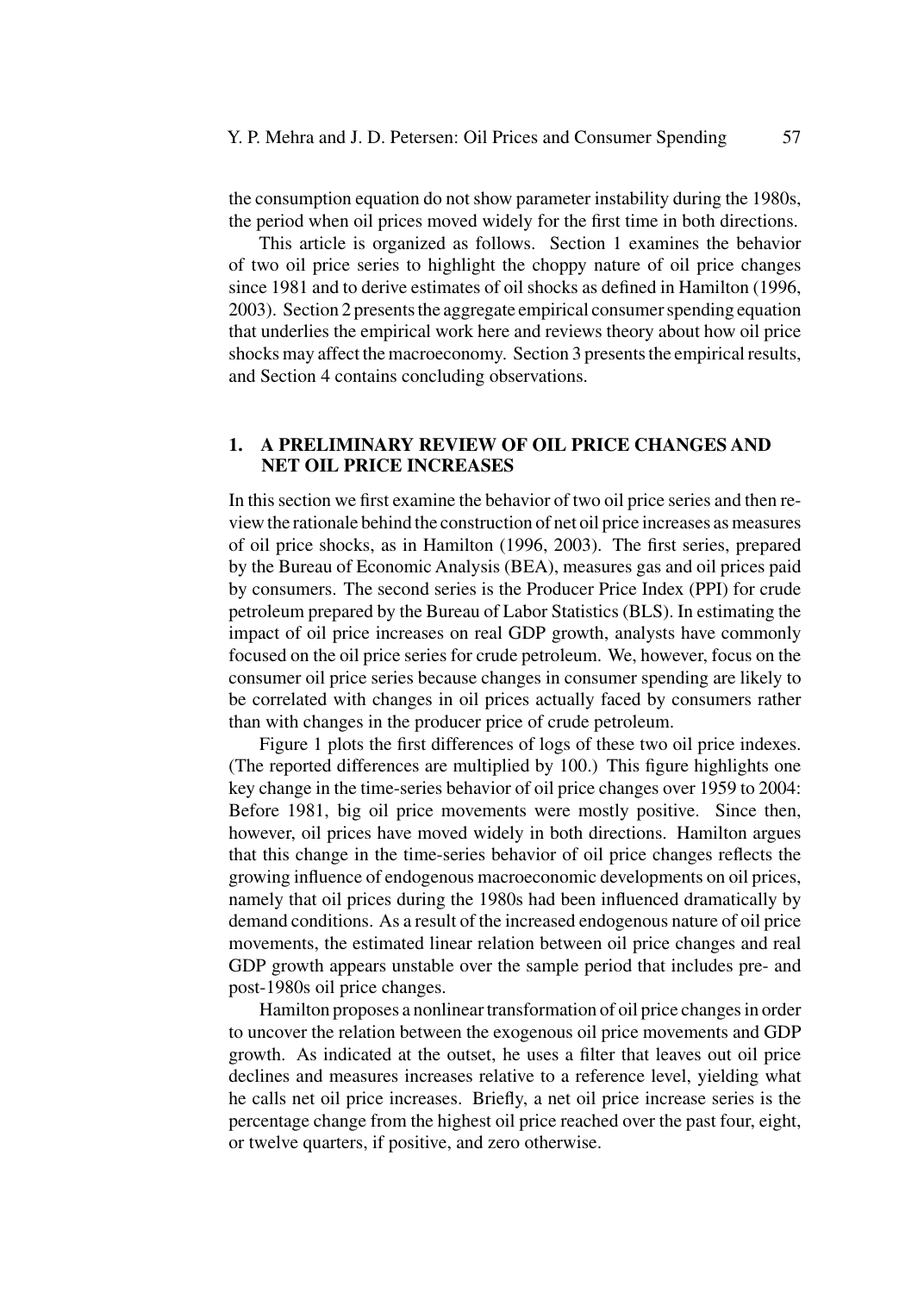the consumption equation do not show parameter instability during the 1980s, the period when oil prices moved widely for the first time in both directions.

This article is organized as follows. Section 1 examines the behavior of two oil price series to highlight the choppy nature of oil price changes since 1981 and to derive estimates of oil shocks as defined in Hamilton (1996, 2003). Section 2 presents the aggregate empirical consumer spending equation that underlies the empirical work here and reviews theory about how oil price shocks may affect the macroeconomy. Section 3 presents the empirical results, and Section 4 contains concluding observations.

## **1. A PRELIMINARY REVIEW OF OIL PRICE CHANGES AND NET OIL PRICE INCREASES**

In this section we first examine the behavior of two oil price series and then review the rationale behind the construction of net oil price increases as measures of oil price shocks, as in Hamilton (1996, 2003). The first series, prepared by the Bureau of Economic Analysis (BEA), measures gas and oil prices paid by consumers. The second series is the Producer Price Index (PPI) for crude petroleum prepared by the Bureau of Labor Statistics (BLS). In estimating the impact of oil price increases on real GDP growth, analysts have commonly focused on the oil price series for crude petroleum. We, however, focus on the consumer oil price series because changes in consumer spending are likely to be correlated with changes in oil prices actually faced by consumers rather than with changes in the producer price of crude petroleum.

Figure 1 plots the first differences of logs of these two oil price indexes. (The reported differences are multiplied by 100.) This figure highlights one key change in the time-series behavior of oil price changes over 1959 to 2004: Before 1981, big oil price movements were mostly positive. Since then, however, oil prices have moved widely in both directions. Hamilton argues that this change in the time-series behavior of oil price changes reflects the growing influence of endogenous macroeconomic developments on oil prices, namely that oil prices during the 1980s had been influenced dramatically by demand conditions. As a result of the increased endogenous nature of oil price movements, the estimated linear relation between oil price changes and real GDP growth appears unstable over the sample period that includes pre- and post-1980s oil price changes.

Hamilton proposes a nonlinear transformation of oil price changes in order to uncover the relation between the exogenous oil price movements and GDP growth. As indicated at the outset, he uses a filter that leaves out oil price declines and measures increases relative to a reference level, yielding what he calls net oil price increases. Briefly, a net oil price increase series is the percentage change from the highest oil price reached over the past four, eight, or twelve quarters, if positive, and zero otherwise.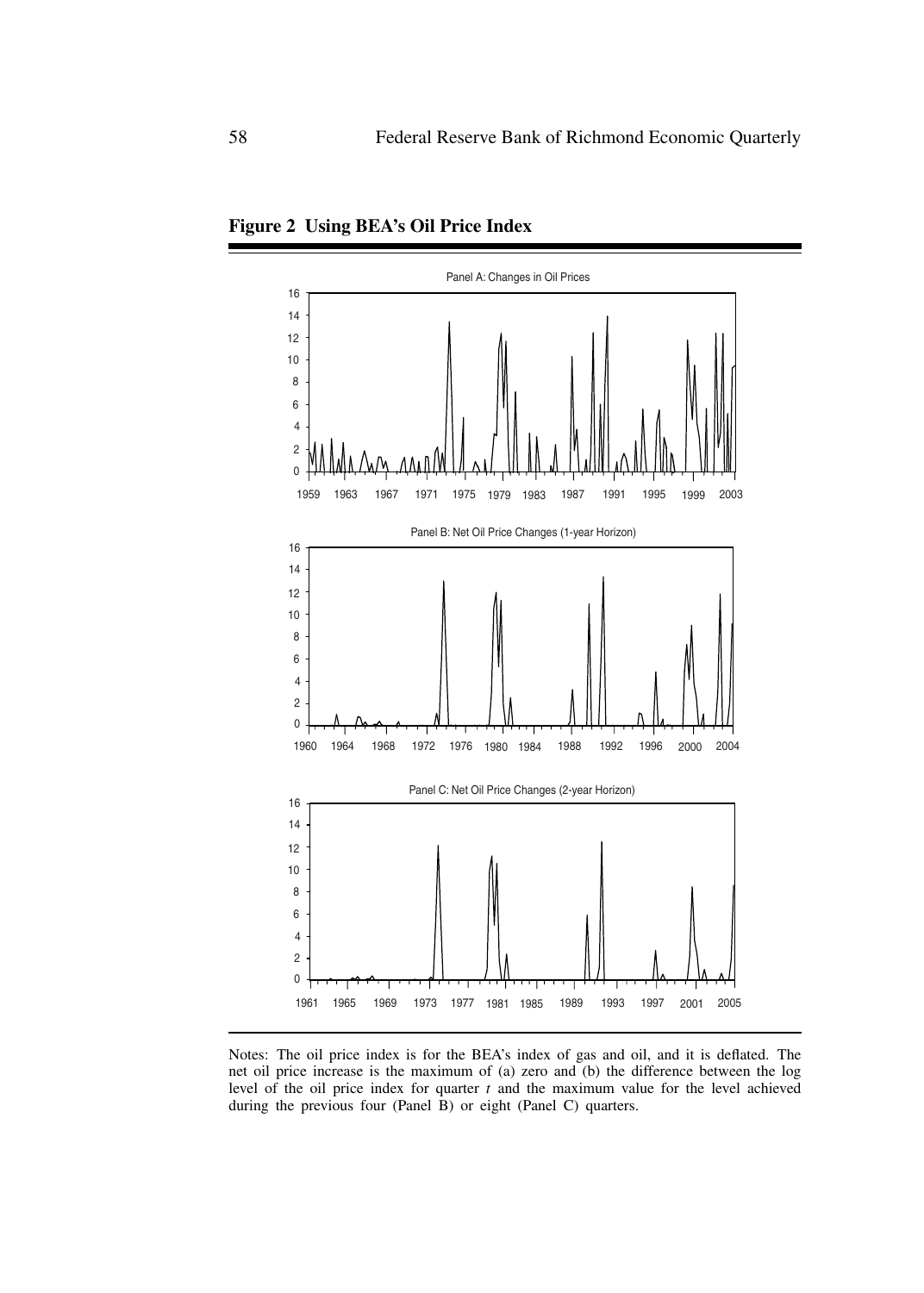

**Figure 2 Using BEA's Oil Price Index**

Notes: The oil price index is for the BEA's index of gas and oil, and it is deflated. The net oil price increase is the maximum of (a) zero and (b) the difference between the log level of the oil price index for quarter *t* and the maximum value for the level achieved during the previous four (Panel  $\hat{B}$ ) or eight (Panel C) quarters.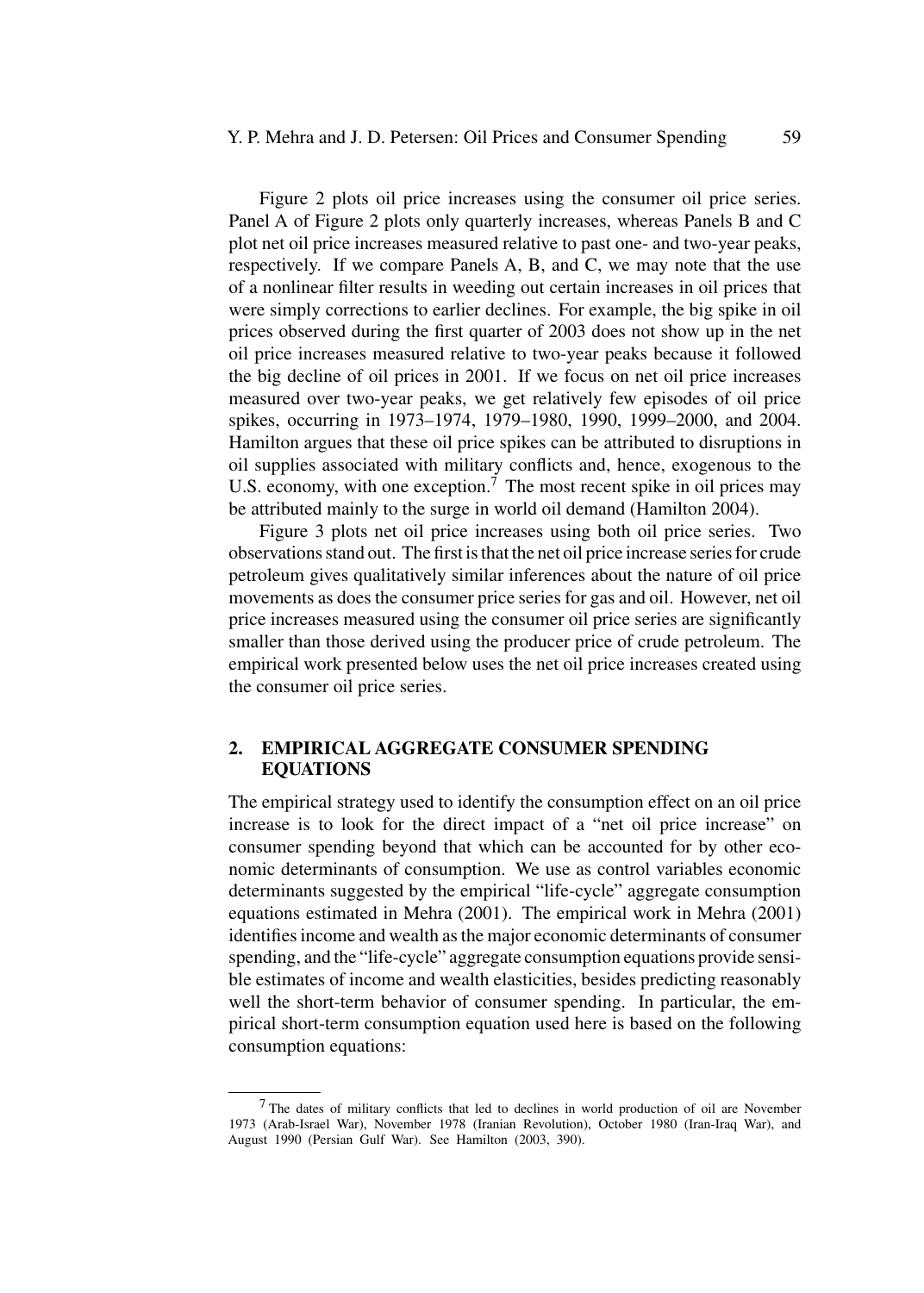Figure 2 plots oil price increases using the consumer oil price series. Panel A of Figure 2 plots only quarterly increases, whereas Panels B and C plot net oil price increases measured relative to past one- and two-year peaks, respectively. If we compare Panels A, B, and C, we may note that the use of a nonlinear filter results in weeding out certain increases in oil prices that were simply corrections to earlier declines. For example, the big spike in oil prices observed during the first quarter of 2003 does not show up in the net oil price increases measured relative to two-year peaks because it followed the big decline of oil prices in 2001. If we focus on net oil price increases measured over two-year peaks, we get relatively few episodes of oil price spikes, occurring in 1973–1974, 1979–1980, 1990, 1999–2000, and 2004. Hamilton argues that these oil price spikes can be attributed to disruptions in oil supplies associated with military conflicts and, hence, exogenous to the U.S. economy, with one exception.<sup>7</sup> The most recent spike in oil prices may be attributed mainly to the surge in world oil demand (Hamilton 2004).

Figure 3 plots net oil price increases using both oil price series. Two observations stand out. The first is that the net oil price increase series for crude petroleum gives qualitatively similar inferences about the nature of oil price movements as does the consumer price series for gas and oil. However, net oil price increases measured using the consumer oil price series are significantly smaller than those derived using the producer price of crude petroleum. The empirical work presented below uses the net oil price increases created using the consumer oil price series.

# **2. EMPIRICAL AGGREGATE CONSUMER SPENDING EQUATIONS**

The empirical strategy used to identify the consumption effect on an oil price increase is to look for the direct impact of a "net oil price increase" on consumer spending beyond that which can be accounted for by other economic determinants of consumption. We use as control variables economic determinants suggested by the empirical "life-cycle" aggregate consumption equations estimated in Mehra (2001). The empirical work in Mehra (2001) identifies income and wealth as the major economic determinants of consumer spending, and the "life-cycle" aggregate consumption equations provide sensible estimates of income and wealth elasticities, besides predicting reasonably well the short-term behavior of consumer spending. In particular, the empirical short-term consumption equation used here is based on the following consumption equations:

<sup>7</sup> The dates of military conflicts that led to declines in world production of oil are November 1973 (Arab-Israel War), November 1978 (Iranian Revolution), October 1980 (Iran-Iraq War), and August 1990 (Persian Gulf War). See Hamilton (2003, 390).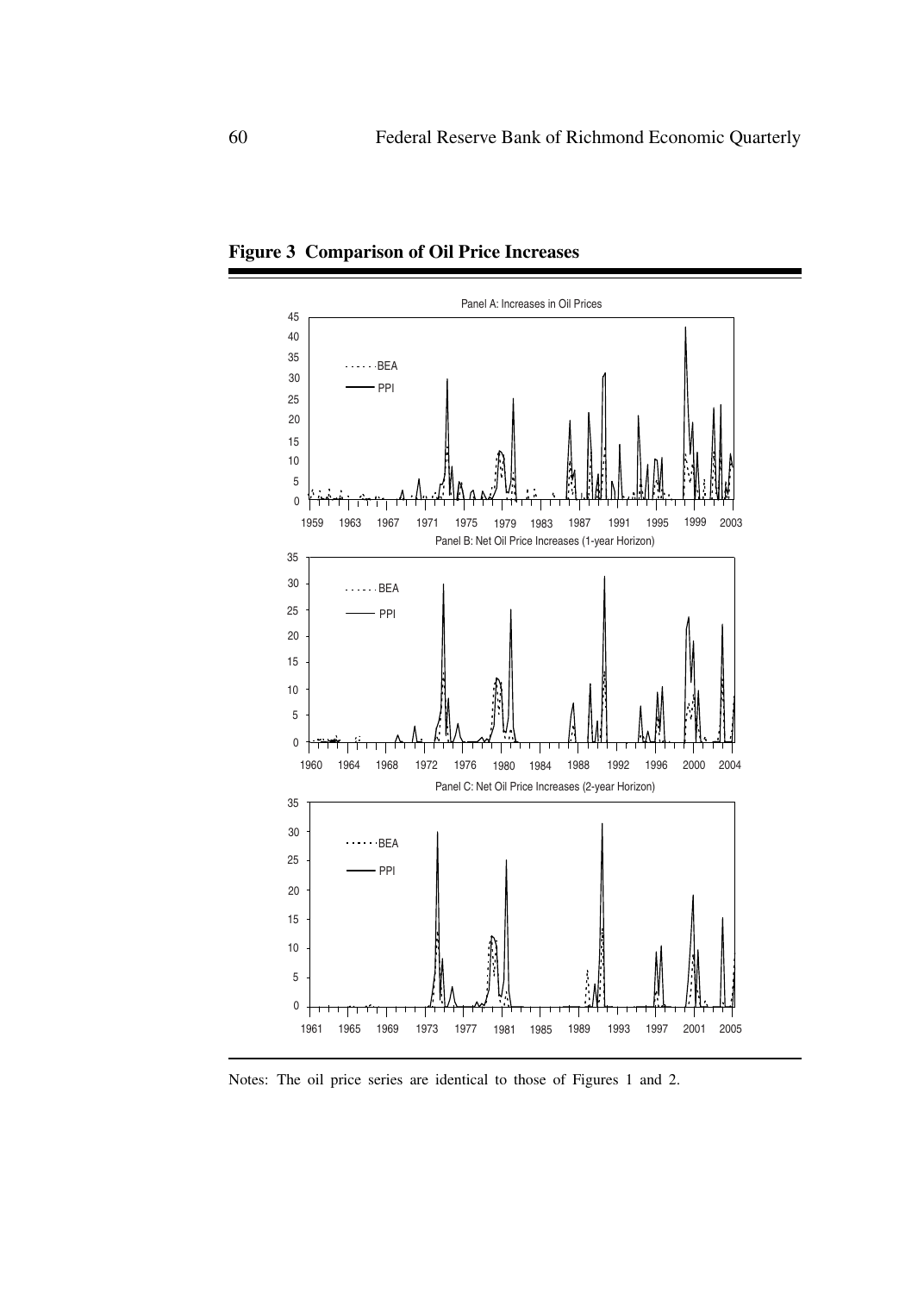

**Figure 3 Comparison of Oil Price Increases**

Notes: The oil price series are identical to those of Figures 1 and 2.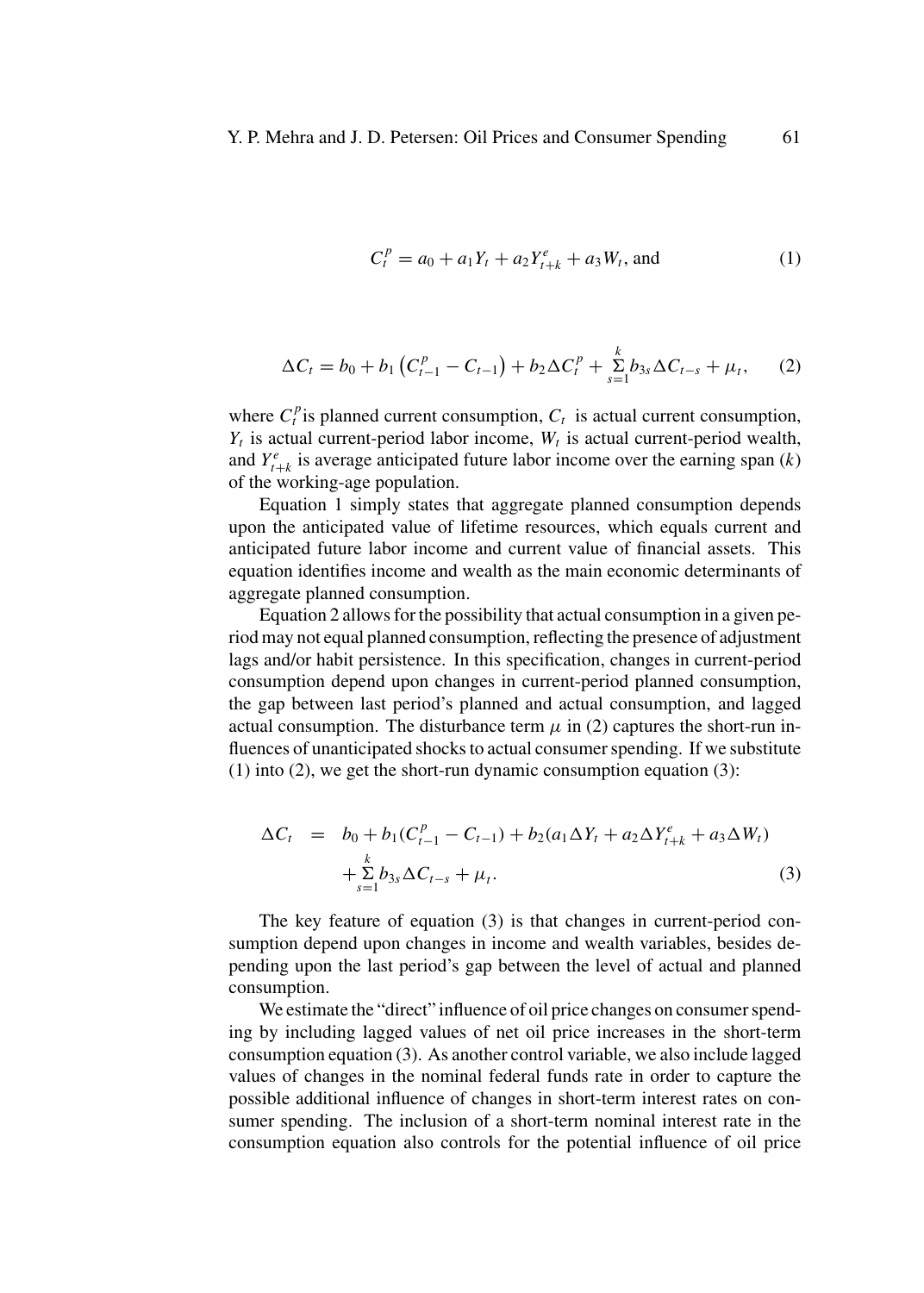$$
C_t^p = a_0 + a_1 Y_t + a_2 Y_{t+k}^e + a_3 W_t, \text{ and } (1)
$$

$$
\Delta C_t = b_0 + b_1 \left( C_{t-1}^p - C_{t-1} \right) + b_2 \Delta C_t^p + \sum_{s=1}^k b_{3s} \Delta C_{t-s} + \mu_t, \qquad (2)
$$

where  $C_t^p$  is planned current consumption,  $C_t$  is actual current consumption,  $Y_t$  is actual current-period labor income,  $W_t$  is actual current-period wealth, and  $Y_{t+k}^e$  is average anticipated future labor income over the earning span (*k*) of the working-age population.

Equation 1 simply states that aggregate planned consumption depends upon the anticipated value of lifetime resources, which equals current and anticipated future labor income and current value of financial assets. This equation identifies income and wealth as the main economic determinants of aggregate planned consumption.

Equation 2 allows for the possibility that actual consumption in a given period may not equal planned consumption, reflecting the presence of adjustment lags and/or habit persistence. In this specification, changes in current-period consumption depend upon changes in current-period planned consumption, the gap between last period's planned and actual consumption, and lagged actual consumption. The disturbance term  $\mu$  in (2) captures the short-run influences of unanticipated shocks to actual consumer spending. If we substitute (1) into (2), we get the short-run dynamic consumption equation (3):

$$
\Delta C_t = b_0 + b_1 (C_{t-1}^p - C_{t-1}) + b_2 (a_1 \Delta Y_t + a_2 \Delta Y_{t+k}^e + a_3 \Delta W_t) + \sum_{s=1}^k b_{3s} \Delta C_{t-s} + \mu_t.
$$
 (3)

The key feature of equation (3) is that changes in current-period consumption depend upon changes in income and wealth variables, besides depending upon the last period's gap between the level of actual and planned consumption.

We estimate the "direct" influence of oil price changes on consumer spending by including lagged values of net oil price increases in the short-term consumption equation (3). As another control variable, we also include lagged values of changes in the nominal federal funds rate in order to capture the possible additional influence of changes in short-term interest rates on consumer spending. The inclusion of a short-term nominal interest rate in the consumption equation also controls for the potential influence of oil price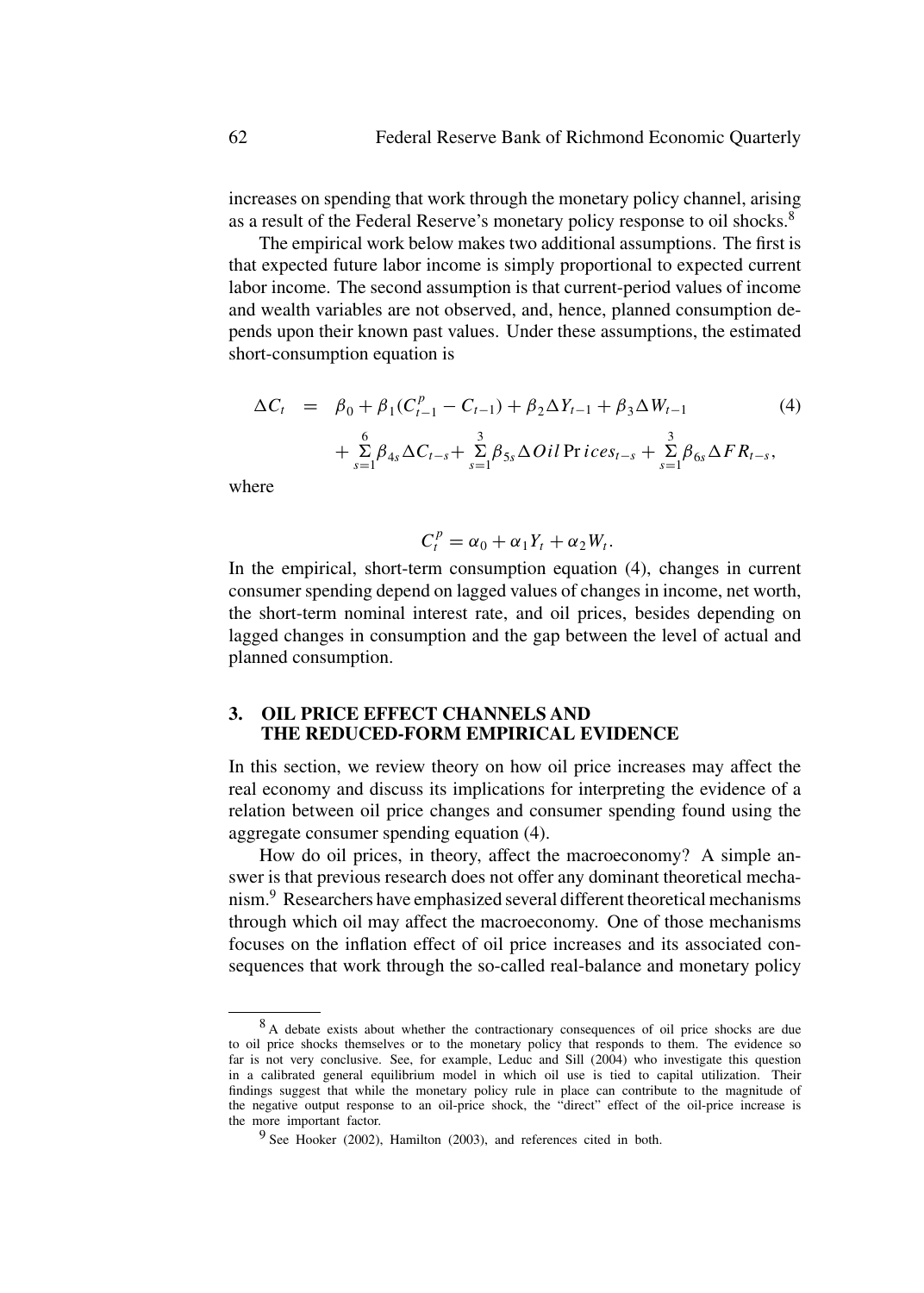increases on spending that work through the monetary policy channel, arising as a result of the Federal Reserve's monetary policy response to oil shocks.<sup>8</sup>

The empirical work below makes two additional assumptions. The first is that expected future labor income is simply proportional to expected current labor income. The second assumption is that current-period values of income and wealth variables are not observed, and, hence, planned consumption depends upon their known past values. Under these assumptions, the estimated short-consumption equation is

$$
\Delta C_t = \beta_0 + \beta_1 (C_{t-1}^p - C_{t-1}) + \beta_2 \Delta Y_{t-1} + \beta_3 \Delta W_{t-1}
$$
\n
$$
+ \sum_{s=1}^6 \beta_{4s} \Delta C_{t-s} + \sum_{s=1}^3 \beta_{5s} \Delta Oil \, \text{Pr} \, \text{ices}_{t-s} + \sum_{s=1}^3 \beta_{6s} \Delta FR_{t-s},
$$
\n(4)

where

$$
C_t^p = \alpha_0 + \alpha_1 Y_t + \alpha_2 W_t.
$$

In the empirical, short-term consumption equation (4), changes in current consumer spending depend on lagged values of changes in income, net worth, the short-term nominal interest rate, and oil prices, besides depending on lagged changes in consumption and the gap between the level of actual and planned consumption.

# **3. OIL PRICE EFFECT CHANNELS AND THE REDUCED-FORM EMPIRICAL EVIDENCE**

In this section, we review theory on how oil price increases may affect the real economy and discuss its implications for interpreting the evidence of a relation between oil price changes and consumer spending found using the aggregate consumer spending equation (4).

How do oil prices, in theory, affect the macroeconomy? A simple answer is that previous research does not offer any dominant theoretical mechanism.<sup>9</sup> Researchers have emphasized several different theoretical mechanisms through which oil may affect the macroeconomy. One of those mechanisms focuses on the inflation effect of oil price increases and its associated consequences that work through the so-called real-balance and monetary policy

<sup>8</sup> A debate exists about whether the contractionary consequences of oil price shocks are due to oil price shocks themselves or to the monetary policy that responds to them. The evidence so far is not very conclusive. See, for example, Leduc and Sill (2004) who investigate this question in a calibrated general equilibrium model in which oil use is tied to capital utilization. Their findings suggest that while the monetary policy rule in place can contribute to the magnitude of the negative output response to an oil-price shock, the "direct" effect of the oil-price increase is the more important factor.

<sup>&</sup>lt;sup>9</sup> See Hooker (2002), Hamilton (2003), and references cited in both.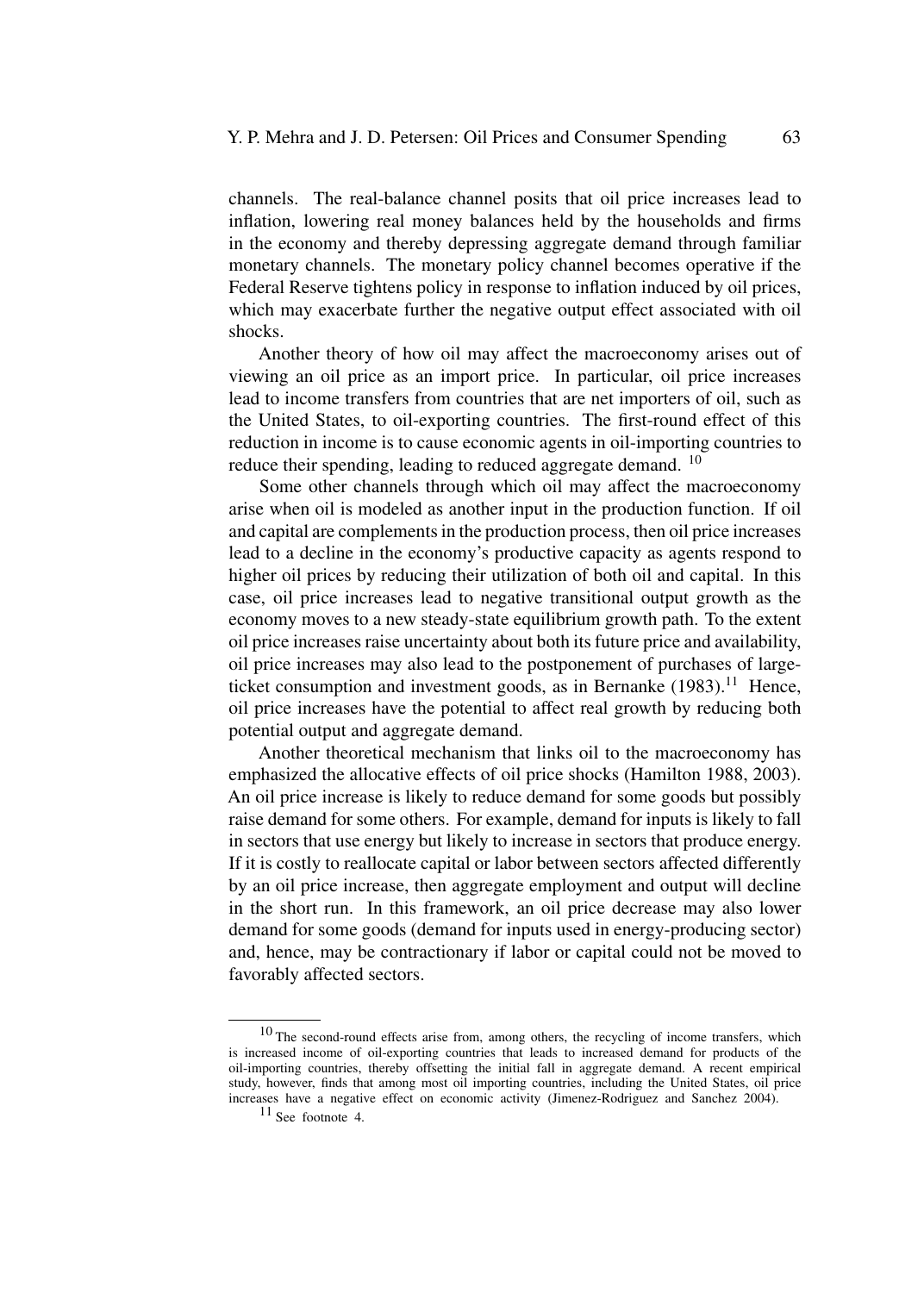channels. The real-balance channel posits that oil price increases lead to inflation, lowering real money balances held by the households and firms in the economy and thereby depressing aggregate demand through familiar monetary channels. The monetary policy channel becomes operative if the Federal Reserve tightens policy in response to inflation induced by oil prices, which may exacerbate further the negative output effect associated with oil shocks.

Another theory of how oil may affect the macroeconomy arises out of viewing an oil price as an import price. In particular, oil price increases lead to income transfers from countries that are net importers of oil, such as the United States, to oil-exporting countries. The first-round effect of this reduction in income is to cause economic agents in oil-importing countries to reduce their spending, leading to reduced aggregate demand. <sup>10</sup>

Some other channels through which oil may affect the macroeconomy arise when oil is modeled as another input in the production function. If oil and capital are complements in the production process, then oil price increases lead to a decline in the economy's productive capacity as agents respond to higher oil prices by reducing their utilization of both oil and capital. In this case, oil price increases lead to negative transitional output growth as the economy moves to a new steady-state equilibrium growth path. To the extent oil price increases raise uncertainty about both its future price and availability, oil price increases may also lead to the postponement of purchases of largeticket consumption and investment goods, as in Bernanke  $(1983)$ .<sup>11</sup> Hence, oil price increases have the potential to affect real growth by reducing both potential output and aggregate demand.

Another theoretical mechanism that links oil to the macroeconomy has emphasized the allocative effects of oil price shocks (Hamilton 1988, 2003). An oil price increase is likely to reduce demand for some goods but possibly raise demand for some others. For example, demand for inputs is likely to fall in sectors that use energy but likely to increase in sectors that produce energy. If it is costly to reallocate capital or labor between sectors affected differently by an oil price increase, then aggregate employment and output will decline in the short run. In this framework, an oil price decrease may also lower demand for some goods (demand for inputs used in energy-producing sector) and, hence, may be contractionary if labor or capital could not be moved to favorably affected sectors.

<sup>&</sup>lt;sup>10</sup> The second-round effects arise from, among others, the recycling of income transfers, which is increased income of oil-exporting countries that leads to increased demand for products of the oil-importing countries, thereby offsetting the initial fall in aggregate demand. A recent empirical study, however, finds that among most oil importing countries, including the United States, oil price increases have a negative effect on economic activity (Jimenez-Rodriguez and Sanchez 2004).

<sup>11</sup> See footnote 4.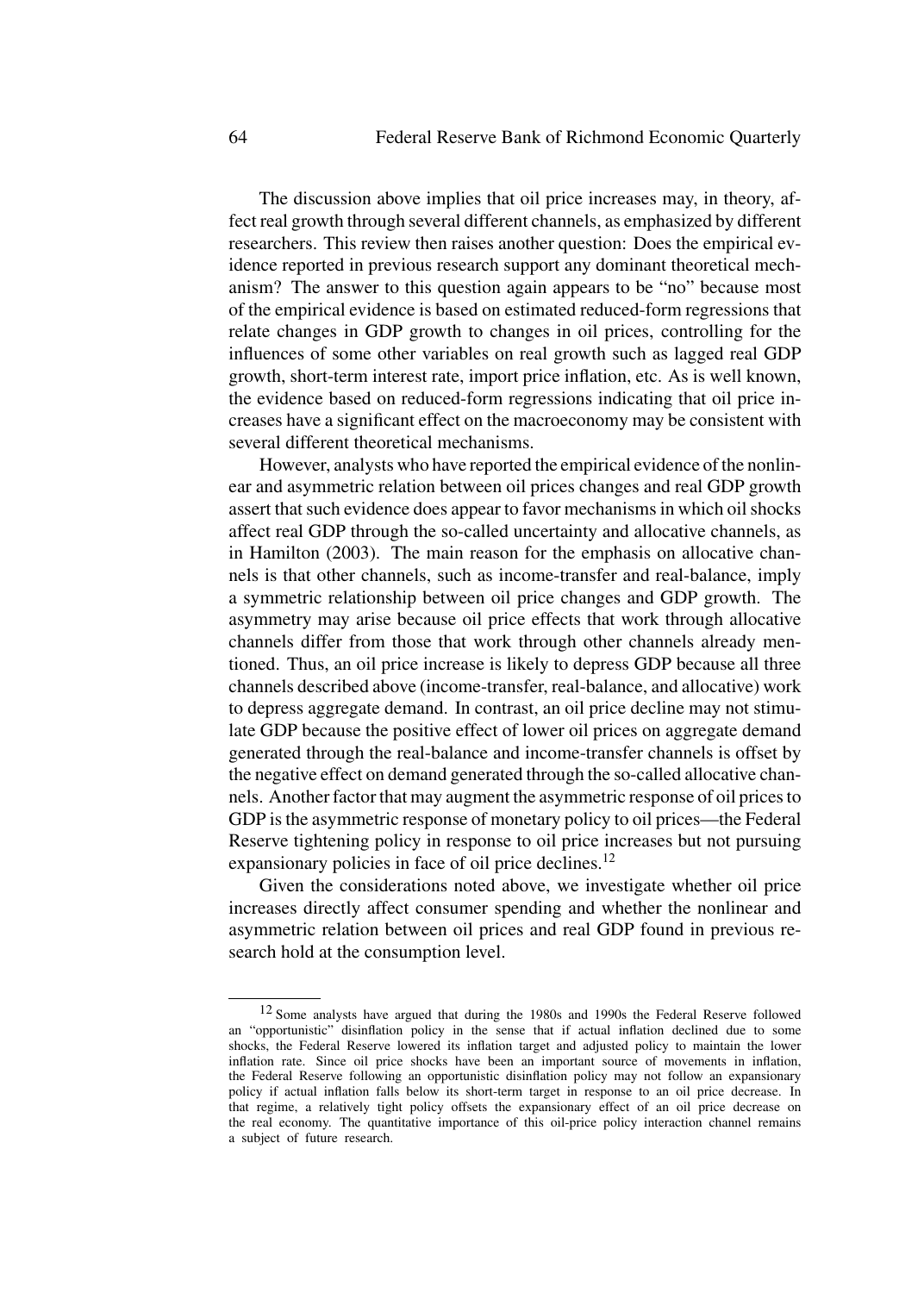The discussion above implies that oil price increases may, in theory, affect real growth through several different channels, as emphasized by different researchers. This review then raises another question: Does the empirical evidence reported in previous research support any dominant theoretical mechanism? The answer to this question again appears to be "no" because most of the empirical evidence is based on estimated reduced-form regressions that relate changes in GDP growth to changes in oil prices, controlling for the influences of some other variables on real growth such as lagged real GDP growth, short-term interest rate, import price inflation, etc. As is well known, the evidence based on reduced-form regressions indicating that oil price increases have a significant effect on the macroeconomy may be consistent with several different theoretical mechanisms.

However, analysts who have reported the empirical evidence of the nonlinear and asymmetric relation between oil prices changes and real GDP growth assert that such evidence does appear to favor mechanisms in which oil shocks affect real GDP through the so-called uncertainty and allocative channels, as in Hamilton (2003). The main reason for the emphasis on allocative channels is that other channels, such as income-transfer and real-balance, imply a symmetric relationship between oil price changes and GDP growth. The asymmetry may arise because oil price effects that work through allocative channels differ from those that work through other channels already mentioned. Thus, an oil price increase is likely to depress GDP because all three channels described above (income-transfer, real-balance, and allocative) work to depress aggregate demand. In contrast, an oil price decline may not stimulate GDP because the positive effect of lower oil prices on aggregate demand generated through the real-balance and income-transfer channels is offset by the negative effect on demand generated through the so-called allocative channels. Another factor that may augment the asymmetric response of oil prices to GDP is the asymmetric response of monetary policy to oil prices—the Federal Reserve tightening policy in response to oil price increases but not pursuing expansionary policies in face of oil price declines.<sup>12</sup>

Given the considerations noted above, we investigate whether oil price increases directly affect consumer spending and whether the nonlinear and asymmetric relation between oil prices and real GDP found in previous research hold at the consumption level.

<sup>12</sup> Some analysts have argued that during the 1980s and 1990s the Federal Reserve followed an "opportunistic" disinflation policy in the sense that if actual inflation declined due to some shocks, the Federal Reserve lowered its inflation target and adjusted policy to maintain the lower inflation rate. Since oil price shocks have been an important source of movements in inflation, the Federal Reserve following an opportunistic disinflation policy may not follow an expansionary policy if actual inflation falls below its short-term target in response to an oil price decrease. In that regime, a relatively tight policy offsets the expansionary effect of an oil price decrease on the real economy. The quantitative importance of this oil-price policy interaction channel remains a subject of future research.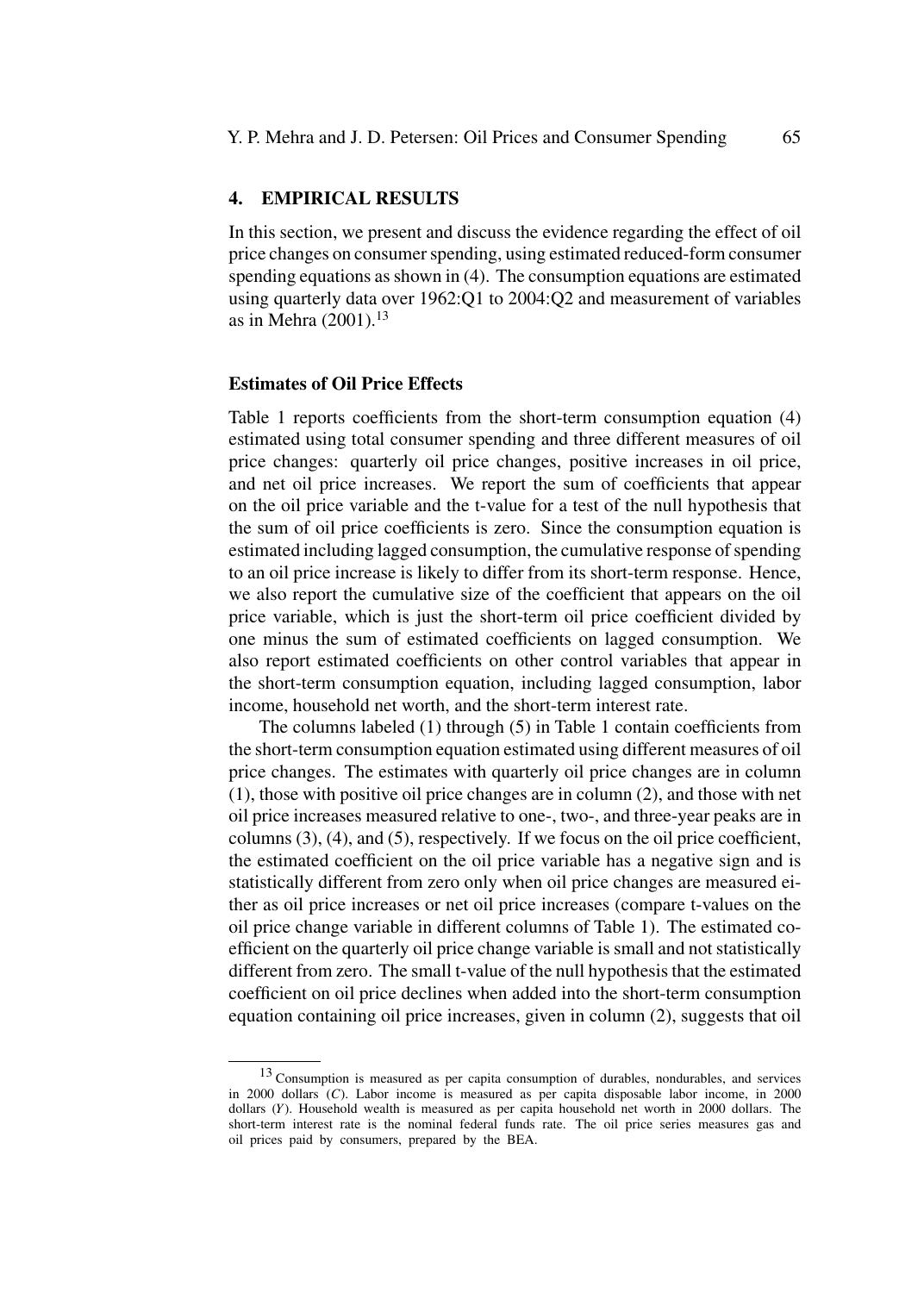## **4. EMPIRICAL RESULTS**

In this section, we present and discuss the evidence regarding the effect of oil price changes on consumer spending, using estimated reduced-form consumer spending equations as shown in (4). The consumption equations are estimated using quarterly data over 1962:Q1 to 2004:Q2 and measurement of variables as in Mehra  $(2001).<sup>13</sup>$ 

#### **Estimates of Oil Price Effects**

Table 1 reports coefficients from the short-term consumption equation (4) estimated using total consumer spending and three different measures of oil price changes: quarterly oil price changes, positive increases in oil price, and net oil price increases. We report the sum of coefficients that appear on the oil price variable and the t-value for a test of the null hypothesis that the sum of oil price coefficients is zero. Since the consumption equation is estimated including lagged consumption, the cumulative response of spending to an oil price increase is likely to differ from its short-term response. Hence, we also report the cumulative size of the coefficient that appears on the oil price variable, which is just the short-term oil price coefficient divided by one minus the sum of estimated coefficients on lagged consumption. We also report estimated coefficients on other control variables that appear in the short-term consumption equation, including lagged consumption, labor income, household net worth, and the short-term interest rate.

The columns labeled (1) through (5) in Table 1 contain coefficients from the short-term consumption equation estimated using different measures of oil price changes. The estimates with quarterly oil price changes are in column (1), those with positive oil price changes are in column (2), and those with net oil price increases measured relative to one-, two-, and three-year peaks are in columns (3), (4), and (5), respectively. If we focus on the oil price coefficient, the estimated coefficient on the oil price variable has a negative sign and is statistically different from zero only when oil price changes are measured either as oil price increases or net oil price increases (compare t-values on the oil price change variable in different columns of Table 1). The estimated coefficient on the quarterly oil price change variable is small and not statistically different from zero. The small t-value of the null hypothesis that the estimated coefficient on oil price declines when added into the short-term consumption equation containing oil price increases, given in column (2), suggests that oil

<sup>&</sup>lt;sup>13</sup> Consumption is measured as per capita consumption of durables, nondurables, and services in 2000 dollars (*C*). Labor income is measured as per capita disposable labor income, in 2000 dollars (*Y*). Household wealth is measured as per capita household net worth in 2000 dollars. The short-term interest rate is the nominal federal funds rate. The oil price series measures gas and oil prices paid by consumers, prepared by the BEA.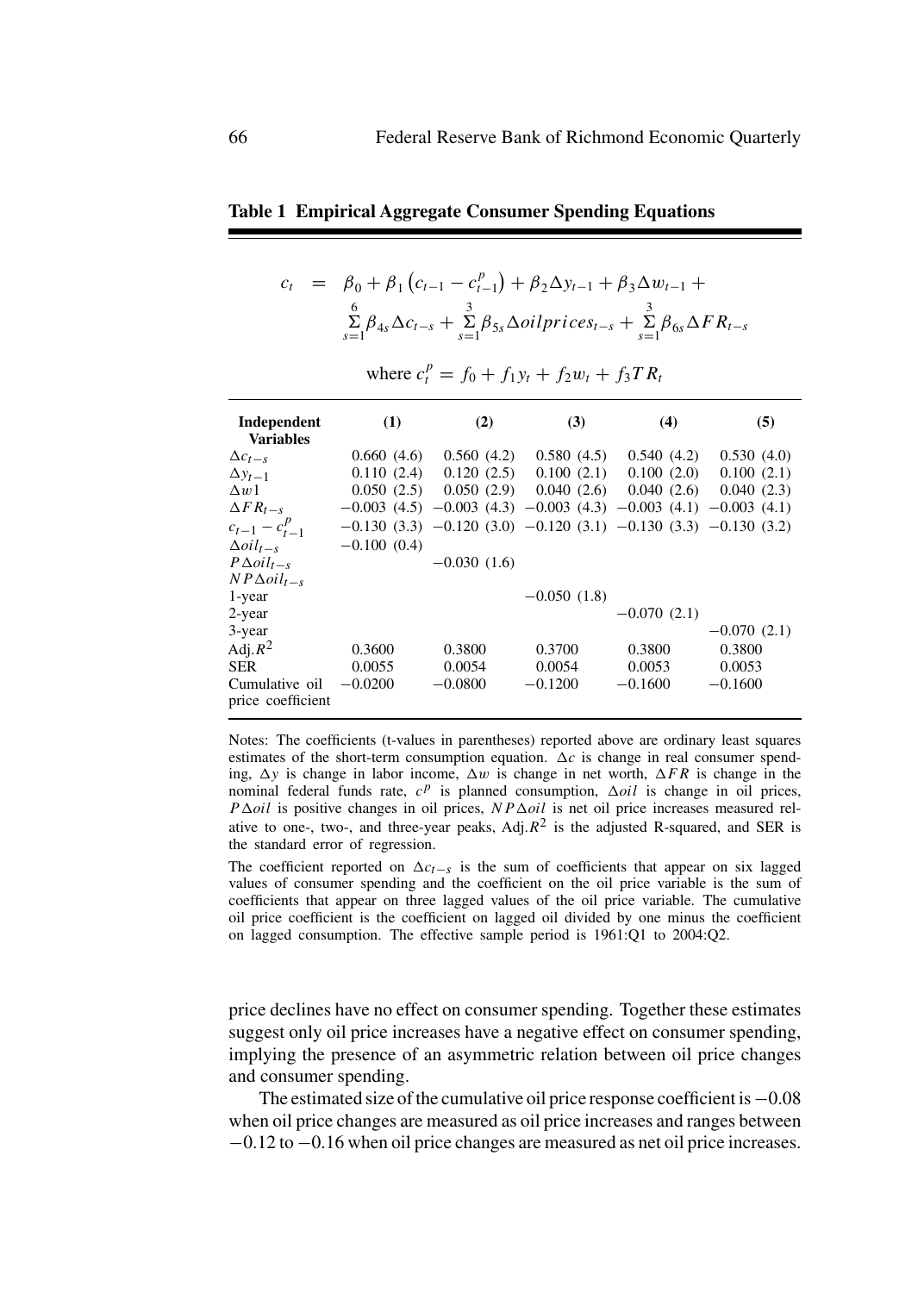## **Table 1 Empirical Aggregate Consumer Spending Equations**

$$
c_{t} = \beta_{0} + \beta_{1} (c_{t-1} - c_{t-1}^{p}) + \beta_{2} \Delta y_{t-1} + \beta_{3} \Delta w_{t-1} + \sum_{s=1}^{6} \beta_{4s} \Delta c_{t-s} + \sum_{s=1}^{3} \beta_{5s} \Delta oil prices_{t-s} + \sum_{s=1}^{3} \beta_{6s} \Delta FR_{t-s}
$$

where 
$$
c_t^p = f_0 + f_1 y_t + f_2 w_t + f_3 T R_t
$$

| Independent<br><b>Variables</b>     | (1)           | (2)           | (3)                                                                        | (4)           | (5)           |
|-------------------------------------|---------------|---------------|----------------------------------------------------------------------------|---------------|---------------|
| $\Delta c_{t-s}$                    | 0.660(4.6)    | 0.560(4.2)    | 0.580(4.5)                                                                 | 0.540(4.2)    | 0.530(4.0)    |
| $\Delta y_{t-1}$                    | 0.110(2.4)    | 0.120(2.5)    | 0.100(2.1)                                                                 | 0.100(2.0)    | 0.100(2.1)    |
| $\Delta w1$                         | 0.050(2.5)    | 0.050(2.9)    | 0.040(2.6)                                                                 | 0.040(2.6)    | 0.040(2.3)    |
| $\Delta FR_{t-s}$                   |               |               | $-0.003$ (4.5) $-0.003$ (4.3) $-0.003$ (4.3) $-0.003$ (4.1) $-0.003$ (4.1) |               |               |
| $c_{t-1} - c_{t-1}^p$               |               |               | $-0.130$ (3.3) $-0.120$ (3.0) $-0.120$ (3.1) $-0.130$ (3.3) $-0.130$ (3.2) |               |               |
| $\Delta$ <i>oi</i> $l_{t-s}$        | $-0.100(0.4)$ |               |                                                                            |               |               |
| $P\Delta oil_{t-s}$                 |               | $-0.030(1.6)$ |                                                                            |               |               |
| $NP\Delta oil_{t-s}$                |               |               |                                                                            |               |               |
| 1-year                              |               |               | $-0.050(1.8)$                                                              |               |               |
| 2-year                              |               |               |                                                                            | $-0.070(2.1)$ |               |
| 3-year                              |               |               |                                                                            |               | $-0.070(2.1)$ |
| Adj. $R^2$                          | 0.3600        | 0.3800        | 0.3700                                                                     | 0.3800        | 0.3800        |
| <b>SER</b>                          | 0.0055        | 0.0054        | 0.0054                                                                     | 0.0053        | 0.0053        |
| Cumulative oil<br>price coefficient | $-0.0200$     | $-0.0800$     | $-0.1200$                                                                  | $-0.1600$     | $-0.1600$     |

Notes: The coefficients (t-values in parentheses) reported above are ordinary least squares estimates of the short-term consumption equation.  $\Delta c$  is change in real consumer spending,  $\Delta y$  is change in labor income,  $\Delta w$  is change in net worth,  $\Delta FR$  is change in the nominal federal funds rate,  $c^p$  is planned consumption,  $\Delta oil$  is change in oil prices,  $P \Delta oil$  is positive changes in oil prices,  $NP \Delta oil$  is net oil price increases measured relative to one-, two-, and three-year peaks, Adj. $R^2$  is the adjusted R-squared, and SER is the standard error of regression.

The coefficient reported on  $\Delta c_{t-s}$  is the sum of coefficients that appear on six lagged values of consumer spending and the coefficient on the oil price variable is the sum of coefficients that appear on three lagged values of the oil price variable. The cumulative oil price coefficient is the coefficient on lagged oil divided by one minus the coefficient on lagged consumption. The effective sample period is 1961:Q1 to 2004:Q2.

price declines have no effect on consumer spending. Together these estimates suggest only oil price increases have a negative effect on consumer spending, implying the presence of an asymmetric relation between oil price changes and consumer spending.

The estimated size of the cumulative oil price response coefficient is−0.08 when oil price changes are measured as oil price increases and ranges between −0.12 to −0.16 when oil price changes are measured as net oil price increases.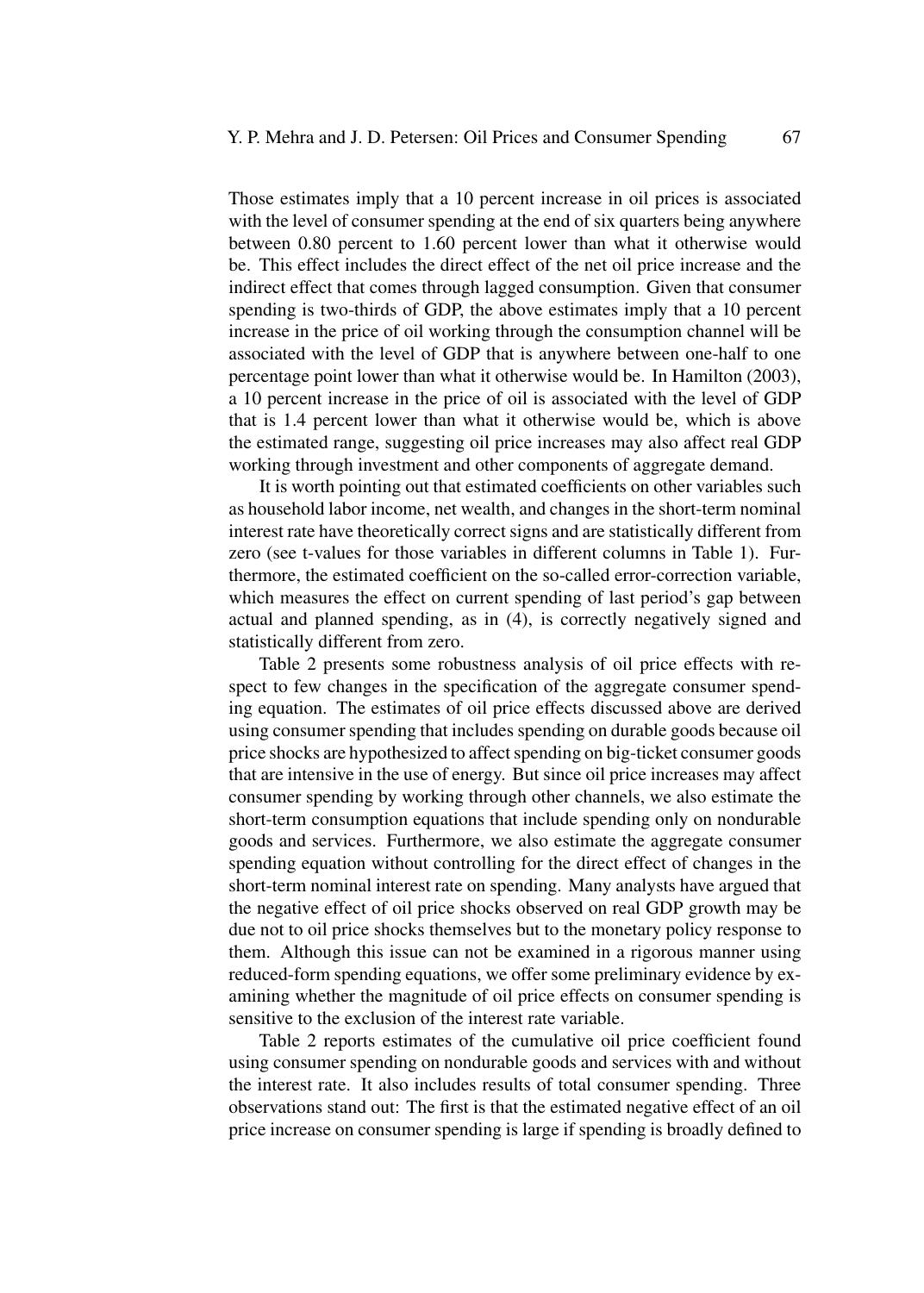Those estimates imply that a 10 percent increase in oil prices is associated with the level of consumer spending at the end of six quarters being anywhere between 0.80 percent to 1.60 percent lower than what it otherwise would be. This effect includes the direct effect of the net oil price increase and the indirect effect that comes through lagged consumption. Given that consumer spending is two-thirds of GDP, the above estimates imply that a 10 percent increase in the price of oil working through the consumption channel will be associated with the level of GDP that is anywhere between one-half to one percentage point lower than what it otherwise would be. In Hamilton (2003), a 10 percent increase in the price of oil is associated with the level of GDP that is 1.4 percent lower than what it otherwise would be, which is above the estimated range, suggesting oil price increases may also affect real GDP working through investment and other components of aggregate demand.

It is worth pointing out that estimated coefficients on other variables such as household labor income, net wealth, and changes in the short-term nominal interest rate have theoretically correct signs and are statistically different from zero (see t-values for those variables in different columns in Table 1). Furthermore, the estimated coefficient on the so-called error-correction variable, which measures the effect on current spending of last period's gap between actual and planned spending, as in (4), is correctly negatively signed and statistically different from zero.

Table 2 presents some robustness analysis of oil price effects with respect to few changes in the specification of the aggregate consumer spending equation. The estimates of oil price effects discussed above are derived using consumer spending that includes spending on durable goods because oil price shocks are hypothesized to affect spending on big-ticket consumer goods that are intensive in the use of energy. But since oil price increases may affect consumer spending by working through other channels, we also estimate the short-term consumption equations that include spending only on nondurable goods and services. Furthermore, we also estimate the aggregate consumer spending equation without controlling for the direct effect of changes in the short-term nominal interest rate on spending. Many analysts have argued that the negative effect of oil price shocks observed on real GDP growth may be due not to oil price shocks themselves but to the monetary policy response to them. Although this issue can not be examined in a rigorous manner using reduced-form spending equations, we offer some preliminary evidence by examining whether the magnitude of oil price effects on consumer spending is sensitive to the exclusion of the interest rate variable.

Table 2 reports estimates of the cumulative oil price coefficient found using consumer spending on nondurable goods and services with and without the interest rate. It also includes results of total consumer spending. Three observations stand out: The first is that the estimated negative effect of an oil price increase on consumer spending is large if spending is broadly defined to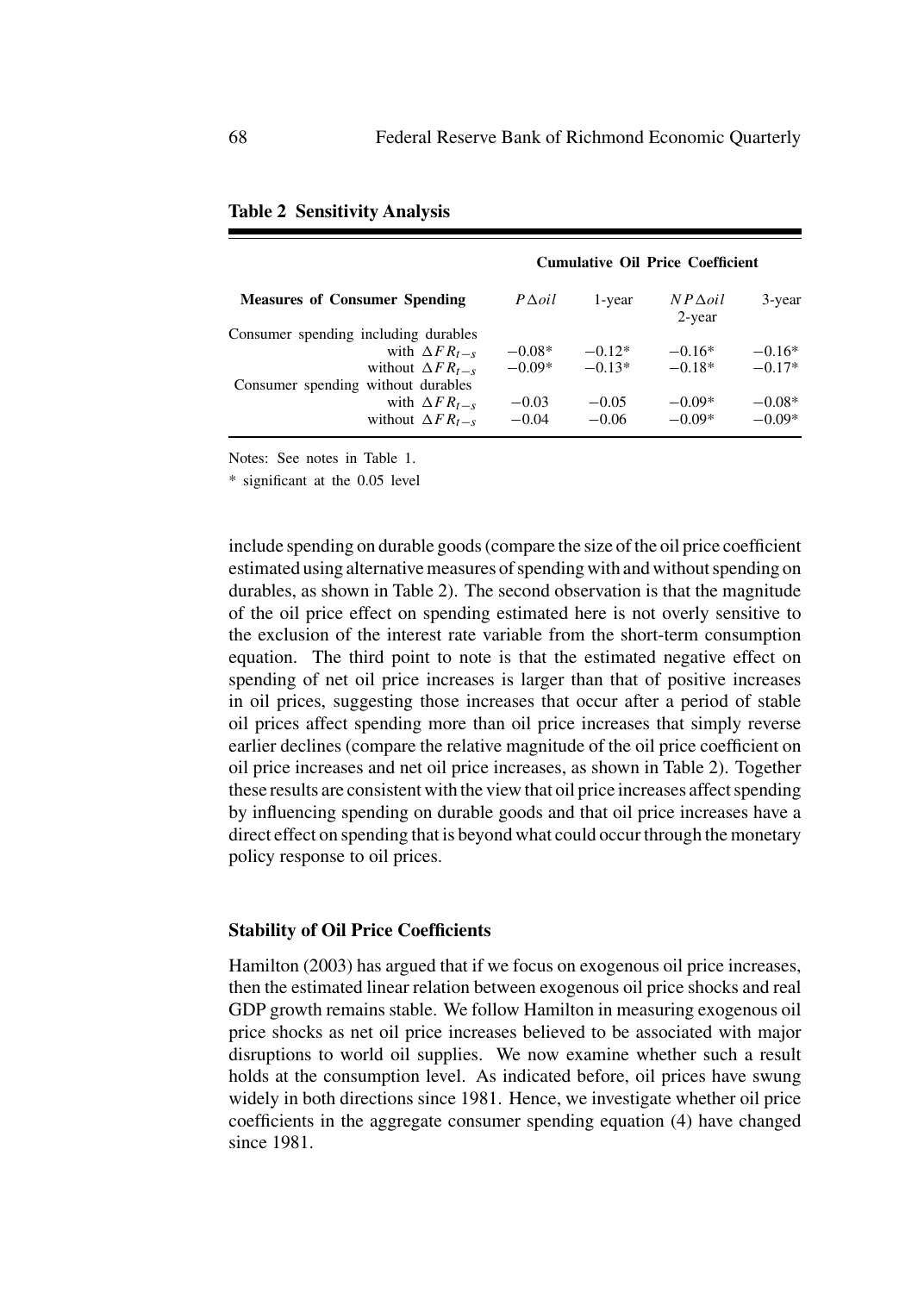|                                      | <b>Cumulative Oil Price Coefficient</b> |          |                          |          |  |  |
|--------------------------------------|-----------------------------------------|----------|--------------------------|----------|--|--|
| <b>Measures of Consumer Spending</b> | $P\Delta oil$                           | 1-year   | $NP\Delta oil$<br>2-year | 3-year   |  |  |
| Consumer spending including durables |                                         |          |                          |          |  |  |
| with $\Delta FR_{t-s}$               | $-0.08*$                                | $-0.12*$ | $-0.16*$                 | $-0.16*$ |  |  |
| without $\Delta FR_{t-s}$            | $-0.09*$                                | $-0.13*$ | $-0.18*$                 | $-0.17*$ |  |  |
| Consumer spending without durables   |                                         |          |                          |          |  |  |
| with $\Delta FR_{t-s}$               | $-0.03$                                 | $-0.05$  | $-0.09*$                 | $-0.08*$ |  |  |
| without $\Delta FR_{t-s}$            | $-0.04$                                 | $-0.06$  | $-0.09*$                 | $-0.09*$ |  |  |

| <b>Table 2 Sensitivity Analysis</b> |  |  |  |  |
|-------------------------------------|--|--|--|--|
|-------------------------------------|--|--|--|--|

Notes: See notes in Table 1.

\* significant at the 0.05 level

include spending on durable goods (compare the size of the oil price coefficient estimated using alternative measures of spending with and without spending on durables, as shown in Table 2). The second observation is that the magnitude of the oil price effect on spending estimated here is not overly sensitive to the exclusion of the interest rate variable from the short-term consumption equation. The third point to note is that the estimated negative effect on spending of net oil price increases is larger than that of positive increases in oil prices, suggesting those increases that occur after a period of stable oil prices affect spending more than oil price increases that simply reverse earlier declines (compare the relative magnitude of the oil price coefficient on oil price increases and net oil price increases, as shown in Table 2). Together these results are consistent with the view that oil price increases affect spending by influencing spending on durable goods and that oil price increases have a direct effect on spending that is beyond what could occur through the monetary policy response to oil prices.

### **Stability of Oil Price Coefficients**

Hamilton (2003) has argued that if we focus on exogenous oil price increases, then the estimated linear relation between exogenous oil price shocks and real GDP growth remains stable. We follow Hamilton in measuring exogenous oil price shocks as net oil price increases believed to be associated with major disruptions to world oil supplies. We now examine whether such a result holds at the consumption level. As indicated before, oil prices have swung widely in both directions since 1981. Hence, we investigate whether oil price coefficients in the aggregate consumer spending equation (4) have changed since 1981.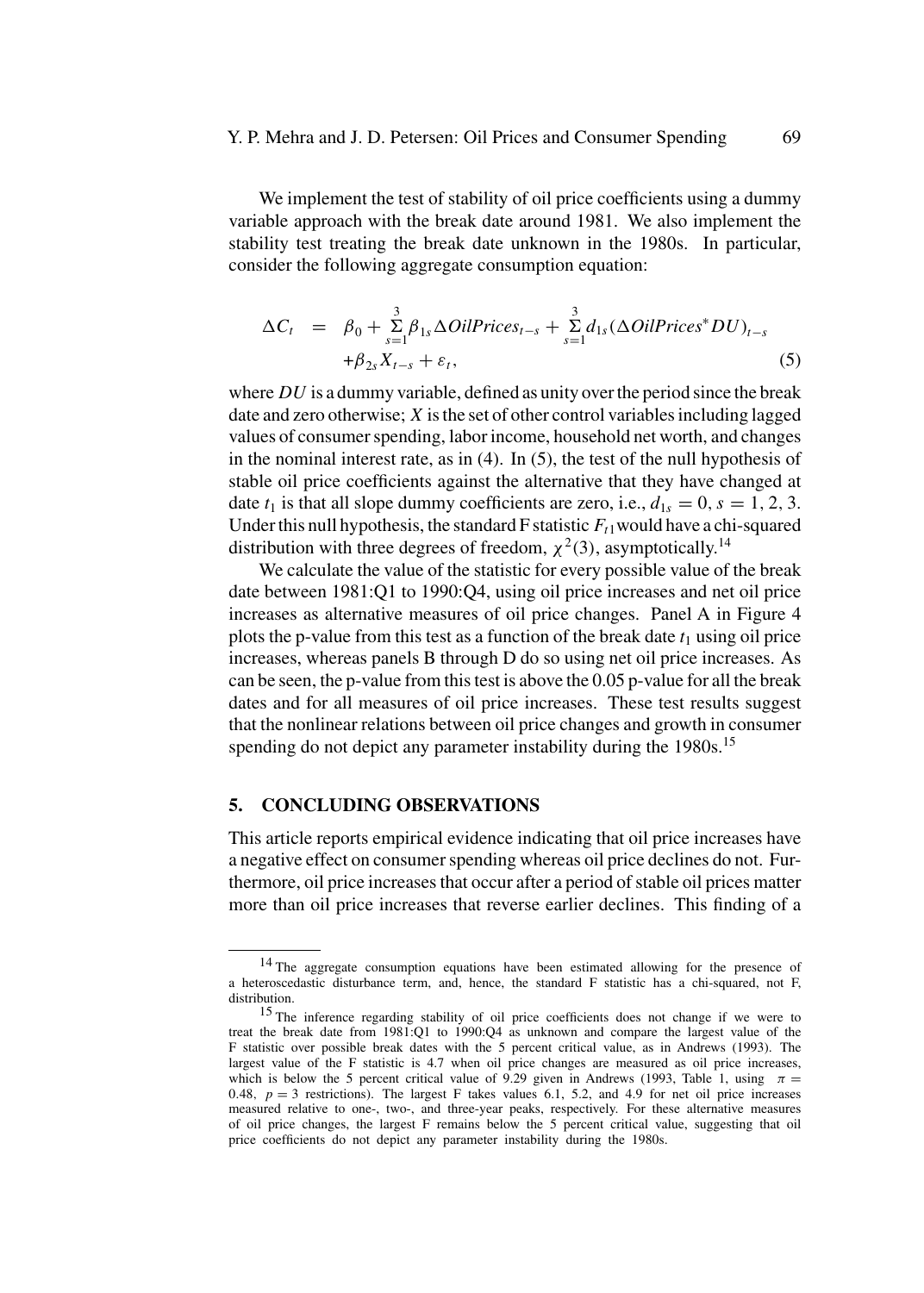We implement the test of stability of oil price coefficients using a dummy variable approach with the break date around 1981. We also implement the stability test treating the break date unknown in the 1980s. In particular, consider the following aggregate consumption equation:

$$
\Delta C_t = \beta_0 + \sum_{s=1}^3 \beta_{1s} \Delta OilPrices_{t-s} + \sum_{s=1}^3 d_{1s} (\Delta OilPrices^*DU)_{t-s}
$$
  
 
$$
+\beta_{2s} X_{t-s} + \varepsilon_t,
$$
 (5)

where *DU* is a dummy variable, defined as unity over the period since the break date and zero otherwise; *X* is the set of other control variables including lagged values of consumer spending, labor income, household net worth, and changes in the nominal interest rate, as in (4). In (5), the test of the null hypothesis of stable oil price coefficients against the alternative that they have changed at date  $t_1$  is that all slope dummy coefficients are zero, i.e.,  $d_{1s} = 0$ ,  $s = 1, 2, 3$ . Under this null hypothesis, the standard  $F$  statistic  $F_{t1}$  would have a chi-squared distribution with three degrees of freedom,  $\chi^2(3)$ , asymptotically.<sup>14</sup>

We calculate the value of the statistic for every possible value of the break date between 1981:Q1 to 1990:Q4, using oil price increases and net oil price increases as alternative measures of oil price changes. Panel A in Figure 4 plots the p-value from this test as a function of the break date  $t_1$  using oil price increases, whereas panels B through D do so using net oil price increases. As can be seen, the p-value from this test is above the 0.05 p-value for all the break dates and for all measures of oil price increases. These test results suggest that the nonlinear relations between oil price changes and growth in consumer spending do not depict any parameter instability during the 1980s.<sup>15</sup>

## **5. CONCLUDING OBSERVATIONS**

This article reports empirical evidence indicating that oil price increases have a negative effect on consumer spending whereas oil price declines do not. Furthermore, oil price increases that occur after a period of stable oil prices matter more than oil price increases that reverse earlier declines. This finding of a

<sup>&</sup>lt;sup>14</sup> The aggregate consumption equations have been estimated allowing for the presence of a heteroscedastic disturbance term, and, hence, the standard F statistic has a chi-squared, not F, distribution.

<sup>15</sup> The inference regarding stability of oil price coefficients does not change if we were to treat the break date from 1981:Q1 to 1990:Q4 as unknown and compare the largest value of the F statistic over possible break dates with the 5 percent critical value, as in Andrews (1993). The largest value of the F statistic is 4.7 when oil price changes are measured as oil price increases, which is below the 5 percent critical value of 9.29 given in Andrews (1993, Table 1, using  $\pi =$ 0.48,  $p = 3$  restrictions). The largest F takes values 6.1, 5.2, and 4.9 for net oil price increases measured relative to one-, two-, and three-year peaks, respectively. For these alternative measures of oil price changes, the largest F remains below the 5 percent critical value, suggesting that oil price coefficients do not depict any parameter instability during the 1980s.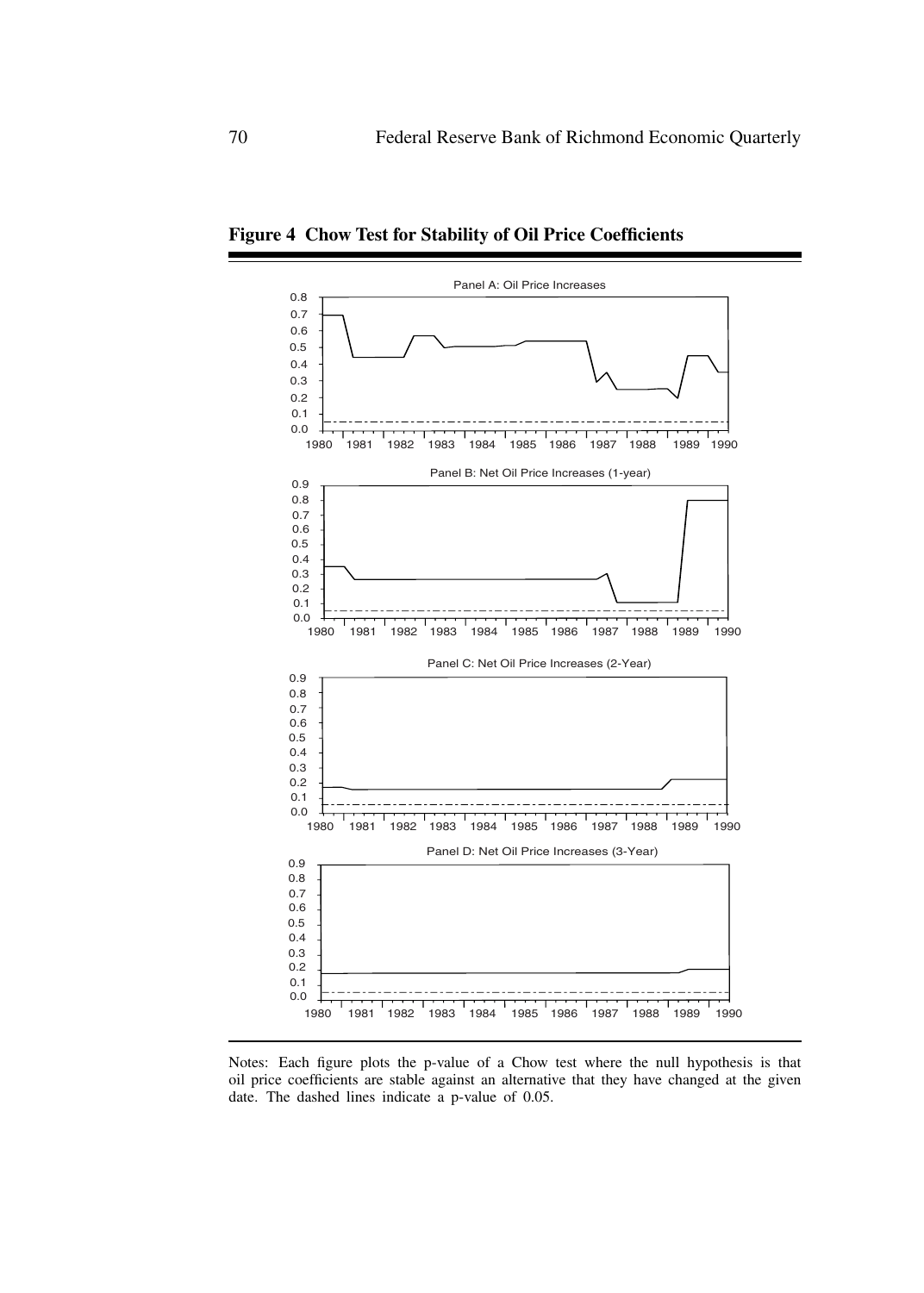

**Figure 4 Chow Test for Stability of Oil Price Coefficients**

Notes: Each figure plots the p-value of a Chow test where the null hypothesis is that oil price coefficients are stable against an alternative that they have changed at the given date. The dashed lines indicate a p-value of 0.05.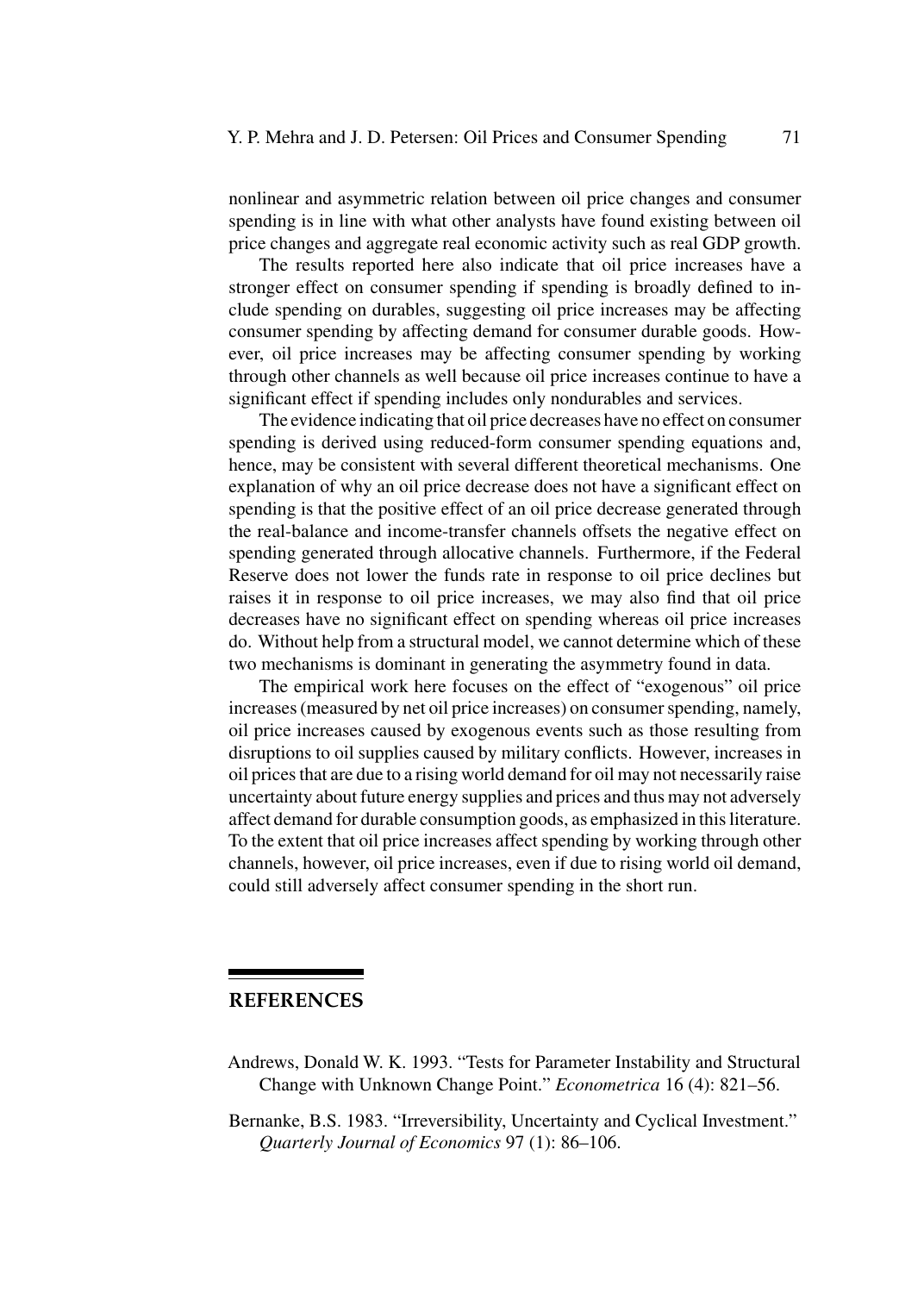nonlinear and asymmetric relation between oil price changes and consumer spending is in line with what other analysts have found existing between oil price changes and aggregate real economic activity such as real GDP growth.

The results reported here also indicate that oil price increases have a stronger effect on consumer spending if spending is broadly defined to include spending on durables, suggesting oil price increases may be affecting consumer spending by affecting demand for consumer durable goods. However, oil price increases may be affecting consumer spending by working through other channels as well because oil price increases continue to have a significant effect if spending includes only nondurables and services.

The evidence indicating that oil price decreases have no effect on consumer spending is derived using reduced-form consumer spending equations and, hence, may be consistent with several different theoretical mechanisms. One explanation of why an oil price decrease does not have a significant effect on spending is that the positive effect of an oil price decrease generated through the real-balance and income-transfer channels offsets the negative effect on spending generated through allocative channels. Furthermore, if the Federal Reserve does not lower the funds rate in response to oil price declines but raises it in response to oil price increases, we may also find that oil price decreases have no significant effect on spending whereas oil price increases do. Without help from a structural model, we cannot determine which of these two mechanisms is dominant in generating the asymmetry found in data.

The empirical work here focuses on the effect of "exogenous" oil price increases (measured by net oil price increases) on consumer spending, namely, oil price increases caused by exogenous events such as those resulting from disruptions to oil supplies caused by military conflicts. However, increases in oil prices that are due to a rising world demand for oil may not necessarily raise uncertainty about future energy supplies and prices and thus may not adversely affect demand for durable consumption goods, as emphasized in this literature. To the extent that oil price increases affect spending by working through other channels, however, oil price increases, even if due to rising world oil demand, could still adversely affect consumer spending in the short run.

## **REFERENCES**

- Andrews, Donald W. K. 1993. "Tests for Parameter Instability and Structural Change with Unknown Change Point." *Econometrica* 16 (4): 821–56.
- Bernanke, B.S. 1983. "Irreversibility, Uncertainty and Cyclical Investment." *Quarterly Journal of Economics* 97 (1): 86–106.